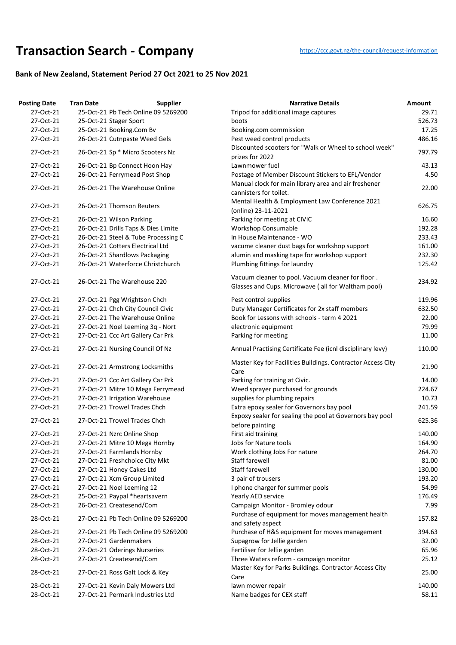## **Transaction Searc[h](https://ccc.govt.nz/the-council/request-information) - Company** https://ccc.govt.nz/the-council/request-information

## **Bank of New Zealand, Statement Period 27 Oct 2021 to 25 Nov 2021**

| <b>Posting Date</b> | <b>Tran Date</b>                 | <b>Supplier</b>                     | <b>Narrative Details</b>                                                                                  | Amount |
|---------------------|----------------------------------|-------------------------------------|-----------------------------------------------------------------------------------------------------------|--------|
| 27-Oct-21           |                                  | 25-Oct-21 Pb Tech Online 09 5269200 | Tripod for additional image captures                                                                      | 29.71  |
| 27-Oct-21           | 25-Oct-21 Stager Sport           |                                     | boots                                                                                                     | 526.73 |
| 27-Oct-21           | 25-Oct-21 Booking.Com Bv         |                                     | Booking.com commission                                                                                    | 17.25  |
| 27-Oct-21           | 26-Oct-21 Cutnpaste Weed Gels    |                                     | Pest weed control products                                                                                | 486.16 |
| 27-Oct-21           |                                  | 26-Oct-21 Sp * Micro Scooters Nz    | Discounted scooters for "Walk or Wheel to school week"                                                    | 797.79 |
| 27-Oct-21           |                                  |                                     | prizes for 2022<br>Lawnmower fuel                                                                         | 43.13  |
| 27-Oct-21           | 26-Oct-21 Bp Connect Hoon Hay    |                                     |                                                                                                           | 4.50   |
|                     | 26-Oct-21 Ferrymead Post Shop    |                                     | Postage of Member Discount Stickers to EFL/Vendor<br>Manual clock for main library area and air freshener |        |
| 27-Oct-21           |                                  | 26-Oct-21 The Warehouse Online      | cannisters for toilet.                                                                                    | 22.00  |
| 27-Oct-21           | 26-Oct-21 Thomson Reuters        |                                     | Mental Health & Employment Law Conference 2021<br>(online) 23-11-2021                                     | 626.75 |
| 27-Oct-21           | 26-Oct-21 Wilson Parking         |                                     | Parking for meeting at CIVIC                                                                              | 16.60  |
| 27-Oct-21           |                                  | 26-Oct-21 Drills Taps & Dies Limite | <b>Workshop Consumable</b>                                                                                | 192.28 |
| 27-Oct-21           |                                  | 26-Oct-21 Steel & Tube Processing C | In House Maintenance - WO                                                                                 | 233.43 |
| 27-Oct-21           | 26-Oct-21 Cotters Electrical Ltd |                                     | vacume cleaner dust bags for workshop support                                                             | 161.00 |
| 27-Oct-21           | 26-Oct-21 Shardlows Packaging    |                                     | alumin and masking tape for workshop support                                                              | 232.30 |
| 27-Oct-21           |                                  | 26-Oct-21 Waterforce Christchurch   | Plumbing fittings for laundry                                                                             | 125.42 |
| 27-Oct-21           | 26-Oct-21 The Warehouse 220      |                                     | Vacuum cleaner to pool. Vacuum cleaner for floor.<br>Glasses and Cups. Microwave (all for Waltham pool)   | 234.92 |
| 27-Oct-21           |                                  |                                     | Pest control supplies                                                                                     | 119.96 |
|                     | 27-Oct-21 Pgg Wrightson Chch     |                                     |                                                                                                           |        |
| 27-Oct-21           |                                  | 27-Oct-21 Chch City Council Civic   | Duty Manager Certificates for 2x staff members                                                            | 632.50 |
| 27-Oct-21           |                                  | 27-Oct-21 The Warehouse Online      | Book for Lessons with schools - term 4 2021                                                               | 22.00  |
| 27-Oct-21           |                                  | 27-Oct-21 Noel Leeming 3q - Nort    | electronic equipment                                                                                      | 79.99  |
| 27-Oct-21           |                                  | 27-Oct-21 Ccc Art Gallery Car Prk   | Parking for meeting                                                                                       | 11.00  |
| 27-Oct-21           | 27-Oct-21 Nursing Council Of Nz  |                                     | Annual Practising Certificate Fee (icnl disciplinary levy)                                                | 110.00 |
| 27-Oct-21           |                                  | 27-Oct-21 Armstrong Locksmiths      | Master Key for Facilities Buildings. Contractor Access City<br>Care                                       | 21.90  |
| 27-Oct-21           |                                  | 27-Oct-21 Ccc Art Gallery Car Prk   | Parking for training at Civic.                                                                            | 14.00  |
| 27-Oct-21           |                                  | 27-Oct-21 Mitre 10 Mega Ferrymead   | Weed sprayer purchased for grounds                                                                        | 224.67 |
| 27-Oct-21           | 27-Oct-21 Irrigation Warehouse   |                                     | supplies for plumbing repairs                                                                             | 10.73  |
| 27-Oct-21           | 27-Oct-21 Trowel Trades Chch     |                                     | Extra epoxy sealer for Governors bay pool                                                                 | 241.59 |
| 27-Oct-21           | 27-Oct-21 Trowel Trades Chch     |                                     | Expoxy sealer for sealing the pool at Governors bay pool<br>before painting                               | 625.36 |
| 27-Oct-21           | 27-Oct-21 Nzrc Online Shop       |                                     | First aid training                                                                                        | 140.00 |
| 27-Oct-21           |                                  | 27-Oct-21 Mitre 10 Mega Hornby      | <b>Jobs for Nature tools</b>                                                                              | 164.90 |
| 27-Oct-21           | 27-Oct-21 Farmlands Hornby       |                                     | Work clothing Jobs For nature                                                                             | 264.70 |
| 27-Oct-21           | 27-Oct-21 Freshchoice City Mkt   |                                     | Staff farewell                                                                                            | 81.00  |
| 27-Oct-21           | 27-Oct-21 Honey Cakes Ltd        |                                     | <b>Staff farewell</b>                                                                                     | 130.00 |
| 27-Oct-21           | 27-Oct-21 Xcm Group Limited      |                                     | 3 pair of trousers                                                                                        | 193.20 |
| 27-Oct-21           | 27-Oct-21 Noel Leeming 12        |                                     | I phone charger for summer pools                                                                          | 54.99  |
| 28-Oct-21           | 25-Oct-21 Paypal *heartsavern    |                                     | Yearly AED service                                                                                        | 176.49 |
| 28-Oct-21           |                                  |                                     |                                                                                                           | 7.99   |
| 28-Oct-21           | 26-Oct-21 Createsend/Com         | 27-Oct-21 Pb Tech Online 09 5269200 | Campaign Monitor - Bromley odour<br>Purchase of equipment for moves management health                     | 157.82 |
|                     |                                  |                                     | and safety aspect                                                                                         |        |
| 28-Oct-21           |                                  | 27-Oct-21 Pb Tech Online 09 5269200 | Purchase of H&S equipment for moves management                                                            | 394.63 |
| 28-Oct-21           | 27-Oct-21 Gardenmakers           |                                     | Supagrow for Jellie garden                                                                                | 32.00  |
| 28-Oct-21           | 27-Oct-21 Oderings Nurseries     |                                     | Fertiliser for Jellie garden                                                                              | 65.96  |
| 28-Oct-21           | 27-Oct-21 Createsend/Com         |                                     | Three Waters reform - campaign monitor                                                                    | 25.12  |
| 28-Oct-21           | 27-Oct-21 Ross Galt Lock & Key   |                                     | Master Key for Parks Buildings. Contractor Access City<br>Care                                            | 25.00  |
| 28-Oct-21           |                                  | 27-Oct-21 Kevin Daly Mowers Ltd     | lawn mower repair                                                                                         | 140.00 |
| 28-Oct-21           |                                  | 27-Oct-21 Permark Industries Ltd    | Name badges for CEX staff                                                                                 | 58.11  |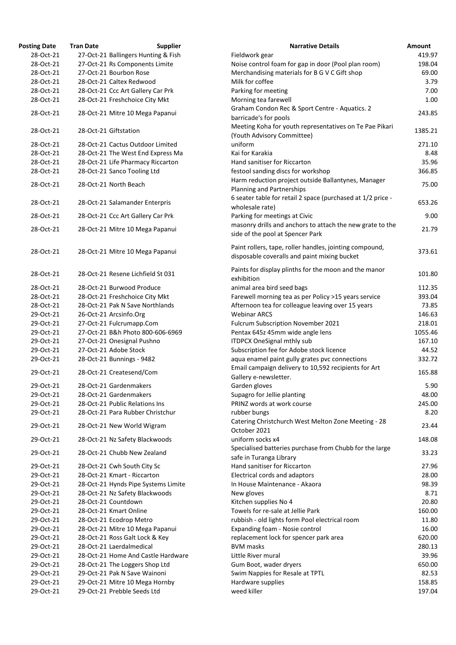| <b>Posting Date</b>    | <b>Tran Date</b><br><b>Supplier</b> | <b>Narrative Details</b>                                                                                | Amount        |
|------------------------|-------------------------------------|---------------------------------------------------------------------------------------------------------|---------------|
| 28-Oct-21              | 27-Oct-21 Ballingers Hunting & Fish | Fieldwork gear                                                                                          | 419.97        |
| 28-Oct-21              | 27-Oct-21 Rs Components Limite      | Noise control foam for gap in door (Pool plan room)                                                     | 198.04        |
| 28-Oct-21              | 27-Oct-21 Bourbon Rose              | Merchandising materials for B G V C Gift shop                                                           | 69.00         |
| 28-Oct-21              | 28-Oct-21 Caltex Redwood            | Milk for coffee                                                                                         | 3.79          |
| 28-Oct-21              | 28-Oct-21 Ccc Art Gallery Car Prk   | Parking for meeting                                                                                     | 7.00          |
| 28-Oct-21              | 28-Oct-21 Freshchoice City Mkt      | Morning tea farewell                                                                                    | 1.00          |
| 28-Oct-21              | 28-Oct-21 Mitre 10 Mega Papanui     | Graham Condon Rec & Sport Centre - Aquatics. 2<br>barricade's for pools                                 | 243.85        |
| 28-Oct-21              | 28-Oct-21 Giftstation               | Meeting Koha for youth representatives on Te Pae Pikari<br>(Youth Advisory Committee)                   | 1385.21       |
| 28-Oct-21              | 28-Oct-21 Cactus Outdoor Limited    | uniform                                                                                                 | 271.10        |
| 28-Oct-21              | 28-Oct-21 The West End Express Ma   | Kai for Karakia                                                                                         | 8.48          |
| 28-Oct-21              | 28-Oct-21 Life Pharmacy Riccarton   | Hand sanitiser for Riccarton                                                                            | 35.96         |
| 28-Oct-21              | 28-Oct-21 Sanco Tooling Ltd         | festool sanding discs for workshop                                                                      | 366.85        |
|                        |                                     | Harm reduction project outside Ballantynes, Manager                                                     |               |
| 28-Oct-21              | 28-Oct-21 North Beach               | Planning and Partnerships                                                                               | 75.00         |
| 28-Oct-21              | 28-Oct-21 Salamander Enterpris      | 6 seater table for retail 2 space (purchased at 1/2 price -<br>wholesale rate)                          | 653.26        |
| 28-Oct-21              | 28-Oct-21 Ccc Art Gallery Car Prk   | Parking for meetings at Civic                                                                           | 9.00          |
| 28-Oct-21              | 28-Oct-21 Mitre 10 Mega Papanui     | masonry drills and anchors to attach the new grate to the<br>side of the pool at Spencer Park           | 21.79         |
| 28-Oct-21              | 28-Oct-21 Mitre 10 Mega Papanui     | Paint rollers, tape, roller handles, jointing compound,<br>disposable coveralls and paint mixing bucket | 373.61        |
| 28-Oct-21              | 28-Oct-21 Resene Lichfield St 031   | Paints for display plinths for the moon and the manor<br>exhibition                                     | 101.80        |
| 28-Oct-21              | 28-Oct-21 Burwood Produce           | animal area bird seed bags                                                                              | 112.35        |
| 28-Oct-21              | 28-Oct-21 Freshchoice City Mkt      | Farewell morning tea as per Policy >15 years service                                                    | 393.04        |
| 28-Oct-21              | 28-Oct-21 Pak N Save Northlands     | Afternoon tea for colleague leaving over 15 years                                                       | 73.85         |
| 29-Oct-21              | 26-Oct-21 Arcsinfo.Org              | <b>Webinar ARCS</b>                                                                                     | 146.63        |
| 29-Oct-21              | 27-Oct-21 Fulcrumapp.Com            | Fulcrum Subscription November 2021                                                                      | 218.01        |
| 29-Oct-21              | 27-Oct-21 B&h Photo 800-606-6969    | Pentax 645z 45mm wide angle lens                                                                        | 1055.46       |
| 29-Oct-21              | 27-Oct-21 Onesignal Pushno          | <b>ITDPCX OneSignal mthly sub</b>                                                                       | 167.10        |
| 29-Oct-21              | 27-Oct-21 Adobe Stock               | Subscription fee for Adobe stock licence                                                                | 44.52         |
| 29-Oct-21              | 28-Oct-21 Bunnings - 9482           | aqua enamel paint gully grates pvc connections                                                          | 332.72        |
| 29-Oct-21              | 28-Oct-21 Createsend/Com            | Email campaign delivery to 10,592 recipients for Art                                                    | 165.88        |
| 29-Oct-21              | 28-Oct-21 Gardenmakers              | Gallery e-newsletter.                                                                                   | 5.90          |
| 29-Oct-21              | 28-Oct-21 Gardenmakers              | Garden gloves                                                                                           | 48.00         |
|                        | 28-Oct-21 Public Relations Ins      | Supagro for Jellie planting<br>PRINZ words at work course                                               |               |
| 29-Oct-21<br>29-Oct-21 | 28-Oct-21 Para Rubber Christchur    |                                                                                                         | 245.00        |
| 29-Oct-21              | 28-Oct-21 New World Wigram          | rubber bungs<br>Catering Christchurch West Melton Zone Meeting - 28                                     | 8.20<br>23.44 |
| 29-Oct-21              | 28-Oct-21 Nz Safety Blackwoods      | October 2021<br>uniform socks x4                                                                        | 148.08        |
| 29-Oct-21              | 28-Oct-21 Chubb New Zealand         | Specialised batteries purchase from Chubb for the large                                                 | 33.23         |
|                        |                                     | safe in Turanga Library                                                                                 |               |
| 29-Oct-21              | 28-Oct-21 Cwh South City Sc         | Hand sanitiser for Riccarton                                                                            | 27.96         |
| 29-Oct-21              | 28-Oct-21 Kmart - Riccarton         | Electrical cords and adaptors                                                                           | 28.00         |
| 29-Oct-21              | 28-Oct-21 Hynds Pipe Systems Limite | In House Maintenance - Akaora                                                                           | 98.39         |
| 29-Oct-21              | 28-Oct-21 Nz Safety Blackwoods      | New gloves                                                                                              | 8.71          |
| 29-Oct-21              | 28-Oct-21 Countdown                 | Kitchen supplies No 4                                                                                   | 20.80         |
| 29-Oct-21              | 28-Oct-21 Kmart Online              | Towels for re-sale at Jellie Park                                                                       | 160.00        |
| 29-Oct-21              | 28-Oct-21 Ecodrop Metro             | rubbish - old lights form Pool electrical room                                                          | 11.80         |
| 29-Oct-21              | 28-Oct-21 Mitre 10 Mega Papanui     | Expanding foam - Nosie control                                                                          | 16.00         |
| 29-Oct-21              | 28-Oct-21 Ross Galt Lock & Key      | replacement lock for spencer park area                                                                  | 620.00        |
| 29-Oct-21              | 28-Oct-21 Laerdalmedical            | <b>BVM</b> masks                                                                                        | 280.13        |
| 29-Oct-21              | 28-Oct-21 Home And Castle Hardware  | Little River mural                                                                                      | 39.96         |
| 29-Oct-21              | 28-Oct-21 The Loggers Shop Ltd      | Gum Boot, wader dryers                                                                                  | 650.00        |
| 29-Oct-21              | 29-Oct-21 Pak N Save Wainoni        | Swim Nappies for Resale at TPTL                                                                         | 82.53         |
| 29-Oct-21              | 29-Oct-21 Mitre 10 Mega Hornby      | Hardware supplies                                                                                       | 158.85        |
| 29-Oct-21              | 29-Oct-21 Prebble Seeds Ltd         | weed killer                                                                                             | 197.04        |

| <b>Narrative Details</b>                                    | <b>Amount</b> |
|-------------------------------------------------------------|---------------|
| Fieldwork gear                                              | 419.97        |
| Noise control foam for gap in door (Pool plan room)         | 198.04        |
| Merchandising materials for B G V C Gift shop               | 69.00         |
| Milk for coffee                                             | 3.79          |
| Parking for meeting                                         | 7.00          |
| Morning tea farewell                                        | 1.00          |
| Graham Condon Rec & Sport Centre - Aquatics. 2              |               |
| barricade's for pools                                       | 243.85        |
| Meeting Koha for youth representatives on Te Pae Pikari     |               |
| (Youth Advisory Committee)                                  | 1385.21       |
| uniform                                                     | 271.10        |
| Kai for Karakia                                             | 8.48          |
| Hand sanitiser for Riccarton                                | 35.96         |
| festool sanding discs for workshop                          | 366.85        |
| Harm reduction project outside Ballantynes, Manager         |               |
| <b>Planning and Partnerships</b>                            | 75.00         |
| 6 seater table for retail 2 space (purchased at 1/2 price - |               |
| wholesale rate)                                             | 653.26        |
| Parking for meetings at Civic                               | 9.00          |
| masonry drills and anchors to attach the new grate to the   |               |
| side of the pool at Spencer Park                            | 21.79         |
|                                                             |               |
| Paint rollers, tape, roller handles, jointing compound,     | 373.61        |
| disposable coveralls and paint mixing bucket                |               |
| Paints for display plinths for the moon and the manor       |               |
| exhibition                                                  | 101.80        |
| animal area bird seed bags                                  | 112.35        |
| Farewell morning tea as per Policy >15 years service        | 393.04        |
| Afternoon tea for colleague leaving over 15 years           | 73.85         |
| <b>Webinar ARCS</b>                                         | 146.63        |
| <b>Fulcrum Subscription November 2021</b>                   | 218.01        |
| Pentax 645z 45mm wide angle lens                            | 1055.46       |
| <b>ITDPCX OneSignal mthly sub</b>                           | 167.10        |
| Subscription fee for Adobe stock licence                    | 44.52         |
| aqua enamel paint gully grates pvc connections              | 332.72        |
| Email campaign delivery to 10,592 recipients for Art        |               |
| Gallery e-newsletter.                                       | 165.88        |
| Garden gloves                                               | 5.90          |
| Supagro for Jellie planting                                 | 48.00         |
| PRINZ words at work course                                  | 245.00        |
| rubber bungs                                                | 8.20          |
| Catering Christchurch West Melton Zone Meeting - 28         |               |
| October 2021                                                | 23.44         |
| uniform socks x4                                            | 148.08        |
| Specialised batteries purchase from Chubb for the large     |               |
| safe in Turanga Library                                     | 33.23         |
| Hand sanitiser for Riccarton                                | 27.96         |
| Electrical cords and adaptors                               | 28.00         |
| In House Maintenance - Akaora                               | 98.39         |
| New gloves                                                  | 8.71          |
| Kitchen supplies No 4                                       | 20.80         |
| Towels for re-sale at Jellie Park                           | 160.00        |
| rubbish - old lights form Pool electrical room              | 11.80         |
| Expanding foam - Nosie control                              | 16.00         |
| replacement lock for spencer park area                      | 620.00        |
| <b>BVM</b> masks                                            | 280.13        |
| Little River mural                                          | 39.96         |
| Gum Boot, wader dryers                                      | 650.00        |
| Swim Nappies for Resale at TPTL                             | 82.53         |
| Hardware supplies                                           | 158.85        |
| weed killer                                                 | 197.04        |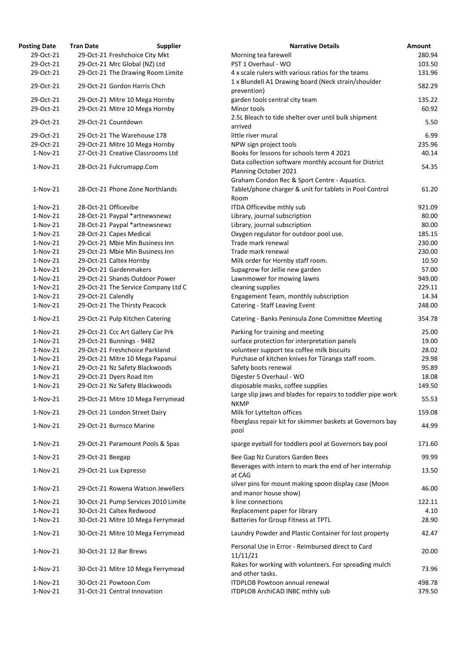| osting Date | <b>Tran Date</b>   | <b>Supplier</b>                     | <b>Narrative Details</b>                                                                                       |
|-------------|--------------------|-------------------------------------|----------------------------------------------------------------------------------------------------------------|
| 29-Oct-21   |                    | 29-Oct-21 Freshchoice City Mkt      | Morning tea farewell                                                                                           |
| 29-Oct-21   |                    | 29-Oct-21 Mrc Global (NZ) Ltd       | PST 1 Overhaul - WO                                                                                            |
| 29-Oct-21   |                    | 29-Oct-21 The Drawing Room Limite   | 4 x scale rulers with various ratios for the teams                                                             |
| 29-Oct-21   |                    | 29-Oct-21 Gordon Harris Chch        | 1 x Blundell A1 Drawing board (Neck strain/shoulder<br>prevention)                                             |
| 29-Oct-21   |                    | 29-Oct-21 Mitre 10 Mega Hornby      | garden tools central city team                                                                                 |
| 29-Oct-21   |                    | 29-Oct-21 Mitre 10 Mega Hornby      | Minor tools                                                                                                    |
| 29-Oct-21   |                    | 29-Oct-21 Countdown                 | 2.5L Bleach to tide shelter over until bulk shipment<br>arrived                                                |
| 29-Oct-21   |                    | 29-Oct-21 The Warehouse 178         | little river mural                                                                                             |
| 29-Oct-21   |                    | 29-Oct-21 Mitre 10 Mega Hornby      | NPW sign project tools                                                                                         |
| $1-Nov-21$  |                    | 27-Oct-21 Creative Classrooms Ltd   | Books for lessons for schools term 4 2021                                                                      |
| $1-Nov-21$  |                    | 28-Oct-21 Fulcrumapp.Com            | Data collection software monthly account for District<br>Planning October 2021                                 |
| $1-Nov-21$  |                    | 28-Oct-21 Phone Zone Northlands     | Graham Condon Rec & Sport Centre - Aquatics.<br>Tablet/phone charger & unit for tablets in Pool Contro<br>Room |
| $1-Nov-21$  |                    | 28-Oct-21 Officevibe                | ITDA Officevibe mthly sub                                                                                      |
| 1-Nov-21    |                    | 28-Oct-21 Paypal *artnewsnewz       | Library, journal subscription                                                                                  |
| $1-Nov-21$  |                    | 28-Oct-21 Paypal *artnewsnewz       | Library, journal subscription                                                                                  |
| $1-Nov-21$  |                    | 28-Oct-21 Capes Medical             | Oxygen regulator for outdoor pool use.                                                                         |
| $1-Nov-21$  |                    | 29-Oct-21 Mbie Min Business Inn     | Trade mark renewal                                                                                             |
| $1-Nov-21$  |                    | 29-Oct-21 Mbie Min Business Inn     | Trade mark renewal                                                                                             |
| $1-Nov-21$  |                    | 29-Oct-21 Caltex Hornby             | Milk order for Hornby staff room.                                                                              |
| $1-Nov-21$  |                    | 29-Oct-21 Gardenmakers              | Supagrow for Jellie new garden                                                                                 |
| $1-Nov-21$  |                    | 29-Oct-21 Shands Outdoor Power      | Lawnmower for mowing lawns                                                                                     |
| $1-Nov-21$  |                    | 29-Oct-21 The Service Company Ltd C | cleaning supplies                                                                                              |
| $1-Nov-21$  | 29-Oct-21 Calendly |                                     | Engagement Team, monthly subscription                                                                          |
| $1-Nov-21$  |                    | 29-Oct-21 The Thirsty Peacock       | Catering - Staff Leaving Event                                                                                 |
| $1-Nov-21$  |                    | 29-Oct-21 Pulp Kitchen Catering     | Catering - Banks Peninsula Zone Committee Meeting                                                              |
| $1-Nov-21$  |                    | 29-Oct-21 Ccc Art Gallery Car Prk   | Parking for training and meeting                                                                               |
| $1-Nov-21$  |                    | 29-Oct-21 Bunnings - 9482           | surface protection for interpretation panels                                                                   |
| $1-Nov-21$  |                    | 29-Oct-21 Freshchoice Parkland      | volunteer support tea coffee milk biscuits                                                                     |
| $1-Nov-21$  |                    | 29-Oct-21 Mitre 10 Mega Papanui     | Purchase of kitchen knives for Tūranga staff room.                                                             |
| $1-Nov-21$  |                    | 29-Oct-21 Nz Safety Blackwoods      | Safety boots renewal                                                                                           |
| $1-Nov-21$  |                    | 29-Oct-21 Dyers Road Itm            | Digester 5 Overhaul - WO                                                                                       |
| $1-Nov-21$  |                    | 29-Oct-21 Nz Safety Blackwoods      | disposable masks, coffee supplies                                                                              |
| $1-Nov-21$  |                    | 29-Oct-21 Mitre 10 Mega Ferrymead   | Large slip jaws and blades for repairs to toddler pipe v<br><b>NKMP</b>                                        |
| $1-Nov-21$  |                    | 29-Oct-21 London Street Dairy       | Milk for Lyttelton offices                                                                                     |
| $1-Nov-21$  |                    | 29-Oct-21 Burnsco Marine            | fiberglass repair kit for skimmer baskets at Governors<br>pool                                                 |
| $1-Nov-21$  |                    | 29-Oct-21 Paramount Pools & Spas    | sparge eyeball for toddlers pool at Governors bay poo                                                          |
| $1-Nov-21$  | 29-Oct-21 Beegap   |                                     | Bee Gap Nz Curators Garden Bees<br>Beverages with intern to mark the end of her internsh                       |
| $1-Nov-21$  |                    | 29-Oct-21 Lux Expresso              | at CAG                                                                                                         |
| $1-Nov-21$  |                    | 29-Oct-21 Rowena Watson Jewellers   | silver pins for mount making spoon display case (Moo<br>and manor house show)                                  |
| $1-Nov-21$  |                    | 30-Oct-21 Pump Services 2010 Limite | k line connections                                                                                             |
| $1-Nov-21$  |                    | 30-Oct-21 Caltex Redwood            | Replacement paper for library                                                                                  |
| $1-Nov-21$  |                    | 30-Oct-21 Mitre 10 Mega Ferrymead   | Batteries for Group Fitness at TPTL                                                                            |
| $1-Nov-21$  |                    | 30-Oct-21 Mitre 10 Mega Ferrymead   | Laundry Powder and Plastic Container for lost propert                                                          |
| $1-Nov-21$  |                    | 30-Oct-21 12 Bar Brews              | Personal Use in Error - Reimbursed direct to Card<br>11/11/21                                                  |
| $1-Nov-21$  |                    | 30-Oct-21 Mitre 10 Mega Ferrymead   | Rakes for working with volunteers. For spreading mul-<br>and other tasks.                                      |
| $1-Nov-21$  |                    | 30-Oct-21 Powtoon.Com               | <b>ITDPLOB Powtoon annual renewal</b>                                                                          |
| $1-Nov-21$  |                    | 31-Oct-21 Central Innovation        | ITDPLOB ArchiCAD INBC mthly sub                                                                                |

| <b>Posting Date</b> | <b>Tran Date</b>   | <b>Supplier</b>                     | <b>Narrative Details</b>                                                                                        | <b>Amount</b> |
|---------------------|--------------------|-------------------------------------|-----------------------------------------------------------------------------------------------------------------|---------------|
| 29-Oct-21           |                    | 29-Oct-21 Freshchoice City Mkt      | Morning tea farewell                                                                                            | 280.94        |
| 29-Oct-21           |                    | 29-Oct-21 Mrc Global (NZ) Ltd       | PST 1 Overhaul - WO                                                                                             | 103.50        |
| 29-Oct-21           |                    | 29-Oct-21 The Drawing Room Limite   | 4 x scale rulers with various ratios for the teams                                                              | 131.96        |
| 29-Oct-21           |                    | 29-Oct-21 Gordon Harris Chch        | 1 x Blundell A1 Drawing board (Neck strain/shoulder<br>prevention)                                              | 582.29        |
| 29-Oct-21           |                    | 29-Oct-21 Mitre 10 Mega Hornby      | garden tools central city team                                                                                  | 135.22        |
| 29-Oct-21           |                    | 29-Oct-21 Mitre 10 Mega Hornby      | Minor tools                                                                                                     | 60.92         |
| 29-Oct-21           |                    | 29-Oct-21 Countdown                 | 2.5L Bleach to tide shelter over until bulk shipment<br>arrived                                                 | 5.50          |
| 29-Oct-21           |                    | 29-Oct-21 The Warehouse 178         | little river mural                                                                                              | 6.99          |
| 29-Oct-21           |                    | 29-Oct-21 Mitre 10 Mega Hornby      | NPW sign project tools                                                                                          | 235.96        |
| $1-Nov-21$          |                    | 27-Oct-21 Creative Classrooms Ltd   | Books for lessons for schools term 4 2021                                                                       | 40.14         |
| $1-Nov-21$          |                    | 28-Oct-21 Fulcrumapp.Com            | Data collection software monthly account for District<br>Planning October 2021                                  | 54.35         |
| $1-Nov-21$          |                    | 28-Oct-21 Phone Zone Northlands     | Graham Condon Rec & Sport Centre - Aquatics.<br>Tablet/phone charger & unit for tablets in Pool Control<br>Room | 61.20         |
| 1-Nov-21            |                    | 28-Oct-21 Officevibe                | ITDA Officevibe mthly sub                                                                                       | 921.09        |
| 1-Nov-21            |                    | 28-Oct-21 Paypal *artnewsnewz       | Library, journal subscription                                                                                   | 80.00         |
| 1-Nov-21            |                    | 28-Oct-21 Paypal *artnewsnewz       | Library, journal subscription                                                                                   | 80.00         |
| $1-Nov-21$          |                    | 28-Oct-21 Capes Medical             | Oxygen regulator for outdoor pool use.                                                                          | 185.15        |
| $1-Nov-21$          |                    | 29-Oct-21 Mbie Min Business Inn     | Trade mark renewal                                                                                              | 230.00        |
| $1-Nov-21$          |                    | 29-Oct-21 Mbie Min Business Inn     | Trade mark renewal                                                                                              | 230.00        |
| $1-Nov-21$          |                    | 29-Oct-21 Caltex Hornby             | Milk order for Hornby staff room.                                                                               | 10.50         |
| $1-Nov-21$          |                    | 29-Oct-21 Gardenmakers              | Supagrow for Jellie new garden                                                                                  | 57.00         |
| $1-Nov-21$          |                    | 29-Oct-21 Shands Outdoor Power      | Lawnmower for mowing lawns                                                                                      | 949.00        |
| $1-Nov-21$          |                    | 29-Oct-21 The Service Company Ltd C | cleaning supplies                                                                                               | 229.11        |
| $1-Nov-21$          | 29-Oct-21 Calendly |                                     | Engagement Team, monthly subscription                                                                           | 14.34         |
| $1-Nov-21$          |                    | 29-Oct-21 The Thirsty Peacock       | Catering - Staff Leaving Event                                                                                  | 248.00        |
| $1-Nov-21$          |                    | 29-Oct-21 Pulp Kitchen Catering     | Catering - Banks Peninsula Zone Committee Meeting                                                               | 354.78        |
|                     |                    |                                     |                                                                                                                 |               |
| 1-Nov-21            |                    | 29-Oct-21 Ccc Art Gallery Car Prk   | Parking for training and meeting                                                                                | 25.00         |
| 1-Nov-21            |                    | 29-Oct-21 Bunnings - 9482           | surface protection for interpretation panels                                                                    | 19.00         |
| $1-Nov-21$          |                    | 29-Oct-21 Freshchoice Parkland      | volunteer support tea coffee milk biscuits                                                                      | 28.02         |
| $1-Nov-21$          |                    | 29-Oct-21 Mitre 10 Mega Papanui     | Purchase of kitchen knives for Tūranga staff room.                                                              | 29.98         |
| 1-Nov-21            |                    | 29-Oct-21 Nz Safety Blackwoods      | Safety boots renewal                                                                                            | 95.89         |
| $1-Nov-21$          |                    | 29-Oct-21 Dyers Road Itm            | Digester 5 Overhaul - WO                                                                                        | 18.08         |
| $1-Nov-21$          |                    | 29-Oct-21 Nz Safety Blackwoods      | disposable masks, coffee supplies                                                                               | 149.50        |
| $1-Nov-21$          |                    | 29-Oct-21 Mitre 10 Mega Ferrymead   | Large slip jaws and blades for repairs to toddler pipe work<br><b>NKMP</b>                                      | 55.53         |
| 1-Nov-21            |                    | 29-Oct-21 London Street Dairy       | Milk for Lyttelton offices                                                                                      | 159.08        |
| $1-Nov-21$          |                    | 29-Oct-21 Burnsco Marine            | fiberglass repair kit for skimmer baskets at Governors bay<br>pool                                              | 44.99         |
| $1-Nov-21$          |                    | 29-Oct-21 Paramount Pools & Spas    | sparge eyeball for toddlers pool at Governors bay pool                                                          | 171.60        |
| $1-Nov-21$          | 29-Oct-21 Beegap   |                                     | Bee Gap Nz Curators Garden Bees                                                                                 | 99.99         |
| 1-Nov-21            |                    | 29-Oct-21 Lux Expresso              | Beverages with intern to mark the end of her internship<br>at CAG                                               | 13.50         |
| 1-Nov-21            |                    | 29-Oct-21 Rowena Watson Jewellers   | silver pins for mount making spoon display case (Moon<br>and manor house show)                                  | 46.00         |
| 1-Nov-21            |                    | 30-Oct-21 Pump Services 2010 Limite | k line connections                                                                                              | 122.11        |
| 1-Nov-21            |                    | 30-Oct-21 Caltex Redwood            | Replacement paper for library                                                                                   | 4.10          |
| 1-Nov-21            |                    | 30-Oct-21 Mitre 10 Mega Ferrymead   | Batteries for Group Fitness at TPTL                                                                             | 28.90         |
| $1-Nov-21$          |                    | 30-Oct-21 Mitre 10 Mega Ferrymead   | Laundry Powder and Plastic Container for lost property                                                          | 42.47         |
| 1-Nov-21            |                    | 30-Oct-21 12 Bar Brews              | Personal Use in Error - Reimbursed direct to Card<br>11/11/21                                                   | 20.00         |
| $1-Nov-21$          |                    | 30-Oct-21 Mitre 10 Mega Ferrymead   | Rakes for working with volunteers. For spreading mulch<br>and other tasks.                                      | 73.96         |
| 1-Nov-21            |                    | 30-Oct-21 Powtoon.Com               | <b>ITDPLOB Powtoon annual renewal</b>                                                                           | 498.78        |
| $1-Nov-21$          |                    | 31-Oct-21 Central Innovation        | <b>ITDPLOB ArchiCAD INBC mthly sub</b>                                                                          | 379.50        |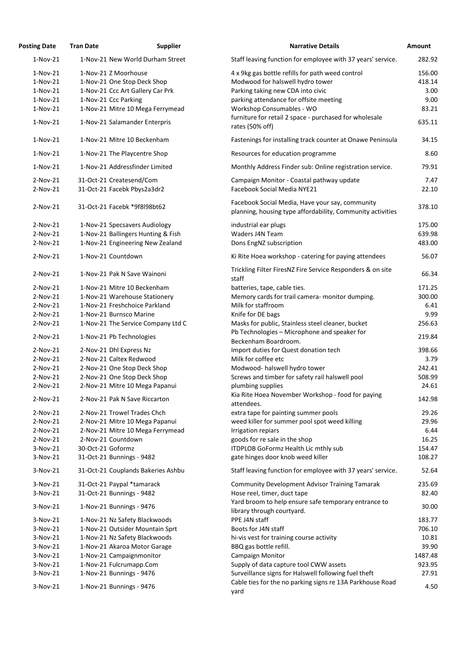| <b>Posting Date</b> | <b>Tran Date</b>  | <b>Supplier</b>                    | <b>Narrative Details</b>                                                                                      | <b>Amount</b> |
|---------------------|-------------------|------------------------------------|---------------------------------------------------------------------------------------------------------------|---------------|
| $1-Nov-21$          |                   | 1-Nov-21 New World Durham Street   | Staff leaving function for employee with 37 years' service.                                                   | 282.92        |
| $1-Nov-21$          |                   | 1-Nov-21 Z Moorhouse               | 4 x 9kg gas bottle refills for path weed control                                                              | 156.00        |
| $1-Nov-21$          |                   | 1-Nov-21 One Stop Deck Shop        | Modwood for halswell hydro tower                                                                              | 418.14        |
| $1-Nov-21$          |                   | 1-Nov-21 Ccc Art Gallery Car Prk   | Parking taking new CDA into civic                                                                             | 3.00          |
| $1-Nov-21$          |                   | 1-Nov-21 Ccc Parking               | parking attendance for offsite meeting                                                                        | 9.00          |
| $1-Nov-21$          |                   | 1-Nov-21 Mitre 10 Mega Ferrymead   | Workshop Consumables - WO                                                                                     | 83.21         |
|                     |                   |                                    | furniture for retail 2 space - purchased for wholesale                                                        |               |
| $1-Nov-21$          |                   | 1-Nov-21 Salamander Enterpris      | rates (50% off)                                                                                               | 635.11        |
| $1-Nov-21$          |                   | 1-Nov-21 Mitre 10 Beckenham        | Fastenings for installing track counter at Onawe Peninsula                                                    | 34.15         |
| $1-Nov-21$          |                   | 1-Nov-21 The Playcentre Shop       | Resources for education programme                                                                             | 8.60          |
| $1-Nov-21$          |                   | 1-Nov-21 Addressfinder Limited     | Monthly Address Finder sub: Online registration service.                                                      | 79.91         |
| $2-Nov-21$          |                   | 31-Oct-21 Createsend/Com           | Campaign Monitor - Coastal pathway update                                                                     | 7.47          |
| $2-Nov-21$          |                   | 31-Oct-21 Facebk Pbys2a3dr2        | Facebook Social Media NYE21                                                                                   | 22.10         |
| $2-Nov-21$          |                   | 31-Oct-21 Facebk *9f8l98bt62       | Facebook Social Media, Have your say, community<br>planning, housing type affordability, Community activities | 378.10        |
| $2-Nov-21$          |                   | 1-Nov-21 Specsavers Audiology      | industrial ear plugs                                                                                          | 175.00        |
| $2-Nov-21$          |                   | 1-Nov-21 Ballingers Hunting & Fish | Waders J4N Team                                                                                               | 639.98        |
| $2-Nov-21$          |                   | 1-Nov-21 Engineering New Zealand   | Dons EngNZ subscription                                                                                       | 483.00        |
| $2-Nov-21$          |                   | 1-Nov-21 Countdown                 | Ki Rite Hoea workshop - catering for paying attendees                                                         | 56.07         |
| $2-Nov-21$          |                   | 1-Nov-21 Pak N Save Wainoni        | Trickling Filter FiresNZ Fire Service Responders & on site<br>staff                                           | 66.34         |
| 2-Nov-21            |                   | 1-Nov-21 Mitre 10 Beckenham        | batteries, tape, cable ties.                                                                                  | 171.25        |
| $2-Nov-21$          |                   | 1-Nov-21 Warehouse Stationery      | Memory cards for trail camera- monitor dumping.                                                               | 300.00        |
| $2-Nov-21$          |                   | 1-Nov-21 Freshchoice Parkland      | Milk for staffroom                                                                                            | 6.41          |
| $2-Nov-21$          |                   | 1-Nov-21 Burnsco Marine            | Knife for DE bags                                                                                             | 9.99          |
| $2-Nov-21$          |                   | 1-Nov-21 The Service Company Ltd C | Masks for public, Stainless steel cleaner, bucket                                                             | 256.63        |
| $2-Nov-21$          |                   | 1-Nov-21 Pb Technologies           | Pb Technologies - Microphone and speaker for<br>Beckenham Boardroom.                                          | 219.84        |
| $2-Nov-21$          |                   | 2-Nov-21 Dhl Express Nz            | Import duties for Quest donation tech                                                                         | 398.66        |
| $2-Nov-21$          |                   | 2-Nov-21 Caltex Redwood            | Milk for coffee etc                                                                                           | 3.79          |
| $2-Nov-21$          |                   | 2-Nov-21 One Stop Deck Shop        | Modwood-halswell hydro tower                                                                                  | 242.41        |
| $2-Nov-21$          |                   | 2-Nov-21 One Stop Deck Shop        | Screws and timber for safety rail halswell pool                                                               | 508.99        |
| $2-Nov-21$          |                   | 2-Nov-21 Mitre 10 Mega Papanui     | plumbing supplies                                                                                             | 24.61         |
| $2-Nov-21$          |                   | 2-Nov-21 Pak N Save Riccarton      | Kia Rite Hoea November Workshop - food for paying                                                             | 142.98        |
|                     |                   |                                    | attendees.                                                                                                    |               |
| $2-Nov-21$          |                   | 2-Nov-21 Trowel Trades Chch        | extra tape for painting summer pools                                                                          | 29.26         |
| $2-Nov-21$          |                   | 2-Nov-21 Mitre 10 Mega Papanui     | weed killer for summer pool spot weed killing                                                                 | 29.96         |
| $2-Nov-21$          |                   | 2-Nov-21 Mitre 10 Mega Ferrymead   | Irrigation repiars                                                                                            | 6.44          |
| $2-Nov-21$          |                   | 2-Nov-21 Countdown                 | goods for re sale in the shop                                                                                 | 16.25         |
| $3-Nov-21$          | 30-Oct-21 Goformz |                                    | ITDPLOB GoFormz Health Lic mthly sub                                                                          | 154.47        |
| $3-Nov-21$          |                   | 31-Oct-21 Bunnings - 9482          | gate hinges door knob weed killer                                                                             | 108.27        |
| $3-Nov-21$          |                   | 31-Oct-21 Couplands Bakeries Ashbu | Staff leaving function for employee with 37 years' service.                                                   | 52.64         |
| 3-Nov-21            |                   | 31-Oct-21 Paypal *tamarack         | <b>Community Development Advisor Training Tamarak</b>                                                         | 235.69        |
| $3-Nov-21$          |                   | 31-Oct-21 Bunnings - 9482          | Hose reel, timer, duct tape                                                                                   | 82.40         |
| 3-Nov-21            |                   | 1-Nov-21 Bunnings - 9476           | Yard broom to help ensure safe temporary entrance to<br>library through courtyard.                            | 30.00         |
| $3-Nov-21$          |                   | 1-Nov-21 Nz Safety Blackwoods      | PPE J4N staff                                                                                                 | 183.77        |
| $3-Nov-21$          |                   | 1-Nov-21 Outsider Mountain Sprt    | Boots for J4N staff                                                                                           | 706.10        |
| $3-Nov-21$          |                   | 1-Nov-21 Nz Safety Blackwoods      | hi-vis vest for training course activity                                                                      | 10.81         |
| $3-Nov-21$          |                   | 1-Nov-21 Akaroa Motor Garage       | BBQ gas bottle refill.                                                                                        | 39.90         |
| $3-Nov-21$          |                   | 1-Nov-21 Campaignmonitor           | <b>Campaign Monitor</b>                                                                                       | 1487.48       |
| $3-Nov-21$          |                   | 1-Nov-21 Fulcrumapp.Com            | Supply of data capture tool CWW assets                                                                        | 923.95        |
| $3-Nov-21$          |                   | 1-Nov-21 Bunnings - 9476           | Surveillance signs for Halswell following fuel theft                                                          | 27.91         |
| 3-Nov-21            |                   | 1-Nov-21 Bunnings - 9476           | Cable ties for the no parking signs re 13A Parkhouse Road<br>yard                                             | 4.50          |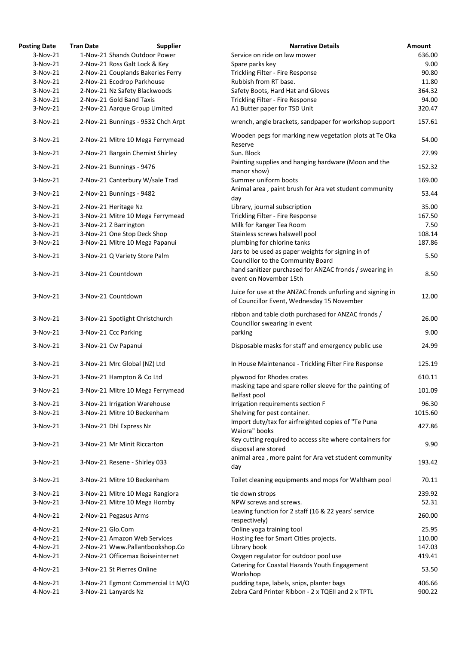| <b>Posting Date</b> | <b>Tran Date</b> | <b>Supplier</b>                    | <b>Narrative Details</b>                                                                                 | Amount  |
|---------------------|------------------|------------------------------------|----------------------------------------------------------------------------------------------------------|---------|
| $3-Nov-21$          |                  | 1-Nov-21 Shands Outdoor Power      | Service on ride on law mower                                                                             | 636.00  |
| $3-Nov-21$          |                  | 2-Nov-21 Ross Galt Lock & Key      | Spare parks key                                                                                          | 9.00    |
| 3-Nov-21            |                  | 2-Nov-21 Couplands Bakeries Ferry  | Trickling Filter - Fire Response                                                                         | 90.80   |
| 3-Nov-21            |                  | 2-Nov-21 Ecodrop Parkhouse         | Rubbish from RT base.                                                                                    | 11.80   |
| $3-Nov-21$          |                  | 2-Nov-21 Nz Safety Blackwoods      | Safety Boots, Hard Hat and Gloves                                                                        | 364.32  |
| $3-Nov-21$          |                  | 2-Nov-21 Gold Band Taxis           | Trickling Filter - Fire Response                                                                         | 94.00   |
| $3-Nov-21$          |                  | 2-Nov-21 Aarque Group Limited      | A1 Butter paper for TSD Unit                                                                             | 320.47  |
| 3-Nov-21            |                  | 2-Nov-21 Bunnings - 9532 Chch Arpt | wrench, angle brackets, sandpaper for workshop support                                                   | 157.61  |
| 3-Nov-21            |                  | 2-Nov-21 Mitre 10 Mega Ferrymead   | Wooden pegs for marking new vegetation plots at Te Oka                                                   | 54.00   |
| 3-Nov-21            |                  | 2-Nov-21 Bargain Chemist Shirley   | Reserve<br>Sun. Block                                                                                    | 27.99   |
| 3-Nov-21            |                  | 2-Nov-21 Bunnings - 9476           | Painting supplies and hanging hardware (Moon and the                                                     | 152.32  |
| 3-Nov-21            |                  | 2-Nov-21 Canterbury W/sale Trad    | manor show)<br>Summer uniform boots                                                                      | 169.00  |
| 3-Nov-21            |                  | 2-Nov-21 Bunnings - 9482           | Animal area, paint brush for Ara vet student community<br>day                                            | 53.44   |
| 3-Nov-21            |                  | 2-Nov-21 Heritage Nz               | Library, journal subscription                                                                            | 35.00   |
| 3-Nov-21            |                  | 3-Nov-21 Mitre 10 Mega Ferrymead   | Trickling Filter - Fire Response                                                                         | 167.50  |
| $3-Nov-21$          |                  | 3-Nov-21 Z Barrington              | Milk for Ranger Tea Room                                                                                 | 7.50    |
| 3-Nov-21            |                  | 3-Nov-21 One Stop Deck Shop        | Stainless screws halswell pool                                                                           | 108.14  |
| $3-Nov-21$          |                  | 3-Nov-21 Mitre 10 Mega Papanui     | plumbing for chlorine tanks                                                                              | 187.86  |
| 3-Nov-21            |                  | 3-Nov-21 Q Variety Store Palm      | Jars to be used as paper weights for signing in of                                                       | 5.50    |
| 3-Nov-21            |                  | 3-Nov-21 Countdown                 | Councillor to the Community Board<br>hand sanitizer purchased for ANZAC fronds / swearing in             | 8.50    |
|                     |                  |                                    | event on November 15th                                                                                   |         |
| 3-Nov-21            |                  | 3-Nov-21 Countdown                 | Juice for use at the ANZAC fronds unfurling and signing in<br>of Councillor Event, Wednesday 15 November | 12.00   |
| 3-Nov-21            |                  | 3-Nov-21 Spotlight Christchurch    | ribbon and table cloth purchased for ANZAC fronds /<br>Councillor swearing in event                      | 26.00   |
| 3-Nov-21            |                  | 3-Nov-21 Ccc Parking               | parking                                                                                                  | 9.00    |
| 3-Nov-21            |                  | 3-Nov-21 Cw Papanui                | Disposable masks for staff and emergency public use                                                      | 24.99   |
| $3-Nov-21$          |                  | 3-Nov-21 Mrc Global (NZ) Ltd       | In House Maintenance - Trickling Filter Fire Response                                                    | 125.19  |
| 3-Nov-21            |                  | 3-Nov-21 Hampton & Co Ltd          | plywood for Rhodes crates                                                                                | 610.11  |
| $3-Nov-21$          |                  | 3-Nov-21 Mitre 10 Mega Ferrymead   | masking tape and spare roller sleeve for the painting of                                                 | 101.09  |
|                     |                  |                                    | Belfast pool                                                                                             |         |
| $3-Nov-21$          |                  | 3-Nov-21 Irrigation Warehouse      | Irrigation requirements section F                                                                        | 96.30   |
| 3-Nov-21            |                  | 3-Nov-21 Mitre 10 Beckenham        | Shelving for pest container.<br>Import duty/tax for airfreighted copies of "Te Puna                      | 1015.60 |
| 3-Nov-21            |                  | 3-Nov-21 Dhl Express Nz            | Waiora" books                                                                                            | 427.86  |
| 3-Nov-21            |                  | 3-Nov-21 Mr Minit Riccarton        | Key cutting required to access site where containers for<br>disposal are stored                          | 9.90    |
| 3-Nov-21            |                  | 3-Nov-21 Resene - Shirley 033      | animal area, more paint for Ara vet student community<br>day                                             | 193.42  |
| 3-Nov-21            |                  | 3-Nov-21 Mitre 10 Beckenham        | Toilet cleaning equipments and mops for Waltham pool                                                     | 70.11   |
| 3-Nov-21            |                  | 3-Nov-21 Mitre 10 Mega Rangiora    | tie down strops                                                                                          | 239.92  |
| 3-Nov-21            |                  | 3-Nov-21 Mitre 10 Mega Hornby      | NPW screws and screws.                                                                                   | 52.31   |
| 4-Nov-21            |                  | 2-Nov-21 Pegasus Arms              | Leaving function for 2 staff (16 & 22 years' service                                                     | 260.00  |
|                     |                  |                                    | respectively)                                                                                            |         |
| 4-Nov-21            | 2-Nov-21 Glo.Com |                                    | Online yoga training tool                                                                                | 25.95   |
| 4-Nov-21            |                  | 2-Nov-21 Amazon Web Services       | Hosting fee for Smart Cities projects.                                                                   | 110.00  |
| $4-Nov-21$          |                  | 2-Nov-21 Www.Pallantbookshop.Co    | Library book                                                                                             | 147.03  |
| 4-Nov-21            |                  | 2-Nov-21 Officemax Boiseinternet   | Oxygen regulator for outdoor pool use<br>Catering for Coastal Hazards Youth Engagement                   | 419.41  |
| 4-Nov-21            |                  | 3-Nov-21 St Pierres Online         | Workshop                                                                                                 | 53.50   |
| 4-Nov-21            |                  | 3-Nov-21 Egmont Commercial Lt M/O  | pudding tape, labels, snips, planter bags                                                                | 406.66  |
| 4-Nov-21            |                  | 3-Nov-21 Lanyards Nz               | Zebra Card Printer Ribbon - 2 x TQEII and 2 x TPTL                                                       | 900.22  |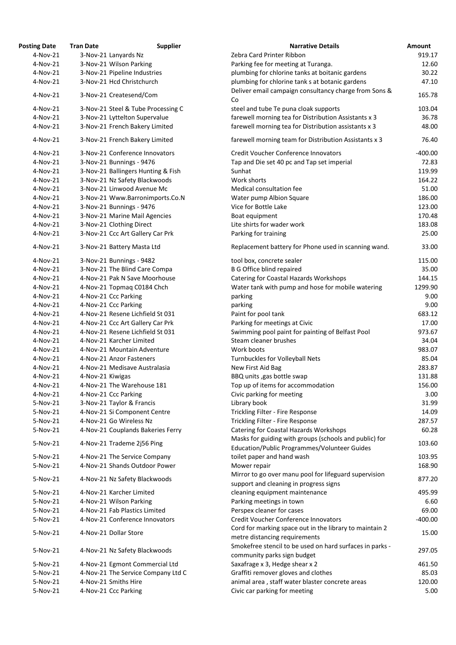| <b>osting Date</b>     | <b>Tran Date</b> | <b>Supplier</b>                                                |
|------------------------|------------------|----------------------------------------------------------------|
| $4-Nov-21$             |                  | 3-Nov-21 Lanyards Nz                                           |
| 4-Nov-21               |                  | 3-Nov-21 Wilson Parking                                        |
| 4-Nov-21               |                  | 3-Nov-21 Pipeline Industries                                   |
| 4-Nov-21               |                  | 3-Nov-21 Hcd Christchurch                                      |
| 4-Nov-21               |                  | 3-Nov-21 Createsend/Com                                        |
| 4-Nov-21               |                  | 3-Nov-21 Steel & Tube Processing C                             |
| 4-Nov-21               |                  | 3-Nov-21 Lyttelton Supervalue                                  |
| 4-Nov-21               |                  | 3-Nov-21 French Bakery Limited                                 |
| 4-Nov-21               |                  | 3-Nov-21 French Bakery Limited                                 |
| 4-Nov-21               |                  | 3-Nov-21 Conference Innovators                                 |
| 4-Nov-21               |                  | 3-Nov-21 Bunnings - 9476                                       |
| $4-Nov-21$             |                  | 3-Nov-21 Ballingers Hunting & Fish                             |
| $4-Nov-21$             |                  | 3-Nov-21 Nz Safety Blackwoods                                  |
| $4-Nov-21$             |                  | 3-Nov-21 Linwood Avenue Mc                                     |
| 4-Nov-21               |                  | 3-Nov-21 Www.Barronimports.Co.N                                |
| 4-Nov-21               |                  | 3-Nov-21 Bunnings - 9476                                       |
| 4-Nov-21               |                  | 3-Nov-21 Marine Mail Agencies                                  |
| 4-Nov-21               |                  | 3-Nov-21 Clothing Direct                                       |
| 4-Nov-21<br>4-Nov-21   |                  | 3-Nov-21 Ccc Art Gallery Car Prk<br>3-Nov-21 Battery Masta Ltd |
|                        |                  |                                                                |
| 4-Nov-21               |                  | 3-Nov-21 Bunnings - 9482                                       |
| 4-Nov-21               |                  | 3-Nov-21 The Blind Care Compa                                  |
| 4-Nov-21               |                  | 4-Nov-21 Pak N Save Moorhouse                                  |
| 4-Nov-21               |                  | 4-Nov-21 Topmaq C0184 Chch                                     |
| 4-Nov-21               |                  | 4-Nov-21 Ccc Parking                                           |
| 4-Nov-21               |                  | 4-Nov-21 Ccc Parking                                           |
| $4-Nov-21$             |                  | 4-Nov-21 Resene Lichfield St 031                               |
| 4-Nov-21               |                  | 4-Nov-21 Ccc Art Gallery Car Prk                               |
| 4-Nov-21               |                  | 4-Nov-21 Resene Lichfield St 031                               |
| 4-Nov-21               |                  | 4-Nov-21 Karcher Limited                                       |
| 4-Nov-21               |                  | 4-Nov-21 Mountain Adventure                                    |
| 4-Nov-21               |                  | 4-Nov-21 Anzor Fasteners                                       |
| 4-Nov-21<br>$4-Nov-21$ | 4-Nov-21 Kiwigas | 4-Nov-21 Medisave Australasia                                  |
| 4-Nov-21               |                  | 4-Nov-21 The Warehouse 181                                     |
| 4-Nov-21               |                  | 4-Nov-21 Ccc Parking                                           |
| 5-Nov-21               |                  | 3-Nov-21 Taylor & Francis                                      |
| 5-Nov-21               |                  | 4-Nov-21 Si Component Centre                                   |
| 5-Nov-21               |                  | 4-Nov-21 Go Wireless Nz                                        |
| 5-Nov-21               |                  | 4-Nov-21 Couplands Bakeries Ferry                              |
| 5-Nov-21               |                  | 4-Nov-21 Trademe 2j56 Ping                                     |
| 5-Nov-21               |                  | 4-Nov-21 The Service Company                                   |
| 5-Nov-21               |                  | 4-Nov-21 Shands Outdoor Power                                  |
| 5-Nov-21               |                  | 4-Nov-21 Nz Safety Blackwoods                                  |
| 5-Nov-21               |                  | 4-Nov-21 Karcher Limited                                       |
| 5-Nov-21               |                  | 4-Nov-21 Wilson Parking                                        |
| 5-Nov-21               |                  | 4-Nov-21 Fab Plastics Limited                                  |
| 5-Nov-21               |                  | 4-Nov-21 Conference Innovators                                 |
| 5-Nov-21               |                  | 4-Nov-21 Dollar Store                                          |
| 5-Nov-21               |                  | 4-Nov-21 Nz Safety Blackwoods                                  |
| 5-Nov-21               |                  | 4-Nov-21 Egmont Commercial Ltd                                 |
| 5-Nov-21               |                  | 4-Nov-21 The Service Company Ltd C                             |
| 5-Nov-21               |                  | 4-Nov-21 Smiths Hire                                           |
| 5-Nov-21               |                  | 4-Nov-21 Ccc Parking                                           |

| <b>Posting Date</b> | <b>Tran Date</b> | <b>Supplier</b>                    | <b>Narrative Details</b>                                 | <b>Amount</b> |
|---------------------|------------------|------------------------------------|----------------------------------------------------------|---------------|
| 4-Nov-21            |                  | 3-Nov-21 Lanyards Nz               | Zebra Card Printer Ribbon                                | 919.17        |
| 4-Nov-21            |                  | 3-Nov-21 Wilson Parking            | Parking fee for meeting at Turanga.                      | 12.60         |
| 4-Nov-21            |                  | 3-Nov-21 Pipeline Industries       | plumbing for chlorine tanks at boitanic gardens          | 30.22         |
| 4-Nov-21            |                  | 3-Nov-21 Hcd Christchurch          | plumbing for chlorine tank s at botanic gardens          | 47.10         |
|                     |                  |                                    | Deliver email campaign consultancy charge from Sons &    |               |
| 4-Nov-21            |                  | 3-Nov-21 Createsend/Com            | Co                                                       | 165.78        |
| 4-Nov-21            |                  | 3-Nov-21 Steel & Tube Processing C | steel and tube Te puna cloak supports                    | 103.04        |
| 4-Nov-21            |                  | 3-Nov-21 Lyttelton Supervalue      | farewell morning tea for Distribution Assistants x 3     | 36.78         |
| 4-Nov-21            |                  | 3-Nov-21 French Bakery Limited     | farewell morning tea for Distribution assistants x 3     | 48.00         |
|                     |                  |                                    |                                                          |               |
| 4-Nov-21            |                  | 3-Nov-21 French Bakery Limited     | farewell morning team for Distribution Assistants x 3    | 76.40         |
| 4-Nov-21            |                  | 3-Nov-21 Conference Innovators     | <b>Credit Voucher Conference Innovators</b>              | $-400.00$     |
| 4-Nov-21            |                  | 3-Nov-21 Bunnings - 9476           | Tap and Die set 40 pc and Tap set imperial               | 72.83         |
| 4-Nov-21            |                  | 3-Nov-21 Ballingers Hunting & Fish | Sunhat                                                   | 119.99        |
| 4-Nov-21            |                  | 3-Nov-21 Nz Safety Blackwoods      | Work shorts                                              | 164.22        |
| 4-Nov-21            |                  | 3-Nov-21 Linwood Avenue Mc         | Medical consultation fee                                 | 51.00         |
| 4-Nov-21            |                  | 3-Nov-21 Www.Barronimports.Co.N    | Water pump Albion Square                                 | 186.00        |
| 4-Nov-21            |                  | 3-Nov-21 Bunnings - 9476           | Vice for Bottle Lake                                     | 123.00        |
| 4-Nov-21            |                  | 3-Nov-21 Marine Mail Agencies      |                                                          | 170.48        |
|                     |                  |                                    | Boat equipment<br>Lite shirts for wader work             |               |
| 4-Nov-21            |                  | 3-Nov-21 Clothing Direct           |                                                          | 183.08        |
| 4-Nov-21            |                  | 3-Nov-21 Ccc Art Gallery Car Prk   | Parking for training                                     | 25.00         |
| 4-Nov-21            |                  | 3-Nov-21 Battery Masta Ltd         | Replacement battery for Phone used in scanning wand.     | 33.00         |
| 4-Nov-21            |                  | 3-Nov-21 Bunnings - 9482           | tool box, concrete sealer                                | 115.00        |
| 4-Nov-21            |                  | 3-Nov-21 The Blind Care Compa      | <b>B G Office blind repaired</b>                         | 35.00         |
| 4-Nov-21            |                  | 4-Nov-21 Pak N Save Moorhouse      | <b>Catering for Coastal Hazards Workshops</b>            | 144.15        |
| 4-Nov-21            |                  | 4-Nov-21 Topmaq C0184 Chch         | Water tank with pump and hose for mobile watering        | 1299.90       |
| 4-Nov-21            |                  | 4-Nov-21 Ccc Parking               | parking                                                  | 9.00          |
| $4-Nov-21$          |                  | 4-Nov-21 Ccc Parking               | parking                                                  | 9.00          |
| 4-Nov-21            |                  | 4-Nov-21 Resene Lichfield St 031   | Paint for pool tank                                      | 683.12        |
| 4-Nov-21            |                  | 4-Nov-21 Ccc Art Gallery Car Prk   | Parking for meetings at Civic                            | 17.00         |
| 4-Nov-21            |                  | 4-Nov-21 Resene Lichfield St 031   | Swimming pool paint for painting of Belfast Pool         | 973.67        |
| 4-Nov-21            |                  | 4-Nov-21 Karcher Limited           | Steam cleaner brushes                                    | 34.04         |
| 4-Nov-21            |                  | 4-Nov-21 Mountain Adventure        | Work boots                                               | 983.07        |
|                     |                  |                                    |                                                          |               |
| 4-Nov-21            |                  | 4-Nov-21 Anzor Fasteners           | <b>Turnbuckles for Volleyball Nets</b>                   | 85.04         |
| 4-Nov-21            |                  | 4-Nov-21 Medisave Australasia      | New First Aid Bag                                        | 283.87        |
| 4-Nov-21            | 4-Nov-21 Kiwigas |                                    | BBQ units , gas bottle swap                              | 131.88        |
| 4-Nov-21            |                  | 4-Nov-21 The Warehouse 181         | Top up of items for accommodation                        | 156.00        |
| 4-Nov-21            |                  | 4-Nov-21 Ccc Parking               | Civic parking for meeting                                | 3.00          |
| 5-Nov-21            |                  | 3-Nov-21 Taylor & Francis          | Library book                                             | 31.99         |
| 5-Nov-21            |                  | 4-Nov-21 Si Component Centre       | Trickling Filter - Fire Response                         | 14.09         |
| 5-Nov-21            |                  | 4-Nov-21 Go Wireless Nz            | Trickling Filter - Fire Response                         | 287.57        |
| 5-Nov-21            |                  | 4-Nov-21 Couplands Bakeries Ferry  | <b>Catering for Coastal Hazards Workshops</b>            | 60.28         |
| 5-Nov-21            |                  | 4-Nov-21 Trademe 2j56 Ping         | Masks for guiding with groups (schools and public) for   | 103.60        |
|                     |                  |                                    | Education/Public Programmes/Volunteer Guides             |               |
| 5-Nov-21            |                  | 4-Nov-21 The Service Company       | toilet paper and hand wash                               | 103.95        |
| 5-Nov-21            |                  | 4-Nov-21 Shands Outdoor Power      | Mower repair                                             | 168.90        |
| 5-Nov-21            |                  | 4-Nov-21 Nz Safety Blackwoods      | Mirror to go over manu pool for lifeguard supervision    | 877.20        |
|                     |                  |                                    | support and cleaning in progress signs                   |               |
| 5-Nov-21            |                  | 4-Nov-21 Karcher Limited           | cleaning equipment maintenance                           | 495.99        |
| 5-Nov-21            |                  | 4-Nov-21 Wilson Parking            | Parking meetings in town                                 | 6.60          |
| 5-Nov-21            |                  | 4-Nov-21 Fab Plastics Limited      | Perspex cleaner for cases                                | 69.00         |
| 5-Nov-21            |                  | 4-Nov-21 Conference Innovators     | Credit Voucher Conference Innovators                     | $-400.00$     |
| 5-Nov-21            |                  | 4-Nov-21 Dollar Store              | Cord for marking space out in the library to maintain 2  | 15.00         |
|                     |                  |                                    | metre distancing requirements                            |               |
| 5-Nov-21            |                  | 4-Nov-21 Nz Safety Blackwoods      | Smokefree stencil to be used on hard surfaces in parks - | 297.05        |
|                     |                  |                                    | community parks sign budget                              |               |
| 5-Nov-21            |                  | 4-Nov-21 Egmont Commercial Ltd     | Saxafrage x 3, Hedge shear x 2                           | 461.50        |
| 5-Nov-21            |                  | 4-Nov-21 The Service Company Ltd C | Graffiti remover gloves and clothes                      | 85.03         |
| 5-Nov-21            |                  | 4-Nov-21 Smiths Hire               | animal area, staff water blaster concrete areas          | 120.00        |
| 5-Nov-21            |                  | 4-Nov-21 Ccc Parking               | Civic car parking for meeting                            | 5.00          |
|                     |                  |                                    |                                                          |               |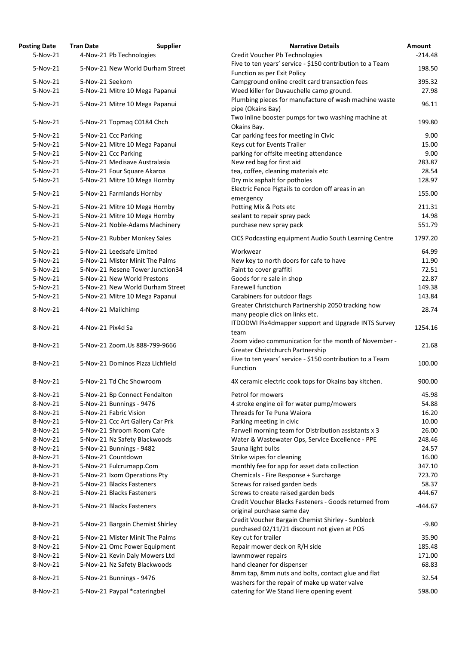| <b>Posting Date</b> | <b>Tran Date</b>     | <b>Supplier</b>                  | <b>Narrative Details</b>                                  |
|---------------------|----------------------|----------------------------------|-----------------------------------------------------------|
| 5-Nov-21            |                      | 4-Nov-21 Pb Technologies         | Credit Voucher Pb Technologies                            |
| 5-Nov-21            |                      | 5-Nov-21 New World Durham Street | Five to ten years' service - \$150 contribution to a Team |
|                     |                      |                                  | Function as per Exit Policy                               |
| 5-Nov-21            | 5-Nov-21 Seekom      |                                  | Campground online credit card transaction fees            |
| 5-Nov-21            |                      | 5-Nov-21 Mitre 10 Mega Papanui   | Weed killer for Duvauchelle camp ground.                  |
|                     |                      |                                  | Plumbing pieces for manufacture of wash machine was       |
| 5-Nov-21            |                      | 5-Nov-21 Mitre 10 Mega Papanui   | pipe (Okains Bay)                                         |
|                     |                      |                                  | Two inline booster pumps for two washing machine at       |
| 5-Nov-21            |                      | 5-Nov-21 Topmaq C0184 Chch       | Okains Bay.                                               |
| 5-Nov-21            | 5-Nov-21 Ccc Parking |                                  | Car parking fees for meeting in Civic                     |
| 5-Nov-21            |                      | 5-Nov-21 Mitre 10 Mega Papanui   | Keys cut for Events Trailer                               |
| 5-Nov-21            | 5-Nov-21 Ccc Parking |                                  | parking for offsite meeting attendance                    |
| 5-Nov-21            |                      | 5-Nov-21 Medisave Australasia    | New red bag for first aid                                 |
| 5-Nov-21            |                      | 5-Nov-21 Four Square Akaroa      | tea, coffee, cleaning materials etc                       |
| 5-Nov-21            |                      | 5-Nov-21 Mitre 10 Mega Hornby    | Dry mix asphalt for potholes                              |
|                     |                      |                                  | Electric Fence Pigtails to cordon off areas in an         |
| 5-Nov-21            |                      | 5-Nov-21 Farmlands Hornby        |                                                           |
|                     |                      |                                  | emergency                                                 |
| 5-Nov-21            |                      | 5-Nov-21 Mitre 10 Mega Hornby    | Potting Mix & Pots etc                                    |
| 5-Nov-21            |                      | 5-Nov-21 Mitre 10 Mega Hornby    | sealant to repair spray pack                              |
| 5-Nov-21            |                      | 5-Nov-21 Noble-Adams Machinery   | purchase new spray pack                                   |
| 5-Nov-21            |                      | 5-Nov-21 Rubber Monkey Sales     | CICS Podcasting equipment Audio South Learning Centr      |
| 5-Nov-21            |                      | 5-Nov-21 Leedsafe Limited        | Workwear                                                  |
| 5-Nov-21            |                      | 5-Nov-21 Mister Minit The Palms  | New key to north doors for cafe to have                   |
| 5-Nov-21            |                      | 5-Nov-21 Resene Tower Junction34 | Paint to cover graffiti                                   |
| 5-Nov-21            |                      | 5-Nov-21 New World Prestons      | Goods for re sale in shop                                 |
| 5-Nov-21            |                      | 5-Nov-21 New World Durham Street | <b>Farewell function</b>                                  |
| 5-Nov-21            |                      | 5-Nov-21 Mitre 10 Mega Papanui   | Carabiners for outdoor flags                              |
|                     |                      |                                  | Greater Christchurch Partnership 2050 tracking how        |
| 8-Nov-21            | 4-Nov-21 Mailchimp   |                                  | many people click on links etc.                           |
|                     |                      |                                  | ITDODWI Pix4dmapper support and Upgrade INTS Surve        |
| 8-Nov-21            | 4-Nov-21 Pix4d Sa    |                                  | team                                                      |
|                     |                      |                                  | Zoom video communication for the month of Novembe         |
| 8-Nov-21            |                      | 5-Nov-21 Zoom.Us 888-799-9666    | Greater Christchurch Partnership                          |
|                     |                      |                                  | Five to ten years' service - \$150 contribution to a Team |
| 8-Nov-21            |                      | 5-Nov-21 Dominos Pizza Lichfield | Function                                                  |
|                     |                      |                                  |                                                           |
| 8-Nov-21            |                      | 5-Nov-21 Td Chc Showroom         | 4X ceramic electric cook tops for Okains bay kitchen.     |
|                     |                      |                                  | Petrol for mowers                                         |
| 8-Nov-21            |                      | 5-Nov-21 Bp Connect Fendalton    |                                                           |
| 8-Nov-21            |                      | 5-Nov-21 Bunnings - 9476         | 4 stroke engine oil for water pump/mowers                 |
| 8-Nov-21            |                      | 5-Nov-21 Fabric Vision           | Threads for Te Puna Waiora                                |
| 8-Nov-21            |                      | 5-Nov-21 Ccc Art Gallery Car Prk | Parking meeting in civic                                  |
| 8-Nov-21            |                      | 5-Nov-21 Shroom Room Cafe        | Farwell morning team for Distribution assistants x 3      |
| 8-Nov-21            |                      | 5-Nov-21 Nz Safety Blackwoods    | Water & Wastewater Ops, Service Excellence - PPE          |
| 8-Nov-21            |                      | 5-Nov-21 Bunnings - 9482         | Sauna light bulbs                                         |
| 8-Nov-21            | 5-Nov-21 Countdown   |                                  | Strike wipes for cleaning                                 |
| 8-Nov-21            |                      | 5-Nov-21 Fulcrumapp.Com          | monthly fee for app for asset data collection             |
| 8-Nov-21            |                      | 5-Nov-21 Ixom Operations Pty     | Chemicals - Fire Response + Surcharge                     |
| 8-Nov-21            |                      | 5-Nov-21 Blacks Fasteners        | Screws for raised garden beds                             |
| 8-Nov-21            |                      | 5-Nov-21 Blacks Fasteners        | Screws to create raised garden beds                       |
| 8-Nov-21            |                      | 5-Nov-21 Blacks Fasteners        | Credit Voucher Blacks Fasteners - Goods returned from     |
|                     |                      |                                  | original purchase same day                                |
| 8-Nov-21            |                      | 5-Nov-21 Bargain Chemist Shirley | Credit Voucher Bargain Chemist Shirley - Sunblock         |
|                     |                      |                                  | purchased 02/11/21 discount not given at POS              |
| 8-Nov-21            |                      | 5-Nov-21 Mister Minit The Palms  | Key cut for trailer                                       |
| 8-Nov-21            |                      | 5-Nov-21 Omc Power Equipment     | Repair mower deck on R/H side                             |
| 8-Nov-21            |                      | 5-Nov-21 Kevin Daly Mowers Ltd   | lawnmower repairs                                         |
| 8-Nov-21            |                      | 5-Nov-21 Nz Safety Blackwoods    | hand cleaner for dispenser                                |
|                     |                      |                                  | 8mm tap, 8mm nuts and bolts, contact glue and flat        |
| 8-Nov-21            |                      | 5-Nov-21 Bunnings - 9476         | washers for the repair of make up water valve             |
| 8-Nov-21            |                      | 5-Nov-21 Paypal *cateringbel     | catering for We Stand Here opening event                  |
|                     |                      |                                  |                                                           |

| <b>Posting Date</b> | <b>Tran Date</b>  | <b>Supplier</b>                  | <b>Narrative Details</b>                                                                  | Amount    |
|---------------------|-------------------|----------------------------------|-------------------------------------------------------------------------------------------|-----------|
| 5-Nov-21            |                   | 4-Nov-21 Pb Technologies         | Credit Voucher Pb Technologies                                                            | $-214.48$ |
|                     |                   |                                  | Five to ten years' service - \$150 contribution to a Team                                 |           |
| 5-Nov-21            |                   | 5-Nov-21 New World Durham Street | Function as per Exit Policy                                                               | 198.50    |
| 5-Nov-21            | 5-Nov-21 Seekom   |                                  | Campground online credit card transaction fees                                            | 395.32    |
| 5-Nov-21            |                   | 5-Nov-21 Mitre 10 Mega Papanui   | Weed killer for Duvauchelle camp ground.                                                  | 27.98     |
|                     |                   |                                  | Plumbing pieces for manufacture of wash machine waste                                     |           |
| 5-Nov-21            |                   | 5-Nov-21 Mitre 10 Mega Papanui   | pipe (Okains Bay)                                                                         | 96.11     |
|                     |                   |                                  | Two inline booster pumps for two washing machine at                                       |           |
| 5-Nov-21            |                   | 5-Nov-21 Topmaq C0184 Chch       | Okains Bay.                                                                               | 199.80    |
| 5-Nov-21            |                   | 5-Nov-21 Ccc Parking             | Car parking fees for meeting in Civic                                                     | 9.00      |
| 5-Nov-21            |                   | 5-Nov-21 Mitre 10 Mega Papanui   | Keys cut for Events Trailer                                                               | 15.00     |
| 5-Nov-21            |                   | 5-Nov-21 Ccc Parking             | parking for offsite meeting attendance                                                    | 9.00      |
| 5-Nov-21            |                   | 5-Nov-21 Medisave Australasia    | New red bag for first aid                                                                 | 283.87    |
| 5-Nov-21            |                   |                                  |                                                                                           | 28.54     |
|                     |                   | 5-Nov-21 Four Square Akaroa      | tea, coffee, cleaning materials etc                                                       |           |
| 5-Nov-21            |                   | 5-Nov-21 Mitre 10 Mega Hornby    | Dry mix asphalt for potholes                                                              | 128.97    |
| 5-Nov-21            |                   | 5-Nov-21 Farmlands Hornby        | Electric Fence Pigtails to cordon off areas in an                                         | 155.00    |
|                     |                   |                                  | emergency                                                                                 |           |
| 5-Nov-21            |                   | 5-Nov-21 Mitre 10 Mega Hornby    | Potting Mix & Pots etc                                                                    | 211.31    |
| 5-Nov-21            |                   | 5-Nov-21 Mitre 10 Mega Hornby    | sealant to repair spray pack                                                              | 14.98     |
| 5-Nov-21            |                   | 5-Nov-21 Noble-Adams Machinery   | purchase new spray pack                                                                   | 551.79    |
| 5-Nov-21            |                   | 5-Nov-21 Rubber Monkey Sales     | CICS Podcasting equipment Audio South Learning Centre                                     | 1797.20   |
|                     |                   |                                  |                                                                                           |           |
| 5-Nov-21            |                   | 5-Nov-21 Leedsafe Limited        | Workwear                                                                                  | 64.99     |
| 5-Nov-21            |                   | 5-Nov-21 Mister Minit The Palms  | New key to north doors for cafe to have                                                   | 11.90     |
| 5-Nov-21            |                   | 5-Nov-21 Resene Tower Junction34 | Paint to cover graffiti                                                                   | 72.51     |
| 5-Nov-21            |                   | 5-Nov-21 New World Prestons      | Goods for re sale in shop                                                                 | 22.87     |
| 5-Nov-21            |                   | 5-Nov-21 New World Durham Street | Farewell function                                                                         | 149.38    |
| 5-Nov-21            |                   | 5-Nov-21 Mitre 10 Mega Papanui   | Carabiners for outdoor flags                                                              | 143.84    |
|                     |                   |                                  | Greater Christchurch Partnership 2050 tracking how                                        |           |
| 8-Nov-21            |                   | 4-Nov-21 Mailchimp               | many people click on links etc.                                                           | 28.74     |
|                     |                   |                                  | ITDODWI Pix4dmapper support and Upgrade INTS Survey                                       |           |
| 8-Nov-21            | 4-Nov-21 Pix4d Sa |                                  | team                                                                                      | 1254.16   |
|                     |                   |                                  | Zoom video communication for the month of November -                                      |           |
| 8-Nov-21            |                   | 5-Nov-21 Zoom.Us 888-799-9666    | Greater Christchurch Partnership                                                          | 21.68     |
|                     |                   |                                  | Five to ten years' service - \$150 contribution to a Team                                 |           |
| 8-Nov-21            |                   | 5-Nov-21 Dominos Pizza Lichfield | Function                                                                                  | 100.00    |
|                     |                   |                                  |                                                                                           |           |
| 8-Nov-21            |                   | 5-Nov-21 Td Chc Showroom         | 4X ceramic electric cook tops for Okains bay kitchen.                                     | 900.00    |
|                     |                   |                                  |                                                                                           |           |
| 8-Nov-21            |                   | 5-Nov-21 Bp Connect Fendalton    | Petrol for mowers                                                                         | 45.98     |
| 8-Nov-21            |                   | 5-Nov-21 Bunnings - 9476         | 4 stroke engine oil for water pump/mowers                                                 | 54.88     |
| 8-Nov-21            |                   | 5-Nov-21 Fabric Vision           | Threads for Te Puna Waiora                                                                | 16.20     |
| 8-Nov-21            |                   | 5-Nov-21 Ccc Art Gallery Car Prk | Parking meeting in civic                                                                  | 10.00     |
| 8-Nov-21            |                   | 5-Nov-21 Shroom Room Cafe        | Farwell morning team for Distribution assistants x 3                                      | 26.00     |
| 8-Nov-21            |                   | 5-Nov-21 Nz Safety Blackwoods    | Water & Wastewater Ops, Service Excellence - PPE                                          | 248.46    |
| 8-Nov-21            |                   | 5-Nov-21 Bunnings - 9482         | Sauna light bulbs                                                                         | 24.57     |
| 8-Nov-21            |                   | 5-Nov-21 Countdown               | Strike wipes for cleaning                                                                 | 16.00     |
| 8-Nov-21            |                   | 5-Nov-21 Fulcrumapp.Com          | monthly fee for app for asset data collection                                             | 347.10    |
| 8-Nov-21            |                   | 5-Nov-21 Ixom Operations Pty     | Chemicals - Fire Response + Surcharge                                                     | 723.70    |
| 8-Nov-21            |                   | 5-Nov-21 Blacks Fasteners        | Screws for raised garden beds                                                             | 58.37     |
| 8-Nov-21            |                   | 5-Nov-21 Blacks Fasteners        | Screws to create raised garden beds                                                       | 444.67    |
|                     |                   |                                  | Credit Voucher Blacks Fasteners - Goods returned from                                     |           |
| 8-Nov-21            |                   | 5-Nov-21 Blacks Fasteners        | original purchase same day                                                                | $-444.67$ |
|                     |                   |                                  | Credit Voucher Bargain Chemist Shirley - Sunblock                                         |           |
| 8-Nov-21            |                   | 5-Nov-21 Bargain Chemist Shirley | purchased 02/11/21 discount not given at POS                                              | $-9.80$   |
| 8-Nov-21            |                   | 5-Nov-21 Mister Minit The Palms  | Key cut for trailer                                                                       | 35.90     |
| 8-Nov-21            |                   | 5-Nov-21 Omc Power Equipment     | Repair mower deck on R/H side                                                             | 185.48    |
| 8-Nov-21            |                   | 5-Nov-21 Kevin Daly Mowers Ltd   | lawnmower repairs                                                                         | 171.00    |
| 8-Nov-21            |                   | 5-Nov-21 Nz Safety Blackwoods    | hand cleaner for dispenser                                                                | 68.83     |
|                     |                   |                                  | 8mm tap, 8mm nuts and bolts, contact glue and flat                                        |           |
| 8-Nov-21            |                   | 5-Nov-21 Bunnings - 9476         |                                                                                           | 32.54     |
|                     |                   |                                  | washers for the repair of make up water valve<br>catering for We Stand Here opening event | 598.00    |
| 8-Nov-21            |                   | 5-Nov-21 Paypal *cateringbel     |                                                                                           |           |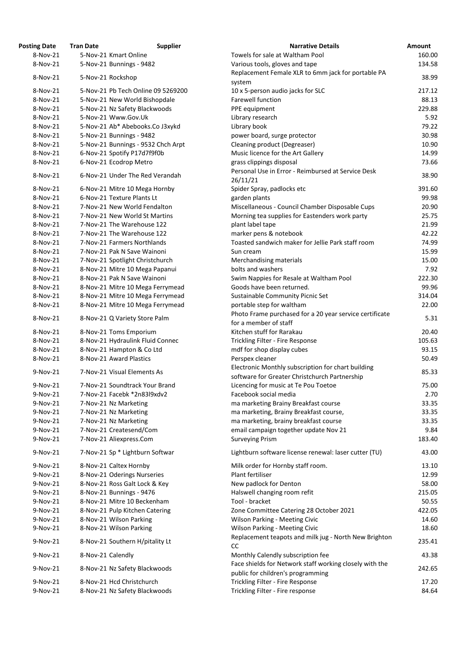| 'osting Date         | <b>Tran Date</b>  | <b>Supplier</b>                                           | <b>Narrative Details</b>                                                                     |
|----------------------|-------------------|-----------------------------------------------------------|----------------------------------------------------------------------------------------------|
| 8-Nov-21             |                   | 5-Nov-21 Kmart Online                                     | Towels for sale at Waltham Pool                                                              |
| 8-Nov-21             |                   | 5-Nov-21 Bunnings - 9482                                  | Various tools, gloves and tape                                                               |
| 8-Nov-21             |                   | 5-Nov-21 Rockshop                                         | Replacement Female XLR to 6mm jack for portable PA<br>system                                 |
| 8-Nov-21             |                   | 5-Nov-21 Pb Tech Online 09 5269200                        | 10 x 5-person audio jacks for SLC                                                            |
| 8-Nov-21             |                   | 5-Nov-21 New World Bishopdale                             | <b>Farewell function</b>                                                                     |
| 8-Nov-21             |                   | 5-Nov-21 Nz Safety Blackwoods                             | PPE equipment                                                                                |
| 8-Nov-21             |                   | 5-Nov-21 Www.Gov.Uk                                       | Library research                                                                             |
| 8-Nov-21             |                   | 5-Nov-21 Ab* Abebooks.Co J3xykd                           | Library book                                                                                 |
| 8-Nov-21             |                   | 5-Nov-21 Bunnings - 9482                                  | power board, surge protector                                                                 |
| 8-Nov-21             |                   | 5-Nov-21 Bunnings - 9532 Chch Arpt                        | Cleaning product (Degreaser)                                                                 |
| 8-Nov-21             |                   |                                                           |                                                                                              |
|                      |                   | 6-Nov-21 Spotify P17d7f9f0b                               | Music licence for the Art Gallery                                                            |
| 8-Nov-21<br>8-Nov-21 |                   | 6-Nov-21 Ecodrop Metro<br>6-Nov-21 Under The Red Verandah | grass clippings disposal<br>Personal Use in Error - Reimbursed at Service Desk               |
|                      |                   |                                                           | 26/11/21                                                                                     |
| 8-Nov-21             |                   | 6-Nov-21 Mitre 10 Mega Hornby                             | Spider Spray, padlocks etc                                                                   |
| 8-Nov-21             |                   | 6-Nov-21 Texture Plants Lt                                | garden plants                                                                                |
| 8-Nov-21             |                   | 7-Nov-21 New World Fendalton                              | Miscellaneous - Council Chamber Disposable Cups                                              |
| 8-Nov-21             |                   | 7-Nov-21 New World St Martins                             | Morning tea supplies for Eastenders work party                                               |
| 8-Nov-21             |                   | 7-Nov-21 The Warehouse 122                                | plant label tape                                                                             |
| 8-Nov-21             |                   | 7-Nov-21 The Warehouse 122                                | marker pens & notebook                                                                       |
| 8-Nov-21             |                   | 7-Nov-21 Farmers Northlands                               | Toasted sandwich maker for Jellie Park staff room                                            |
| 8-Nov-21             |                   | 7-Nov-21 Pak N Save Wainoni                               | Sun cream                                                                                    |
| 8-Nov-21             |                   | 7-Nov-21 Spotlight Christchurch                           | Merchandising materials                                                                      |
| 8-Nov-21             |                   | 8-Nov-21 Mitre 10 Mega Papanui                            | bolts and washers                                                                            |
| 8-Nov-21             |                   | 8-Nov-21 Pak N Save Wainoni                               | Swim Nappies for Resale at Waltham Pool                                                      |
| 8-Nov-21             |                   | 8-Nov-21 Mitre 10 Mega Ferrymead                          | Goods have been returned.                                                                    |
| 8-Nov-21             |                   | 8-Nov-21 Mitre 10 Mega Ferrymead                          | Sustainable Community Picnic Set                                                             |
| 8-Nov-21             |                   | 8-Nov-21 Mitre 10 Mega Ferrymead                          | portable step for waltham                                                                    |
| 8-Nov-21             |                   | 8-Nov-21 Q Variety Store Palm                             | Photo Frame purchased for a 20 year service certificate<br>for a member of staff             |
| 8-Nov-21             |                   | 8-Nov-21 Toms Emporium                                    | Kitchen stuff for Rarakau                                                                    |
| 8-Nov-21             |                   | 8-Nov-21 Hydraulink Fluid Connec                          | Trickling Filter - Fire Response                                                             |
| 8-Nov-21             |                   | 8-Nov-21 Hampton & Co Ltd                                 | mdf for shop display cubes                                                                   |
| 8-Nov-21             |                   | 8-Nov-21 Award Plastics                                   | Perspex cleaner                                                                              |
|                      |                   |                                                           | Electronic Monthly subscription for chart building                                           |
| 9-Nov-21             |                   | 7-Nov-21 Visual Elements As                               | software for Greater Christchurch Partnership                                                |
| 9-Nov-21             |                   | 7-Nov-21 Soundtrack Your Brand                            | Licencing for music at Te Pou Toetoe                                                         |
| 9-Nov-21             |                   | 7-Nov-21 Facebk *2n83l9xdv2                               | Facebook social media                                                                        |
| 9-Nov-21             |                   | 7-Nov-21 Nz Marketing                                     | ma marketing Brainy Breakfast course                                                         |
| 9-Nov-21             |                   | 7-Nov-21 Nz Marketing                                     | ma marketing, Brainy Breakfast course,                                                       |
| 9-Nov-21             |                   | 7-Nov-21 Nz Marketing                                     | ma marketing, brainy breakfast course                                                        |
| 9-Nov-21             |                   | 7-Nov-21 Createsend/Com                                   | email campaign together update Nov 21                                                        |
| 9-Nov-21             |                   | 7-Nov-21 Aliexpress.Com                                   | <b>Surveying Prism</b>                                                                       |
| 9-Nov-21             |                   | 7-Nov-21 Sp * Lightburn Softwar                           | Lightburn software license renewal: laser cutter (TU)                                        |
|                      |                   |                                                           |                                                                                              |
| 9-Nov-21             |                   | 8-Nov-21 Caltex Hornby                                    | Milk order for Hornby staff room.                                                            |
| 9-Nov-21             |                   | 8-Nov-21 Oderings Nurseries                               | Plant fertiliser                                                                             |
| 9-Nov-21             |                   | 8-Nov-21 Ross Galt Lock & Key                             | New padlock for Denton                                                                       |
| 9-Nov-21             |                   | 8-Nov-21 Bunnings - 9476                                  | Halswell changing room refit                                                                 |
| 9-Nov-21             |                   | 8-Nov-21 Mitre 10 Beckenham                               | Tool - bracket                                                                               |
| 9-Nov-21             |                   | 8-Nov-21 Pulp Kitchen Catering                            | Zone Committee Catering 28 October 2021                                                      |
| 9-Nov-21             |                   | 8-Nov-21 Wilson Parking                                   | <b>Wilson Parking - Meeting Civic</b>                                                        |
| 9-Nov-21             |                   | 8-Nov-21 Wilson Parking                                   | <b>Wilson Parking - Meeting Civic</b>                                                        |
| 9-Nov-21             |                   | 8-Nov-21 Southern H/pitality Lt                           | Replacement teapots and milk jug - North New Brighto<br>CC                                   |
| 9-Nov-21             | 8-Nov-21 Calendly |                                                           | Monthly Calendly subscription fee                                                            |
| 9-Nov-21             |                   | 8-Nov-21 Nz Safety Blackwoods                             | Face shields for Network staff working closely with the<br>public for children's programming |
| 9-Nov-21             |                   | 8-Nov-21 Hcd Christchurch                                 | Trickling Filter - Fire Response                                                             |
| 9-Nov-21             |                   | 8-Nov-21 Nz Safety Blackwoods                             | Trickling Filter - Fire response                                                             |

| <b>Posting Date</b> | <b>Tran Date</b>  | <b>Supplier</b>                    | <b>Narrative Details</b>                                | Amount |
|---------------------|-------------------|------------------------------------|---------------------------------------------------------|--------|
| 8-Nov-21            |                   | 5-Nov-21 Kmart Online              | Towels for sale at Waltham Pool                         | 160.00 |
| 8-Nov-21            |                   | 5-Nov-21 Bunnings - 9482           | Various tools, gloves and tape                          | 134.58 |
| 8-Nov-21            |                   | 5-Nov-21 Rockshop                  | Replacement Female XLR to 6mm jack for portable PA      | 38.99  |
|                     |                   |                                    | system                                                  |        |
| 8-Nov-21            |                   | 5-Nov-21 Pb Tech Online 09 5269200 | 10 x 5-person audio jacks for SLC                       | 217.12 |
| 8-Nov-21            |                   | 5-Nov-21 New World Bishopdale      | <b>Farewell function</b>                                | 88.13  |
| 8-Nov-21            |                   | 5-Nov-21 Nz Safety Blackwoods      | PPE equipment                                           | 229.88 |
| 8-Nov-21            |                   | 5-Nov-21 Www.Gov.Uk                | Library research                                        | 5.92   |
| 8-Nov-21            |                   | 5-Nov-21 Ab* Abebooks.Co J3xykd    | Library book                                            | 79.22  |
| 8-Nov-21            |                   | 5-Nov-21 Bunnings - 9482           | power board, surge protector                            | 30.98  |
| 8-Nov-21            |                   | 5-Nov-21 Bunnings - 9532 Chch Arpt | Cleaning product (Degreaser)                            | 10.90  |
| 8-Nov-21            |                   | 6-Nov-21 Spotify P17d7f9f0b        | Music licence for the Art Gallery                       | 14.99  |
| 8-Nov-21            |                   | 6-Nov-21 Ecodrop Metro             | grass clippings disposal                                | 73.66  |
|                     |                   |                                    | Personal Use in Error - Reimbursed at Service Desk      |        |
| 8-Nov-21            |                   | 6-Nov-21 Under The Red Verandah    | 26/11/21                                                | 38.90  |
| 8-Nov-21            |                   | 6-Nov-21 Mitre 10 Mega Hornby      | Spider Spray, padlocks etc                              | 391.60 |
| 8-Nov-21            |                   | 6-Nov-21 Texture Plants Lt         | garden plants                                           | 99.98  |
| 8-Nov-21            |                   | 7-Nov-21 New World Fendalton       | Miscellaneous - Council Chamber Disposable Cups         | 20.90  |
| 8-Nov-21            |                   | 7-Nov-21 New World St Martins      | Morning tea supplies for Eastenders work party          | 25.75  |
| 8-Nov-21            |                   | 7-Nov-21 The Warehouse 122         | plant label tape                                        | 21.99  |
| 8-Nov-21            |                   | 7-Nov-21 The Warehouse 122         | marker pens & notebook                                  | 42.22  |
| 8-Nov-21            |                   | 7-Nov-21 Farmers Northlands        | Toasted sandwich maker for Jellie Park staff room       | 74.99  |
| 8-Nov-21            |                   | 7-Nov-21 Pak N Save Wainoni        | Sun cream                                               | 15.99  |
| 8-Nov-21            |                   | 7-Nov-21 Spotlight Christchurch    | Merchandising materials                                 | 15.00  |
| 8-Nov-21            |                   | 8-Nov-21 Mitre 10 Mega Papanui     | bolts and washers                                       | 7.92   |
| 8-Nov-21            |                   | 8-Nov-21 Pak N Save Wainoni        | Swim Nappies for Resale at Waltham Pool                 | 222.30 |
| 8-Nov-21            |                   | 8-Nov-21 Mitre 10 Mega Ferrymead   | Goods have been returned.                               | 99.96  |
| 8-Nov-21            |                   | 8-Nov-21 Mitre 10 Mega Ferrymead   | Sustainable Community Picnic Set                        | 314.04 |
| 8-Nov-21            |                   | 8-Nov-21 Mitre 10 Mega Ferrymead   | portable step for waltham                               | 22.00  |
|                     |                   |                                    | Photo Frame purchased for a 20 year service certificate |        |
| 8-Nov-21            |                   | 8-Nov-21 Q Variety Store Palm      | for a member of staff                                   | 5.31   |
| 8-Nov-21            |                   | 8-Nov-21 Toms Emporium             | Kitchen stuff for Rarakau                               | 20.40  |
| 8-Nov-21            |                   | 8-Nov-21 Hydraulink Fluid Connec   | Trickling Filter - Fire Response                        | 105.63 |
| 8-Nov-21            |                   | 8-Nov-21 Hampton & Co Ltd          | mdf for shop display cubes                              | 93.15  |
| 8-Nov-21            |                   | 8-Nov-21 Award Plastics            | Perspex cleaner                                         | 50.49  |
|                     |                   |                                    | Electronic Monthly subscription for chart building      |        |
| 9-Nov-21            |                   | 7-Nov-21 Visual Elements As        | software for Greater Christchurch Partnership           | 85.33  |
| 9-Nov-21            |                   | 7-Nov-21 Soundtrack Your Brand     | Licencing for music at Te Pou Toetoe                    | 75.00  |
| 9-Nov-21            |                   | 7-Nov-21 Facebk *2n83l9xdv2        | Facebook social media                                   | 2.70   |
| 9-Nov-21            |                   | 7-Nov-21 Nz Marketing              | ma marketing Brainy Breakfast course                    | 33.35  |
| 9-Nov-21            |                   | 7-Nov-21 Nz Marketing              |                                                         | 33.35  |
| 9-Nov-21            |                   |                                    | ma marketing, Brainy Breakfast course,                  | 33.35  |
| 9-Nov-21            |                   | 7-Nov-21 Nz Marketing              | ma marketing, brainy breakfast course                   |        |
|                     |                   | 7-Nov-21 Createsend/Com            | email campaign together update Nov 21                   | 9.84   |
| 9-Nov-21            |                   | 7-Nov-21 Aliexpress.Com            | <b>Surveying Prism</b>                                  | 183.40 |
| 9-Nov-21            |                   | 7-Nov-21 Sp * Lightburn Softwar    | Lightburn software license renewal: laser cutter (TU)   | 43.00  |
| 9-Nov-21            |                   | 8-Nov-21 Caltex Hornby             | Milk order for Hornby staff room.                       | 13.10  |
| 9-Nov-21            |                   | 8-Nov-21 Oderings Nurseries        | Plant fertiliser                                        | 12.99  |
| 9-Nov-21            |                   | 8-Nov-21 Ross Galt Lock & Key      | New padlock for Denton                                  | 58.00  |
| 9-Nov-21            |                   | 8-Nov-21 Bunnings - 9476           | Halswell changing room refit                            | 215.05 |
| 9-Nov-21            |                   | 8-Nov-21 Mitre 10 Beckenham        | Tool - bracket                                          | 50.55  |
| 9-Nov-21            |                   | 8-Nov-21 Pulp Kitchen Catering     | Zone Committee Catering 28 October 2021                 | 422.05 |
| 9-Nov-21            |                   | 8-Nov-21 Wilson Parking            | <b>Wilson Parking - Meeting Civic</b>                   | 14.60  |
| 9-Nov-21            |                   | 8-Nov-21 Wilson Parking            | <b>Wilson Parking - Meeting Civic</b>                   | 18.60  |
| 9-Nov-21            |                   | 8-Nov-21 Southern H/pitality Lt    | Replacement teapots and milk jug - North New Brighton   | 235.41 |
| 9-Nov-21            | 8-Nov-21 Calendly |                                    | CC<br>Monthly Calendly subscription fee                 | 43.38  |
| 9-Nov-21            |                   | 8-Nov-21 Nz Safety Blackwoods      | Face shields for Network staff working closely with the | 242.65 |
|                     |                   |                                    | public for children's programming                       |        |
| 9-Nov-21            |                   | 8-Nov-21 Hcd Christchurch          | Trickling Filter - Fire Response                        | 17.20  |
| 9-Nov-21            |                   | 8-Nov-21 Nz Safety Blackwoods      | Trickling Filter - Fire response                        | 84.64  |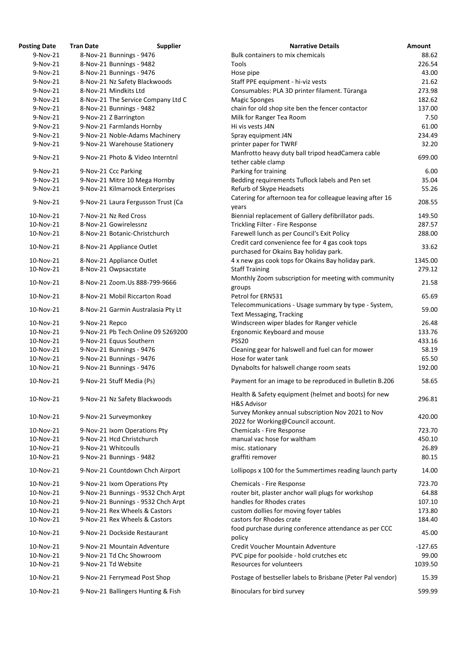| <b>Posting Date</b> | <b>Tran Date</b> | <b>Supplier</b>                    | <b>Narrative Details</b>                                                               |
|---------------------|------------------|------------------------------------|----------------------------------------------------------------------------------------|
| $9-Nov-21$          |                  | 8-Nov-21 Bunnings - 9476           | Bulk containers to mix chemicals                                                       |
| $9-Nov-21$          |                  | 8-Nov-21 Bunnings - 9482           | Tools                                                                                  |
| 9-Nov-21            |                  | 8-Nov-21 Bunnings - 9476           | Hose pipe                                                                              |
| 9-Nov-21            |                  | 8-Nov-21 Nz Safety Blackwoods      | Staff PPE equipment - hi-viz vests                                                     |
| $9-Nov-21$          |                  | 8-Nov-21 Mindkits Ltd              | Consumables: PLA 3D printer filament. Tūranga                                          |
| $9-Nov-21$          |                  | 8-Nov-21 The Service Company Ltd C | <b>Magic Sponges</b>                                                                   |
| 9-Nov-21            |                  | 8-Nov-21 Bunnings - 9482           | chain for old shop site ben the fencer contactor                                       |
| 9-Nov-21            |                  | 9-Nov-21 Z Barrington              | Milk for Ranger Tea Room                                                               |
| $9-Nov-21$          |                  | 9-Nov-21 Farmlands Hornby          | Hi vis vests J4N                                                                       |
| $9-Nov-21$          |                  | 9-Nov-21 Noble-Adams Machinery     | Spray equipment J4N                                                                    |
| 9-Nov-21            |                  | 9-Nov-21 Warehouse Stationery      | printer paper for TWRF                                                                 |
| 9-Nov-21            |                  | 9-Nov-21 Photo & Video Interntnl   | Manfrotto heavy duty ball tripod headCamera cable<br>tether cable clamp                |
| 9-Nov-21            |                  | 9-Nov-21 Ccc Parking               | Parking for training                                                                   |
| 9-Nov-21            |                  | 9-Nov-21 Mitre 10 Mega Hornby      | Bedding requirements Tuflock labels and Pen set                                        |
| 9-Nov-21            |                  | 9-Nov-21 Kilmarnock Enterprises    | Refurb of Skype Headsets                                                               |
| 9-Nov-21            |                  | 9-Nov-21 Laura Fergusson Trust (Ca | Catering for afternoon tea for colleague leaving after 16<br>years                     |
| 10-Nov-21           |                  | 7-Nov-21 Nz Red Cross              | Biennial replacement of Gallery defibrillator pads.                                    |
| 10-Nov-21           |                  | 8-Nov-21 Gowirelessnz              | Trickling Filter - Fire Response                                                       |
| 10-Nov-21           |                  | 8-Nov-21 Botanic-Christchurch      | Farewell lunch as per Council's Exit Policy                                            |
|                     |                  |                                    | Credit card convenience fee for 4 gas cook tops                                        |
| 10-Nov-21           |                  | 8-Nov-21 Appliance Outlet          | purchased for Okains Bay holiday park.                                                 |
| 10-Nov-21           |                  |                                    |                                                                                        |
|                     |                  | 8-Nov-21 Appliance Outlet          | 4 x new gas cook tops for Okains Bay holiday park.                                     |
| 10-Nov-21           |                  | 8-Nov-21 Owpsacstate               | <b>Staff Training</b>                                                                  |
| 10-Nov-21           |                  | 8-Nov-21 Zoom.Us 888-799-9666      | Monthly Zoom subscription for meeting with community<br>groups                         |
| 10-Nov-21           |                  | 8-Nov-21 Mobil Riccarton Road      | Petrol for ERN531<br>Telecommunications - Usage summary by type - System,              |
| 10-Nov-21           |                  | 8-Nov-21 Garmin Australasia Pty Lt | <b>Text Messaging, Tracking</b>                                                        |
| 10-Nov-21           |                  |                                    | Windscreen wiper blades for Ranger vehicle                                             |
| 10-Nov-21           | 9-Nov-21 Repco   | 9-Nov-21 Pb Tech Online 09 5269200 |                                                                                        |
|                     |                  |                                    | Ergonomic Keyboard and mouse                                                           |
| 10-Nov-21           |                  | 9-Nov-21 Equus Southern            | <b>PSS20</b>                                                                           |
| 10-Nov-21           |                  | 9-Nov-21 Bunnings - 9476           | Cleaning gear for halswell and fuel can for mower                                      |
| 10-Nov-21           |                  | 9-Nov-21 Bunnings - 9476           | Hose for water tank                                                                    |
| 10-Nov-21           |                  | 9-Nov-21 Bunnings - 9476           | Dynabolts for halswell change room seats                                               |
| 10-Nov-21           |                  | 9-Nov-21 Stuff Media (Ps)          | Payment for an image to be reproduced in Bulletin B.206                                |
| 10-Nov-21           |                  | 9-Nov-21 Nz Safety Blackwoods      | Health & Safety equipment (helmet and boots) for new<br><b>H&amp;S Advisor</b>         |
| 10-Nov-21           |                  | 9-Nov-21 Surveymonkey              | Survey Monkey annual subscription Nov 2021 to Nov<br>2022 for Working@Council account. |
| 10-Nov-21           |                  | 9-Nov-21 Ixom Operations Pty       | Chemicals - Fire Response                                                              |
| 10-Nov-21           |                  | 9-Nov-21 Hcd Christchurch          | manual vac hose for waltham                                                            |
| 10-Nov-21           |                  | 9-Nov-21 Whitcoulls                | misc. stationary                                                                       |
| 10-Nov-21           |                  | 9-Nov-21 Bunnings - 9482           | graffiti remover                                                                       |
| 10-Nov-21           |                  | 9-Nov-21 Countdown Chch Airport    | Lollipops x 100 for the Summertimes reading launch party                               |
| 10-Nov-21           |                  | 9-Nov-21 Ixom Operations Pty       | <b>Chemicals - Fire Response</b>                                                       |
| 10-Nov-21           |                  | 9-Nov-21 Bunnings - 9532 Chch Arpt | router bit, plaster anchor wall plugs for workshop                                     |
| 10-Nov-21           |                  | 9-Nov-21 Bunnings - 9532 Chch Arpt | handles for Rhodes crates                                                              |
| 10-Nov-21           |                  | 9-Nov-21 Rex Wheels & Castors      | custom dollies for moving foyer tables                                                 |
| 10-Nov-21           |                  | 9-Nov-21 Rex Wheels & Castors      | castors for Rhodes crate                                                               |
| 10-Nov-21           |                  | 9-Nov-21 Dockside Restaurant       | food purchase during conference attendance as per CCC                                  |
| 10-Nov-21           |                  | 9-Nov-21 Mountain Adventure        | policy<br>Credit Voucher Mountain Adventure                                            |
| 10-Nov-21           |                  | 9-Nov-21 Td Chc Showroom           | PVC pipe for poolside - hold crutches etc                                              |
| 10-Nov-21           |                  | 9-Nov-21 Td Website                | Resources for volunteers                                                               |
| 10-Nov-21           |                  | 9-Nov-21 Ferrymead Post Shop       | Postage of bestseller labels to Brisbane (Peter Pal vendor                             |
| 10-Nov-21           |                  | 9-Nov-21 Ballingers Hunting & Fish | Binoculars for bird survey                                                             |

| ting Date | Tran Date      | <b>Supplier</b>                    | <b>Narrative Details</b>                                                                | Amount    |
|-----------|----------------|------------------------------------|-----------------------------------------------------------------------------------------|-----------|
| 9-Nov-21  |                | 8-Nov-21 Bunnings - 9476           | Bulk containers to mix chemicals                                                        | 88.62     |
| 9-Nov-21  |                | 8-Nov-21 Bunnings - 9482           | Tools                                                                                   | 226.54    |
| 9-Nov-21  |                | 8-Nov-21 Bunnings - 9476           | Hose pipe                                                                               | 43.00     |
| 9-Nov-21  |                | 8-Nov-21 Nz Safety Blackwoods      | Staff PPE equipment - hi-viz vests                                                      | 21.62     |
| 9-Nov-21  |                | 8-Nov-21 Mindkits Ltd              | Consumables: PLA 3D printer filament. Tūranga                                           | 273.98    |
| 9-Nov-21  |                | 8-Nov-21 The Service Company Ltd C | <b>Magic Sponges</b>                                                                    | 182.62    |
| 9-Nov-21  |                | 8-Nov-21 Bunnings - 9482           | chain for old shop site ben the fencer contactor                                        | 137.00    |
| 9-Nov-21  |                |                                    |                                                                                         | 7.50      |
|           |                | 9-Nov-21 Z Barrington              | Milk for Ranger Tea Room                                                                |           |
| 9-Nov-21  |                | 9-Nov-21 Farmlands Hornby          | Hi vis vests J4N                                                                        | 61.00     |
| 9-Nov-21  |                | 9-Nov-21 Noble-Adams Machinery     | Spray equipment J4N                                                                     | 234.49    |
| 9-Nov-21  |                | 9-Nov-21 Warehouse Stationery      | printer paper for TWRF                                                                  | 32.20     |
| 9-Nov-21  |                | 9-Nov-21 Photo & Video Interntnl   | Manfrotto heavy duty ball tripod headCamera cable<br>tether cable clamp                 | 699.00    |
| 9-Nov-21  |                | 9-Nov-21 Ccc Parking               | Parking for training                                                                    | 6.00      |
| 9-Nov-21  |                | 9-Nov-21 Mitre 10 Mega Hornby      | Bedding requirements Tuflock labels and Pen set                                         | 35.04     |
| 9-Nov-21  |                | 9-Nov-21 Kilmarnock Enterprises    | Refurb of Skype Headsets                                                                | 55.26     |
|           |                |                                    | Catering for afternoon tea for colleague leaving after 16                               |           |
| 9-Nov-21  |                | 9-Nov-21 Laura Fergusson Trust (Ca | years                                                                                   | 208.55    |
| 10-Nov-21 |                | 7-Nov-21 Nz Red Cross              | Biennial replacement of Gallery defibrillator pads.                                     | 149.50    |
| 10-Nov-21 |                | 8-Nov-21 Gowirelessnz              | Trickling Filter - Fire Response                                                        | 287.57    |
| 10-Nov-21 |                | 8-Nov-21 Botanic-Christchurch      | Farewell lunch as per Council's Exit Policy                                             | 288.00    |
|           |                |                                    | Credit card convenience fee for 4 gas cook tops                                         |           |
| 10-Nov-21 |                | 8-Nov-21 Appliance Outlet          | purchased for Okains Bay holiday park.                                                  | 33.62     |
| 10-Nov-21 |                | 8-Nov-21 Appliance Outlet          | 4 x new gas cook tops for Okains Bay holiday park.                                      | 1345.00   |
| 10-Nov-21 |                | 8-Nov-21 Owpsacstate               | <b>Staff Training</b>                                                                   | 279.12    |
|           |                |                                    | Monthly Zoom subscription for meeting with community                                    |           |
| 10-Nov-21 |                | 8-Nov-21 Zoom.Us 888-799-9666      | groups                                                                                  | 21.58     |
| 10-Nov-21 |                | 8-Nov-21 Mobil Riccarton Road      | Petrol for ERN531                                                                       | 65.69     |
|           |                |                                    |                                                                                         |           |
| 10-Nov-21 |                | 8-Nov-21 Garmin Australasia Pty Lt | Telecommunications - Usage summary by type - System,<br><b>Text Messaging, Tracking</b> | 59.00     |
| 10-Nov-21 | 9-Nov-21 Repco |                                    | Windscreen wiper blades for Ranger vehicle                                              | 26.48     |
| 10-Nov-21 |                | 9-Nov-21 Pb Tech Online 09 5269200 | Ergonomic Keyboard and mouse                                                            | 133.76    |
| 10-Nov-21 |                | 9-Nov-21 Equus Southern            | <b>PSS20</b>                                                                            | 433.16    |
| 10-Nov-21 |                | 9-Nov-21 Bunnings - 9476           | Cleaning gear for halswell and fuel can for mower                                       | 58.19     |
| 10-Nov-21 |                | 9-Nov-21 Bunnings - 9476           | Hose for water tank                                                                     | 65.50     |
| 10-Nov-21 |                | 9-Nov-21 Bunnings - 9476           | Dynabolts for halswell change room seats                                                | 192.00    |
|           |                |                                    |                                                                                         |           |
| 10-Nov-21 |                | 9-Nov-21 Stuff Media (Ps)          | Payment for an image to be reproduced in Bulletin B.206                                 | 58.65     |
| 10-Nov-21 |                | 9-Nov-21 Nz Safety Blackwoods      | Health & Safety equipment (helmet and boots) for new<br><b>H&amp;S Advisor</b>          | 296.81    |
|           |                |                                    | Survey Monkey annual subscription Nov 2021 to Nov                                       |           |
| 10-Nov-21 |                | 9-Nov-21 Surveymonkey              | 2022 for Working@Council account.                                                       | 420.00    |
| 10-Nov-21 |                | 9-Nov-21 Ixom Operations Pty       | <b>Chemicals - Fire Response</b>                                                        | 723.70    |
| 10-Nov-21 |                | 9-Nov-21 Hcd Christchurch          | manual vac hose for waltham                                                             | 450.10    |
| 10-Nov-21 |                | 9-Nov-21 Whitcoulls                | misc. stationary                                                                        | 26.89     |
| 10-Nov-21 |                |                                    |                                                                                         | 80.15     |
|           |                | 9-Nov-21 Bunnings - 9482           | graffiti remover                                                                        |           |
| 10-Nov-21 |                | 9-Nov-21 Countdown Chch Airport    | Lollipops x 100 for the Summertimes reading launch party                                | 14.00     |
| 10-Nov-21 |                | 9-Nov-21 Ixom Operations Pty       | <b>Chemicals - Fire Response</b>                                                        | 723.70    |
| 10-Nov-21 |                | 9-Nov-21 Bunnings - 9532 Chch Arpt | router bit, plaster anchor wall plugs for workshop                                      | 64.88     |
| 10-Nov-21 |                | 9-Nov-21 Bunnings - 9532 Chch Arpt | handles for Rhodes crates                                                               | 107.10    |
| 10-Nov-21 |                | 9-Nov-21 Rex Wheels & Castors      | custom dollies for moving foyer tables                                                  | 173.80    |
| 10-Nov-21 |                | 9-Nov-21 Rex Wheels & Castors      | castors for Rhodes crate                                                                | 184.40    |
| 10-Nov-21 |                | 9-Nov-21 Dockside Restaurant       | food purchase during conference attendance as per CCC<br>policy                         | 45.00     |
| 10-Nov-21 |                | 9-Nov-21 Mountain Adventure        | Credit Voucher Mountain Adventure                                                       | $-127.65$ |
|           |                |                                    |                                                                                         |           |
| 10-Nov-21 |                | 9-Nov-21 Td Chc Showroom           | PVC pipe for poolside - hold crutches etc                                               | 99.00     |
| 10-Nov-21 |                | 9-Nov-21 Td Website                | <b>Resources for volunteers</b>                                                         | 1039.50   |
| 10-Nov-21 |                | 9-Nov-21 Ferrymead Post Shop       | Postage of bestseller labels to Brisbane (Peter Pal vendor)                             | 15.39     |
| 10-Nov-21 |                | 9-Nov-21 Ballingers Hunting & Fish | Binoculars for bird survey                                                              | 599.99    |
|           |                |                                    |                                                                                         |           |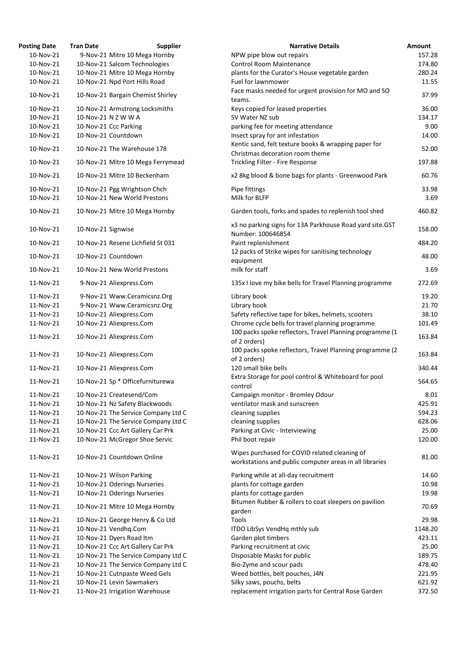| <b>Posting Date</b> | <b>Tran Date</b>   | <b>Supplier</b>                     | <b>Narrative Details</b>                                                                                 | Amount  |
|---------------------|--------------------|-------------------------------------|----------------------------------------------------------------------------------------------------------|---------|
| 10-Nov-21           |                    | 9-Nov-21 Mitre 10 Mega Hornby       | NPW pipe blow out repairs                                                                                | 157.28  |
| 10-Nov-21           |                    | 10-Nov-21 Salcom Technologies       | <b>Control Room Maintenance</b>                                                                          | 174.80  |
| 10-Nov-21           |                    | 10-Nov-21 Mitre 10 Mega Hornby      | plants for the Curator's House vegetable garden                                                          | 280.24  |
| 10-Nov-21           |                    | 10-Nov-21 Npd Port Hills Road       | Fuel for lawnmower                                                                                       | 11.55   |
| 10-Nov-21           |                    | 10-Nov-21 Bargain Chemist Shirley   | Face masks needed for urgent provision for MO and SO<br>teams.                                           | 37.99   |
| 10-Nov-21           |                    | 10-Nov-21 Armstrong Locksmiths      | Keys copied for leased properties                                                                        | 36.00   |
| 10-Nov-21           |                    | 10-Nov-21 N Z W W A                 | SV Water NZ sub                                                                                          | 134.17  |
| 10-Nov-21           |                    | 10-Nov-21 Ccc Parking               | parking fee for meeting attendance                                                                       | 9.00    |
| 10-Nov-21           |                    | 10-Nov-21 Countdown                 | Insect spray for ant infestation                                                                         | 14.00   |
| 10-Nov-21           |                    | 10-Nov-21 The Warehouse 178         | Kentic sand, felt texture books & wrapping paper for<br>Christmas decoration room theme                  | 52.00   |
| 10-Nov-21           |                    | 10-Nov-21 Mitre 10 Mega Ferrymead   | Trickling Filter - Fire Response                                                                         | 197.88  |
| 10-Nov-21           |                    | 10-Nov-21 Mitre 10 Beckenham        | x2 8kg blood & bone bags for plants - Greenwood Park                                                     | 60.76   |
| 10-Nov-21           |                    | 10-Nov-21 Pgg Wrightson Chch        | Pipe fittings                                                                                            | 33.98   |
| 10-Nov-21           |                    | 10-Nov-21 New World Prestons        | Milk for BLFP                                                                                            | 3.69    |
|                     |                    |                                     |                                                                                                          |         |
| 10-Nov-21           |                    | 10-Nov-21 Mitre 10 Mega Hornby      | Garden tools, forks and spades to replenish tool shed                                                    | 460.82  |
| 10-Nov-21           | 10-Nov-21 Signwise |                                     | x3 no parking signs for 13A Parkhouse Road yard site.GST<br>Number: 100646854                            | 158.00  |
| 10-Nov-21           |                    | 10-Nov-21 Resene Lichfield St 031   | Paint replenishment                                                                                      | 484.20  |
| 10-Nov-21           |                    | 10-Nov-21 Countdown                 | 12 packs of Strike wipes for sanitising technology<br>equipment                                          | 48.00   |
| 10-Nov-21           |                    | 10-Nov-21 New World Prestons        | milk for staff                                                                                           | 3.69    |
| 11-Nov-21           |                    | 9-Nov-21 Aliexpress.Com             | 135x I love my bike bells for Travel Planning programme                                                  | 272.69  |
| 11-Nov-21           |                    | 9-Nov-21 Www.Ceramicsnz.Org         | Library book                                                                                             | 19.20   |
| 11-Nov-21           |                    | 9-Nov-21 Www.Ceramicsnz.Org         | Library book                                                                                             | 21.70   |
| 11-Nov-21           |                    | 10-Nov-21 Aliexpress.Com            | Safety reflective tape for bikes, helmets, scooters                                                      | 38.10   |
| 11-Nov-21           |                    | 10-Nov-21 Aliexpress.Com            | Chrome cycle bells for travel planning programme                                                         | 101.49  |
| 11-Nov-21           |                    | 10-Nov-21 Aliexpress.Com            | 100 packs spoke reflectors, Travel Planning programme (1<br>of 2 orders)                                 | 163.84  |
| 11-Nov-21           |                    | 10-Nov-21 Aliexpress.Com            | 100 packs spoke reflectors, Travel Planning programme (2<br>of 2 orders)                                 | 163.84  |
| 11-Nov-21           |                    | 10-Nov-21 Aliexpress.Com            | 120 small bike bells                                                                                     | 340.44  |
|                     |                    |                                     | Extra Storage for pool control & Whiteboard for pool                                                     |         |
| 11-Nov-21           |                    | 10-Nov-21 Sp * Officefurniturewa    | control                                                                                                  | 564.65  |
| 11-Nov-21           |                    | 10-Nov-21 Createsend/Com            | Campaign monitor - Bromley Odour                                                                         | 8.01    |
| 11-Nov-21           |                    | 10-Nov-21 Nz Safety Blackwoods      | ventilator mask and sunscreen                                                                            | 425.91  |
| 11-Nov-21           |                    | 10-Nov-21 The Service Company Ltd C | cleaning supplies                                                                                        | 594.23  |
| 11-Nov-21           |                    | 10-Nov-21 The Service Company Ltd C | cleaning supplies                                                                                        | 628.06  |
| 11-Nov-21           |                    | 10-Nov-21 Ccc Art Gallery Car Prk   | Parking at Civic - Interviewing                                                                          | 25.00   |
| 11-Nov-21           |                    | 10-Nov-21 McGregor Shoe Servic      | Phil boot repair                                                                                         | 120.00  |
| 11-Nov-21           |                    | 10-Nov-21 Countdown Online          | Wipes purchased for COVID related cleaning of<br>workstations and public computer areas in all libraries | 81.00   |
|                     |                    |                                     |                                                                                                          |         |
| 11-Nov-21           |                    | 10-Nov-21 Wilson Parking            | Parking while at all-day recruitment                                                                     | 14.60   |
| 11-Nov-21           |                    | 10-Nov-21 Oderings Nurseries        | plants for cottage garden                                                                                | 10.98   |
| 11-Nov-21           |                    | 10-Nov-21 Oderings Nurseries        | plants for cottage garden<br>Bitumen Rubber & rollers to coat sleepers on pavilion                       | 19.98   |
| 11-Nov-21           |                    | 10-Nov-21 Mitre 10 Mega Hornby      | garden                                                                                                   | 70.69   |
| 11-Nov-21           |                    | 10-Nov-21 George Henry & Co Ltd     | Tools                                                                                                    | 29.98   |
| 11-Nov-21           |                    | 10-Nov-21 Vendhq.Com                | ITDO LibSys VendHq mthly sub                                                                             | 1148.20 |
| 11-Nov-21           |                    | 10-Nov-21 Dyers Road Itm            | Garden plot timbers                                                                                      | 423.11  |
| 11-Nov-21           |                    | 10-Nov-21 Ccc Art Gallery Car Prk   | Parking recruitment at civic                                                                             | 25.00   |
| 11-Nov-21           |                    | 10-Nov-21 The Service Company Ltd C | Disposable Masks for public                                                                              | 189.75  |
| 11-Nov-21           |                    | 10-Nov-21 The Service Company Ltd C | Bio-Zyme and scour pads                                                                                  | 478.40  |
| 11-Nov-21           |                    | 10-Nov-21 Cutnpaste Weed Gels       | Weed bottles, belt pouches, J4N                                                                          | 221.95  |
| 11-Nov-21           |                    | 10-Nov-21 Levin Sawmakers           | Silky saws, pouchs, belts                                                                                | 621.92  |
| 11-Nov-21           |                    | 11-Nov-21 Irrigation Warehouse      | replacement irrigation parts for Central Rose Garden                                                     | 372.50  |
|                     |                    |                                     |                                                                                                          |         |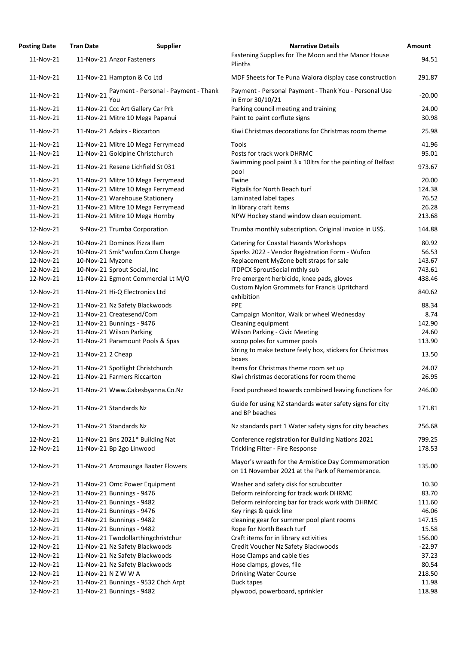| <b>Posting Date</b> | <b>Tran Date</b>                   | <b>Supplier</b>                      | <b>Narrative Details</b>                                                                              | Amount   |
|---------------------|------------------------------------|--------------------------------------|-------------------------------------------------------------------------------------------------------|----------|
| 11-Nov-21           | 11-Nov-21 Anzor Fasteners          |                                      | Fastening Supplies for The Moon and the Manor House<br>Plinths                                        | 94.51    |
| 11-Nov-21           | 11-Nov-21 Hampton & Co Ltd         |                                      | MDF Sheets for Te Puna Waiora display case construction                                               | 291.87   |
| 11-Nov-21           | 11-Nov-21<br>You                   | Payment - Personal - Payment - Thank | Payment - Personal Payment - Thank You - Personal Use<br>in Error 30/10/21                            | $-20.00$ |
| 11-Nov-21           | 11-Nov-21 Ccc Art Gallery Car Prk  |                                      | Parking council meeting and training                                                                  | 24.00    |
| 11-Nov-21           | 11-Nov-21 Mitre 10 Mega Papanui    |                                      | Paint to paint corflute signs                                                                         | 30.98    |
| 11-Nov-21           | 11-Nov-21 Adairs - Riccarton       |                                      | Kiwi Christmas decorations for Christmas room theme                                                   | 25.98    |
| 11-Nov-21           |                                    | 11-Nov-21 Mitre 10 Mega Ferrymead    | Tools                                                                                                 | 41.96    |
| 11-Nov-21           | 11-Nov-21 Goldpine Christchurch    |                                      | Posts for track work DHRMC                                                                            | 95.01    |
| 11-Nov-21           | 11-Nov-21 Resene Lichfield St 031  |                                      | Swimming pool paint 3 x 10ltrs for the painting of Belfast<br>pool                                    | 973.67   |
| 11-Nov-21           |                                    | 11-Nov-21 Mitre 10 Mega Ferrymead    | Twine                                                                                                 | 20.00    |
| 11-Nov-21           |                                    | 11-Nov-21 Mitre 10 Mega Ferrymead    | Pigtails for North Beach turf                                                                         | 124.38   |
| 11-Nov-21           | 11-Nov-21 Warehouse Stationery     |                                      | Laminated label tapes                                                                                 | 76.52    |
| 11-Nov-21           |                                    | 11-Nov-21 Mitre 10 Mega Ferrymead    | In library craft items                                                                                | 26.28    |
| 11-Nov-21           | 11-Nov-21 Mitre 10 Mega Hornby     |                                      | NPW Hockey stand window clean equipment.                                                              | 213.68   |
| 12-Nov-21           | 9-Nov-21 Trumba Corporation        |                                      | Trumba monthly subscription. Original invoice in US\$.                                                | 144.88   |
| 12-Nov-21           | 10-Nov-21 Dominos Pizza Ilam       |                                      | <b>Catering for Coastal Hazards Workshops</b>                                                         | 80.92    |
| 12-Nov-21           | 10-Nov-21 Smk*wufoo.Com Charge     |                                      | Sparks 2022 - Vendor Registration Form - Wufoo                                                        | 56.53    |
| 12-Nov-21           | 10-Nov-21 Myzone                   |                                      | Replacement MyZone belt straps for sale                                                               | 143.67   |
| 12-Nov-21           | 10-Nov-21 Sprout Social, Inc       |                                      | <b>ITDPCX SproutSocial mthly sub</b>                                                                  | 743.61   |
| 12-Nov-21           |                                    | 11-Nov-21 Egmont Commercial Lt M/O   | Pre emergent herbicide, knee pads, gloves                                                             | 438.46   |
| 12-Nov-21           | 11-Nov-21 Hi-Q Electronics Ltd     |                                      | <b>Custom Nylon Grommets for Francis Upritchard</b><br>exhibition                                     | 840.62   |
| 12-Nov-21           | 11-Nov-21 Nz Safety Blackwoods     |                                      | <b>PPE</b>                                                                                            | 88.34    |
| 12-Nov-21           | 11-Nov-21 Createsend/Com           |                                      | Campaign Monitor, Walk or wheel Wednesday                                                             | 8.74     |
| 12-Nov-21           | 11-Nov-21 Bunnings - 9476          |                                      | Cleaning equipment                                                                                    | 142.90   |
| 12-Nov-21           | 11-Nov-21 Wilson Parking           |                                      | <b>Wilson Parking - Civic Meeting</b>                                                                 | 24.60    |
| 12-Nov-21           | 11-Nov-21 Paramount Pools & Spas   |                                      | scoop poles for summer pools                                                                          | 113.90   |
| 12-Nov-21           | 11-Nov-21 2 Cheap                  |                                      | String to make texture feely box, stickers for Christmas<br>boxes                                     | 13.50    |
| 12-Nov-21           | 11-Nov-21 Spotlight Christchurch   |                                      | Items for Christmas theme room set up                                                                 | 24.07    |
| 12-Nov-21           | 11-Nov-21 Farmers Riccarton        |                                      | Kiwi christmas decorations for room theme                                                             | 26.95    |
| 12-Nov-21           |                                    | 11-Nov-21 Www.Cakesbyanna.Co.Nz      | Food purchased towards combined leaving functions for                                                 | 246.00   |
| 12-Nov-21           | 11-Nov-21 Standards Nz             |                                      | Guide for using NZ standards water safety signs for city<br>and BP beaches                            | 171.81   |
| 12-Nov-21           | 11-Nov-21 Standards Nz             |                                      | Nz standards part 1 Water safety signs for city beaches                                               | 256.68   |
| 12-Nov-21           | 11-Nov-21 Bns 2021* Building Nat   |                                      | Conference registration for Building Nations 2021                                                     | 799.25   |
| 12-Nov-21           | 11-Nov-21 Bp 2go Linwood           |                                      | Trickling Filter - Fire Response                                                                      | 178.53   |
| 12-Nov-21           |                                    | 11-Nov-21 Aromaunga Baxter Flowers   | Mayor's wreath for the Armistice Day Commemoration<br>on 11 November 2021 at the Park of Remembrance. | 135.00   |
| 12-Nov-21           | 11-Nov-21 Omc Power Equipment      |                                      | Washer and safety disk for scrubcutter                                                                | 10.30    |
| 12-Nov-21           | 11-Nov-21 Bunnings - 9476          |                                      | Deform reinforcing for track work DHRMC                                                               | 83.70    |
| 12-Nov-21           | 11-Nov-21 Bunnings - 9482          |                                      | Deform reinforcing bar for track work with DHRMC                                                      | 111.60   |
| 12-Nov-21           | 11-Nov-21 Bunnings - 9476          |                                      | Key rings & quick line                                                                                | 46.06    |
| 12-Nov-21           | 11-Nov-21 Bunnings - 9482          |                                      | cleaning gear for summer pool plant rooms                                                             | 147.15   |
| 12-Nov-21           | 11-Nov-21 Bunnings - 9482          |                                      | Rope for North Beach turf                                                                             | 15.58    |
| 12-Nov-21           | 11-Nov-21 Twodollarthingchristchur |                                      | Craft items for in library activities                                                                 | 156.00   |
| 12-Nov-21           | 11-Nov-21 Nz Safety Blackwoods     |                                      | Credit Voucher Nz Safety Blackwoods                                                                   | $-22.97$ |
| 12-Nov-21           | 11-Nov-21 Nz Safety Blackwoods     |                                      | Hose Clamps and cable ties                                                                            | 37.23    |
| 12-Nov-21           | 11-Nov-21 Nz Safety Blackwoods     |                                      | Hose clamps, gloves, file                                                                             | 80.54    |
| 12-Nov-21           | 11-Nov-21 N Z W W A                |                                      | <b>Drinking Water Course</b>                                                                          | 218.50   |
| 12-Nov-21           |                                    | 11-Nov-21 Bunnings - 9532 Chch Arpt  | Duck tapes                                                                                            | 11.98    |
| 12-Nov-21           | 11-Nov-21 Bunnings - 9482          |                                      | plywood, powerboard, sprinkler                                                                        | 118.98   |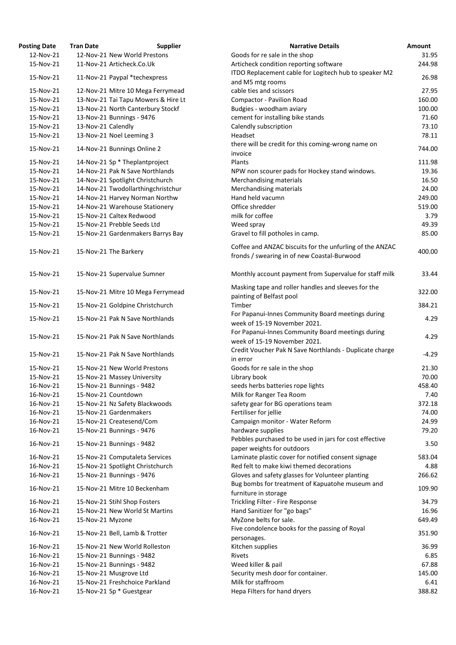| <b>Posting Date</b>    | <b>Tran Date</b>   | <b>Supplier</b>                                           | <b>Narrative Details</b>                                                                                      | Amount           |
|------------------------|--------------------|-----------------------------------------------------------|---------------------------------------------------------------------------------------------------------------|------------------|
| 12-Nov-21              |                    | 12-Nov-21 New World Prestons                              | Goods for re sale in the shop                                                                                 | 31.95            |
| 15-Nov-21              |                    | 11-Nov-21 Articheck.Co.Uk                                 | Articheck condition reporting software                                                                        | 244.98           |
| 15-Nov-21              |                    | 11-Nov-21 Paypal *techexpress                             | ITDO Replacement cable for Logitech hub to speaker M2<br>and M5 mtg rooms                                     | 26.98            |
| 15-Nov-21              |                    | 12-Nov-21 Mitre 10 Mega Ferrymead                         | cable ties and scissors                                                                                       | 27.95            |
| 15-Nov-21              |                    | 13-Nov-21 Tai Tapu Mowers & Hire Lt                       | <b>Compactor - Pavilion Road</b>                                                                              | 160.00           |
| 15-Nov-21              |                    | 13-Nov-21 North Canterbury Stockf                         | Budgies - woodham aviary                                                                                      | 100.00           |
| 15-Nov-21              |                    |                                                           |                                                                                                               | 71.60            |
|                        |                    | 13-Nov-21 Bunnings - 9476                                 | cement for installing bike stands                                                                             |                  |
| 15-Nov-21              | 13-Nov-21 Calendly |                                                           | Calendly subscription                                                                                         | 73.10            |
| 15-Nov-21              |                    | 13-Nov-21 Noel Leeming 3                                  | Headset                                                                                                       | 78.11            |
| 15-Nov-21              |                    | 14-Nov-21 Bunnings Online 2                               | there will be credit for this coming-wrong name on<br>invoice                                                 | 744.00           |
| 15-Nov-21              |                    | 14-Nov-21 Sp * Theplantproject                            | Plants                                                                                                        | 111.98           |
| 15-Nov-21              |                    | 14-Nov-21 Pak N Save Northlands                           | NPW non scourer pads for Hockey stand windows.                                                                | 19.36            |
| 15-Nov-21              |                    | 14-Nov-21 Spotlight Christchurch                          | Merchandising materials                                                                                       | 16.50            |
| 15-Nov-21              |                    | 14-Nov-21 Twodollarthingchristchur                        | Merchandising materials                                                                                       | 24.00            |
| 15-Nov-21              |                    | 14-Nov-21 Harvey Norman Northw                            | Hand held vacumn                                                                                              | 249.00           |
| 15-Nov-21              |                    | 14-Nov-21 Warehouse Stationery                            | Office shredder                                                                                               | 519.00           |
| 15-Nov-21              |                    | 15-Nov-21 Caltex Redwood                                  | milk for coffee                                                                                               | 3.79             |
| 15-Nov-21              |                    | 15-Nov-21 Prebble Seeds Ltd                               | Weed spray                                                                                                    | 49.39            |
| 15-Nov-21              |                    | 15-Nov-21 Gardenmakers Barrys Bay                         | Gravel to fill potholes in camp.                                                                              | 85.00            |
| 15-Nov-21              |                    | 15-Nov-21 The Barkery                                     | Coffee and ANZAC biscuits for the unfurling of the ANZAC<br>fronds / swearing in of new Coastal-Burwood       | 400.00           |
|                        |                    |                                                           |                                                                                                               |                  |
| 15-Nov-21              |                    | 15-Nov-21 Supervalue Sumner                               | Monthly account payment from Supervalue for staff milk<br>Masking tape and roller handles and sleeves for the | 33.44            |
| 15-Nov-21              |                    | 15-Nov-21 Mitre 10 Mega Ferrymead                         | painting of Belfast pool                                                                                      | 322.00           |
| 15-Nov-21              |                    | 15-Nov-21 Goldpine Christchurch                           | Timber<br>For Papanui-Innes Community Board meetings during                                                   | 384.21           |
| 15-Nov-21              |                    | 15-Nov-21 Pak N Save Northlands                           | week of 15-19 November 2021.<br>For Papanui-Innes Community Board meetings during                             | 4.29             |
| 15-Nov-21              |                    | 15-Nov-21 Pak N Save Northlands                           | week of 15-19 November 2021.                                                                                  | 4.29             |
| 15-Nov-21              |                    | 15-Nov-21 Pak N Save Northlands                           | Credit Voucher Pak N Save Northlands - Duplicate charge<br>in error                                           | $-4.29$          |
| 15-Nov-21              |                    | 15-Nov-21 New World Prestons                              | Goods for re sale in the shop                                                                                 | 21.30            |
| 15-Nov-21              |                    | 15-Nov-21 Massey University                               | Library book                                                                                                  | 70.00            |
| 16-Nov-21              |                    | 15-Nov-21 Bunnings - 9482                                 | seeds herbs batteries rope lights                                                                             | 458.40           |
| 16-Nov-21              |                    | 15-Nov-21 Countdown                                       | Milk for Ranger Tea Room                                                                                      | 7.40             |
| 16-Nov-21              |                    | 15-Nov-21 Nz Safety Blackwoods                            | safety gear for BG operations team                                                                            | 372.18           |
| 16-Nov-21              |                    | 15-Nov-21 Gardenmakers                                    | Fertiliser for jellie                                                                                         | 74.00            |
| 16-Nov-21              |                    | 15-Nov-21 Createsend/Com                                  | Campaign monitor - Water Reform                                                                               | 24.99            |
| 16-Nov-21              |                    | 15-Nov-21 Bunnings - 9476                                 | hardware supplies                                                                                             | 79.20            |
| 16-Nov-21              |                    | 15-Nov-21 Bunnings - 9482                                 | Pebbles purchased to be used in jars for cost effective<br>paper weights for outdoors                         | 3.50             |
| 16-Nov-21              |                    | 15-Nov-21 Computaleta Services                            | Laminate plastic cover for notified consent signage                                                           | 583.04           |
| 16-Nov-21              |                    | 15-Nov-21 Spotlight Christchurch                          | Red felt to make kiwi themed decorations                                                                      | 4.88             |
|                        |                    |                                                           |                                                                                                               |                  |
| 16-Nov-21<br>16-Nov-21 |                    | 15-Nov-21 Bunnings - 9476<br>15-Nov-21 Mitre 10 Beckenham | Gloves and safety glasses for Volunteer planting<br>Bug bombs for treatment of Kapuatohe museum and           | 266.62<br>109.90 |
| 16-Nov-21              |                    | 15-Nov-21 Stihl Shop Fosters                              | furniture in storage<br>Trickling Filter - Fire Response                                                      | 34.79            |
| 16-Nov-21              |                    | 15-Nov-21 New World St Martins                            | Hand Sanitizer for "go bags"                                                                                  | 16.96            |
| 16-Nov-21              | 15-Nov-21 Myzone   |                                                           | MyZone belts for sale.                                                                                        | 649.49           |
| 16-Nov-21              |                    | 15-Nov-21 Bell, Lamb & Trotter                            | Five condolence books for the passing of Royal                                                                | 351.90           |
| 16-Nov-21              |                    |                                                           | personages.                                                                                                   |                  |
|                        |                    | 15-Nov-21 New World Rolleston                             | Kitchen supplies                                                                                              | 36.99            |
| 16-Nov-21              |                    | 15-Nov-21 Bunnings - 9482                                 | Rivets                                                                                                        | 6.85             |
| 16-Nov-21              |                    | 15-Nov-21 Bunnings - 9482                                 | Weed killer & pail                                                                                            | 67.88            |
| 16-Nov-21              |                    | 15-Nov-21 Musgrove Ltd                                    | Security mesh door for container.                                                                             | 145.00           |
| 16-Nov-21              |                    | 15-Nov-21 Freshchoice Parkland                            | Milk for staffroom                                                                                            | 6.41             |
| 16-Nov-21              |                    | 15-Nov-21 Sp * Guestgear                                  | Hepa Filters for hand dryers                                                                                  | 388.82           |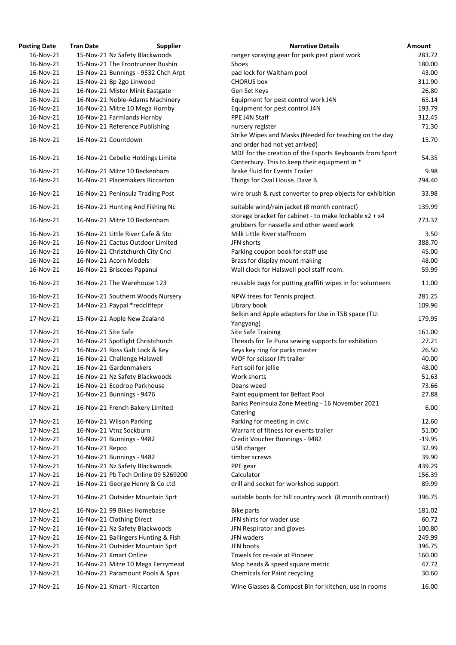| <b>Posting Date</b>    | <b>Tran Date</b>    | <b>Supplier</b>                                                 | <b>Narrative Details</b>                                                              | Amount   |
|------------------------|---------------------|-----------------------------------------------------------------|---------------------------------------------------------------------------------------|----------|
| 16-Nov-21              |                     | 15-Nov-21 Nz Safety Blackwoods                                  | ranger spraying gear for park pest plant work                                         | 283.72   |
| 16-Nov-21              |                     | 15-Nov-21 The Frontrunner Bushin                                | Shoes                                                                                 | 180.00   |
| 16-Nov-21              |                     | 15-Nov-21 Bunnings - 9532 Chch Arpt                             | pad lock for Waltham pool                                                             | 43.00    |
| 16-Nov-21              |                     | 15-Nov-21 Bp 2go Linwood                                        | <b>CHORUS</b> box                                                                     | 311.90   |
| 16-Nov-21              |                     | 16-Nov-21 Mister Minit Eastgate                                 | Gen Set Keys                                                                          | 26.80    |
| 16-Nov-21              |                     | 16-Nov-21 Noble-Adams Machinery                                 | Equipment for pest control work J4N                                                   | 65.14    |
| 16-Nov-21              |                     | 16-Nov-21 Mitre 10 Mega Hornby                                  | Equipment for pest control J4N                                                        | 193.79   |
| 16-Nov-21              |                     | 16-Nov-21 Farmlands Hornby                                      | PPE J4N Staff                                                                         | 312.45   |
| 16-Nov-21              |                     | 16-Nov-21 Reference Publishing                                  | nursery register                                                                      | 71.30    |
|                        |                     |                                                                 | Strike Wipes and Masks (Needed for teaching on the day                                |          |
| 16-Nov-21              |                     | 16-Nov-21 Countdown                                             | and order had not yet arrived)                                                        | 15.70    |
|                        |                     |                                                                 | MDF for the creation of the Esports Keyboards from Sport                              |          |
| 16-Nov-21              |                     | 16-Nov-21 Cebelio Holdings Limite                               | Canterbury. This to keep their equipment in *                                         | 54.35    |
| 16-Nov-21              |                     | 16-Nov-21 Mitre 10 Beckenham                                    | <b>Brake fluid for Events Trailer</b>                                                 | 9.98     |
| 16-Nov-21              |                     | 16-Nov-21 Placemakers Riccarton                                 | Things for Oval House. Dave B.                                                        | 294.40   |
|                        |                     |                                                                 |                                                                                       |          |
| 16-Nov-21              |                     | 16-Nov-21 Peninsula Trading Post                                | wire brush & rust converter to prep objects for exhibition                            | 33.98    |
| 16-Nov-21              |                     | 16-Nov-21 Hunting And Fishing Nc                                | suitable wind/rain jacket (8 month contract)                                          | 139.99   |
| 16-Nov-21              |                     | 16-Nov-21 Mitre 10 Beckenham                                    | storage bracket for cabinet - to make lockable x2 + x4                                | 273.37   |
|                        |                     |                                                                 | grubbers for nassella and other weed work                                             |          |
| 16-Nov-21              |                     | 16-Nov-21 Little River Cafe & Sto                               | Milk Little River staffroom                                                           | 3.50     |
| 16-Nov-21              |                     | 16-Nov-21 Cactus Outdoor Limited                                | JFN shorts                                                                            | 388.70   |
| 16-Nov-21              |                     | 16-Nov-21 Christchurch City Cncl                                | Parking coupon book for staff use                                                     | 45.00    |
| 16-Nov-21              |                     | 16-Nov-21 Acorn Models                                          | Brass for display mount making                                                        | 48.00    |
| 16-Nov-21              |                     | 16-Nov-21 Briscoes Papanui                                      | Wall clock for Halswell pool staff room.                                              | 59.99    |
| 16-Nov-21              |                     | 16-Nov-21 The Warehouse 123                                     | reusable bags for putting graffiti wipes in for volunteers                            | 11.00    |
| 16-Nov-21              |                     | 16-Nov-21 Southern Woods Nursery                                | NPW trees for Tennis project.                                                         | 281.25   |
| 17-Nov-21              |                     | 14-Nov-21 Paypal *redcliffepr                                   | Library book                                                                          | 109.96   |
| 17-Nov-21              |                     | 15-Nov-21 Apple New Zealand                                     | Belkin and Apple adapters for Use in TSB space (TU:<br>Yangyang)                      | 179.95   |
| 17-Nov-21              | 16-Nov-21 Site Safe |                                                                 | <b>Site Safe Training</b>                                                             | 161.00   |
| 17-Nov-21              |                     | 16-Nov-21 Spotlight Christchurch                                | Threads for Te Puna sewing supports for exhibition                                    | 27.21    |
| 17-Nov-21              |                     | 16-Nov-21 Ross Galt Lock & Key                                  | Keys key ring for parks master                                                        | 26.50    |
| 17-Nov-21              |                     | 16-Nov-21 Challenge Halswell                                    | WOF for scissor lift trailer                                                          | 40.00    |
| 17-Nov-21              |                     | 16-Nov-21 Gardenmakers                                          | Fert soil for jellie                                                                  | 48.00    |
| 17-Nov-21              |                     | 16-Nov-21 Nz Safety Blackwoods                                  | Work shorts                                                                           | 51.63    |
| 17-Nov-21              |                     | 16-Nov-21 Ecodrop Parkhouse                                     | Deans weed                                                                            | 73.66    |
| 17-Nov-21              |                     | 16-Nov-21 Bunnings - 9476                                       | Paint equipment for Belfast Pool                                                      | 27.88    |
|                        |                     |                                                                 | Banks Peninsula Zone Meeting - 16 November 2021                                       |          |
| 17-Nov-21              |                     | 16-Nov-21 French Bakery Limited                                 | Catering                                                                              | 6.00     |
| 17-Nov-21              |                     | 16-Nov-21 Wilson Parking                                        | Parking for meeting in civic                                                          | 12.60    |
| 17-Nov-21              |                     | 16-Nov-21 Vtnz Sockburn                                         | Warrant of fitness for events trailer                                                 | 51.00    |
| 17-Nov-21              |                     | 16-Nov-21 Bunnings - 9482                                       | Credit Voucher Bunnings - 9482                                                        | $-19.95$ |
| 17-Nov-21              | 16-Nov-21 Repco     |                                                                 | USB charger                                                                           | 32.99    |
| 17-Nov-21              |                     | 16-Nov-21 Bunnings - 9482                                       | timber screws                                                                         | 39.90    |
| 17-Nov-21              |                     | 16-Nov-21 Nz Safety Blackwoods                                  | PPE gear                                                                              | 439.29   |
| 17-Nov-21              |                     | 16-Nov-21 Pb Tech Online 09 5269200                             | Calculator                                                                            | 156.39   |
| 17-Nov-21              |                     | 16-Nov-21 George Henry & Co Ltd                                 | drill and socket for workshop support                                                 | 89.99    |
| 17-Nov-21              |                     | 16-Nov-21 Outsider Mountain Sprt                                | suitable boots for hill country work (8 month contract)                               | 396.75   |
| 17-Nov-21              |                     | 16-Nov-21 99 Bikes Homebase                                     | <b>Bike parts</b>                                                                     | 181.02   |
| 17-Nov-21              |                     | 16-Nov-21 Clothing Direct                                       | JFN shirts for wader use                                                              | 60.72    |
| 17-Nov-21              |                     | 16-Nov-21 Nz Safety Blackwoods                                  | JFN Respirator and gloves                                                             | 100.80   |
| 17-Nov-21              |                     | 16-Nov-21 Ballingers Hunting & Fish                             | JFN waders                                                                            | 249.99   |
| 17-Nov-21              |                     | 16-Nov-21 Outsider Mountain Sprt                                | JFN boots                                                                             | 396.75   |
| 17-Nov-21              |                     | 16-Nov-21 Kmart Online                                          | Towels for re-sale at Pioneer                                                         | 160.00   |
| 17-Nov-21              |                     | 16-Nov-21 Mitre 10 Mega Ferrymead                               | Mop heads & speed square metric                                                       | 47.72    |
|                        |                     |                                                                 |                                                                                       | 30.60    |
| 17-Nov-21<br>17-Nov-21 |                     | 16-Nov-21 Paramount Pools & Spas<br>16-Nov-21 Kmart - Riccarton | Chemicals for Paint recycling<br>Wine Glasses & Compost Bin for kitchen, use in rooms | 16.00    |
|                        |                     |                                                                 |                                                                                       |          |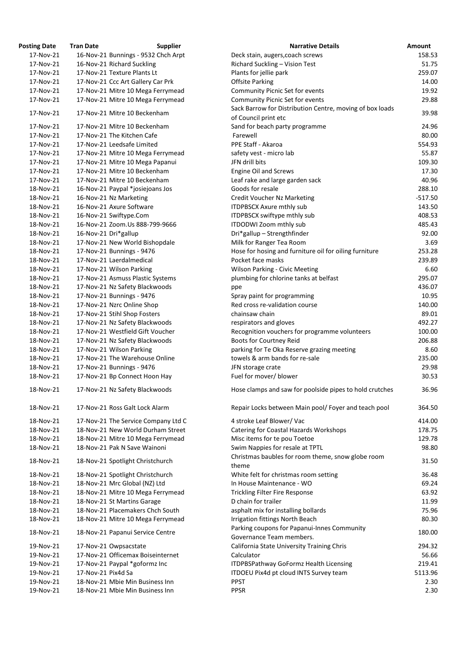| <b>Posting Date</b> | <b>Tran Date</b>         | <b>Supplier</b>                     | <b>Narrative Details</b>                                                |
|---------------------|--------------------------|-------------------------------------|-------------------------------------------------------------------------|
| 17-Nov-21           |                          | 16-Nov-21 Bunnings - 9532 Chch Arpt | Deck stain, augers, coach screws                                        |
| 17-Nov-21           |                          | 16-Nov-21 Richard Suckling          | Richard Suckling - Vision Test                                          |
| 17-Nov-21           |                          | 17-Nov-21 Texture Plants Lt         | Plants for jellie park                                                  |
| 17-Nov-21           |                          | 17-Nov-21 Ccc Art Gallery Car Prk   | <b>Offsite Parking</b>                                                  |
| 17-Nov-21           |                          | 17-Nov-21 Mitre 10 Mega Ferrymead   | Community Picnic Set for events                                         |
| 17-Nov-21           |                          | 17-Nov-21 Mitre 10 Mega Ferrymead   | Community Picnic Set for events                                         |
| 17-Nov-21           |                          | 17-Nov-21 Mitre 10 Beckenham        | Sack Barrow for Distribution Centre, moving of box loa                  |
|                     |                          |                                     | of Council print etc                                                    |
| 17-Nov-21           |                          | 17-Nov-21 Mitre 10 Beckenham        | Sand for beach party programme                                          |
| 17-Nov-21           |                          | 17-Nov-21 The Kitchen Cafe          | Farewell                                                                |
| 17-Nov-21           |                          | 17-Nov-21 Leedsafe Limited          | PPE Staff - Akaroa                                                      |
| 17-Nov-21           |                          | 17-Nov-21 Mitre 10 Mega Ferrymead   | safety vest - micro lab                                                 |
| 17-Nov-21           |                          | 17-Nov-21 Mitre 10 Mega Papanui     | JFN drill bits                                                          |
| 17-Nov-21           |                          | 17-Nov-21 Mitre 10 Beckenham        | <b>Engine Oil and Screws</b>                                            |
| 17-Nov-21           |                          | 17-Nov-21 Mitre 10 Beckenham        | Leaf rake and large garden sack                                         |
| 18-Nov-21           |                          | 16-Nov-21 Paypal *josiejoans Jos    | Goods for resale                                                        |
| 18-Nov-21           | 16-Nov-21 Nz Marketing   |                                     | <b>Credit Voucher Nz Marketing</b>                                      |
| 18-Nov-21           |                          | 16-Nov-21 Axure Software            | <b>ITDPBSCX Axure mthly sub</b>                                         |
| 18-Nov-21           | 16-Nov-21 Swiftype.Com   |                                     | ITDPBSCX swiftype mthly sub                                             |
| 18-Nov-21           |                          | 16-Nov-21 Zoom.Us 888-799-9666      | ITDODWI Zoom mthly sub                                                  |
| 18-Nov-21           | 16-Nov-21 Dri*gallup     |                                     | Dri*gallup-Strengthfinder                                               |
| 18-Nov-21           |                          | 17-Nov-21 New World Bishopdale      | Milk for Ranger Tea Room                                                |
| 18-Nov-21           |                          | 17-Nov-21 Bunnings - 9476           | Hose for hosing and furniture oil for oiling furniture                  |
| 18-Nov-21           | 17-Nov-21 Laerdalmedical |                                     | Pocket face masks                                                       |
| 18-Nov-21           | 17-Nov-21 Wilson Parking |                                     | <b>Wilson Parking - Civic Meeting</b>                                   |
| 18-Nov-21           |                          | 17-Nov-21 Asmuss Plastic Systems    | plumbing for chlorine tanks at belfast                                  |
| 18-Nov-21           |                          | 17-Nov-21 Nz Safety Blackwoods      | ppe                                                                     |
| 18-Nov-21           |                          | 17-Nov-21 Bunnings - 9476           | Spray paint for programming                                             |
| 18-Nov-21           |                          | 17-Nov-21 Nzrc Online Shop          | Red cross re-validation course                                          |
| 18-Nov-21           |                          | 17-Nov-21 Stihl Shop Fosters        | chainsaw chain                                                          |
| 18-Nov-21           |                          | 17-Nov-21 Nz Safety Blackwoods      | respirators and gloves                                                  |
| 18-Nov-21           |                          | 17-Nov-21 Westfield Gift Voucher    | Recognition vouchers for programme volunteers                           |
| 18-Nov-21           |                          | 17-Nov-21 Nz Safety Blackwoods      | Boots for Courtney Reid                                                 |
| 18-Nov-21           | 17-Nov-21 Wilson Parking |                                     | parking for Te Oka Reserve grazing meeting                              |
| 18-Nov-21           |                          | 17-Nov-21 The Warehouse Online      | towels & arm bands for re-sale                                          |
| 18-Nov-21           |                          | 17-Nov-21 Bunnings - 9476           | JFN storage crate                                                       |
| 18-Nov-21           |                          | 17-Nov-21 Bp Connect Hoon Hay       | Fuel for mover/ blower                                                  |
| 18-Nov-21           |                          | 17-Nov-21 Nz Safety Blackwoods      | Hose clamps and saw for poolside pipes to hold crutch                   |
| 18-Nov-21           |                          | 17-Nov-21 Ross Galt Lock Alarm      | Repair Locks between Main pool/ Foyer and teach poor                    |
| 18-Nov-21           |                          | 17-Nov-21 The Service Company Ltd C | 4 stroke Leaf Blower/ Vac                                               |
| 18-Nov-21           |                          | 18-Nov-21 New World Durham Street   | <b>Catering for Coastal Hazards Workshops</b>                           |
| 18-Nov-21           |                          | 18-Nov-21 Mitre 10 Mega Ferrymead   | Misc items for te pou Toetoe                                            |
| 18-Nov-21           |                          | 18-Nov-21 Pak N Save Wainoni        | Swim Nappies for resale at TPTL                                         |
| 18-Nov-21           |                          | 18-Nov-21 Spotlight Christchurch    | Christmas baubles for room theme, snow globe room<br>theme              |
| 18-Nov-21           |                          | 18-Nov-21 Spotlight Christchurch    | White felt for christmas room setting                                   |
| 18-Nov-21           |                          | 18-Nov-21 Mrc Global (NZ) Ltd       | In House Maintenance - WO                                               |
| 18-Nov-21           |                          | 18-Nov-21 Mitre 10 Mega Ferrymead   | <b>Trickling Filter Fire Response</b>                                   |
| 18-Nov-21           |                          | 18-Nov-21 St Martins Garage         | D chain for trailer                                                     |
| 18-Nov-21           |                          | 18-Nov-21 Placemakers Chch South    | asphalt mix for installing bollards                                     |
| 18-Nov-21           |                          | 18-Nov-21 Mitre 10 Mega Ferrymead   | <b>Irrigation fittings North Beach</b>                                  |
| 18-Nov-21           |                          | 18-Nov-21 Papanui Service Centre    | Parking coupons for Papanui-Innes Community<br>Governance Team members. |
| 19-Nov-21           | 17-Nov-21 Owpsacstate    |                                     | California State University Training Chris                              |
| 19-Nov-21           |                          | 17-Nov-21 Officemax Boiseinternet   | Calculator                                                              |
| 19-Nov-21           |                          | 17-Nov-21 Paypal *goformz Inc       | <b>ITDPBSPathway GoFormz Health Licensing</b>                           |
| 19-Nov-21           | 17-Nov-21 Pix4d Sa       |                                     | ITDOEU Pix4d pt cloud INTS Survey team                                  |
| 19-Nov-21           |                          | 18-Nov-21 Mbie Min Business Inn     | <b>PPST</b>                                                             |
| 19-Nov-21           |                          | 18-Nov-21 Mbie Min Business Inn     | <b>PPSR</b>                                                             |

| ting Date | Tran Date            | <b>Supplier</b>                     | <b>Narrative Details</b>                                                                    | Amount    |
|-----------|----------------------|-------------------------------------|---------------------------------------------------------------------------------------------|-----------|
| 17-Nov-21 |                      | 16-Nov-21 Bunnings - 9532 Chch Arpt | Deck stain, augers, coach screws                                                            | 158.53    |
| 17-Nov-21 |                      | 16-Nov-21 Richard Suckling          | Richard Suckling - Vision Test                                                              | 51.75     |
| 17-Nov-21 |                      | 17-Nov-21 Texture Plants Lt         | Plants for jellie park                                                                      | 259.07    |
| 17-Nov-21 |                      | 17-Nov-21 Ccc Art Gallery Car Prk   | <b>Offsite Parking</b>                                                                      | 14.00     |
| 17-Nov-21 |                      | 17-Nov-21 Mitre 10 Mega Ferrymead   | Community Picnic Set for events                                                             | 19.92     |
| 17-Nov-21 |                      | 17-Nov-21 Mitre 10 Mega Ferrymead   | Community Picnic Set for events<br>Sack Barrow for Distribution Centre, moving of box loads | 29.88     |
| 17-Nov-21 |                      | 17-Nov-21 Mitre 10 Beckenham        | of Council print etc                                                                        | 39.98     |
| 17-Nov-21 |                      | 17-Nov-21 Mitre 10 Beckenham        | Sand for beach party programme                                                              | 24.96     |
| 17-Nov-21 |                      | 17-Nov-21 The Kitchen Cafe          | Farewell                                                                                    | 80.00     |
| 17-Nov-21 |                      | 17-Nov-21 Leedsafe Limited          | PPE Staff - Akaroa                                                                          | 554.93    |
| 17-Nov-21 |                      | 17-Nov-21 Mitre 10 Mega Ferrymead   | safety vest - micro lab                                                                     | 55.87     |
| 17-Nov-21 |                      | 17-Nov-21 Mitre 10 Mega Papanui     | JFN drill bits                                                                              | 109.30    |
| 17-Nov-21 |                      | 17-Nov-21 Mitre 10 Beckenham        | <b>Engine Oil and Screws</b>                                                                | 17.30     |
| 17-Nov-21 |                      | 17-Nov-21 Mitre 10 Beckenham        | Leaf rake and large garden sack                                                             | 40.96     |
| 18-Nov-21 |                      | 16-Nov-21 Paypal *josiejoans Jos    | Goods for resale                                                                            | 288.10    |
| 18-Nov-21 |                      | 16-Nov-21 Nz Marketing              | <b>Credit Voucher Nz Marketing</b>                                                          | $-517.50$ |
| 18-Nov-21 |                      | 16-Nov-21 Axure Software            | <b>ITDPBSCX Axure mthly sub</b>                                                             | 143.50    |
| 18-Nov-21 |                      | 16-Nov-21 Swiftype.Com              | ITDPBSCX swiftype mthly sub                                                                 | 408.53    |
| 18-Nov-21 |                      | 16-Nov-21 Zoom.Us 888-799-9666      | ITDODWI Zoom mthly sub                                                                      | 485.43    |
| 18-Nov-21 | 16-Nov-21 Dri*gallup |                                     | Dri*gallup-Strengthfinder                                                                   | 92.00     |
| 18-Nov-21 |                      | 17-Nov-21 New World Bishopdale      | Milk for Ranger Tea Room                                                                    | 3.69      |
| 18-Nov-21 |                      | 17-Nov-21 Bunnings - 9476           | Hose for hosing and furniture oil for oiling furniture                                      | 253.28    |
| 18-Nov-21 |                      | 17-Nov-21 Laerdalmedical            | Pocket face masks                                                                           | 239.89    |
| 18-Nov-21 |                      | 17-Nov-21 Wilson Parking            | <b>Wilson Parking - Civic Meeting</b>                                                       | 6.60      |
| 18-Nov-21 |                      | 17-Nov-21 Asmuss Plastic Systems    | plumbing for chlorine tanks at belfast                                                      | 295.07    |
| 18-Nov-21 |                      | 17-Nov-21 Nz Safety Blackwoods      | ppe                                                                                         | 436.07    |
| 18-Nov-21 |                      | 17-Nov-21 Bunnings - 9476           | Spray paint for programming                                                                 | 10.95     |
| 18-Nov-21 |                      | 17-Nov-21 Nzrc Online Shop          | Red cross re-validation course                                                              | 140.00    |
| 18-Nov-21 |                      | 17-Nov-21 Stihl Shop Fosters        | chainsaw chain                                                                              | 89.01     |
| 18-Nov-21 |                      | 17-Nov-21 Nz Safety Blackwoods      | respirators and gloves                                                                      | 492.27    |
| 18-Nov-21 |                      | 17-Nov-21 Westfield Gift Voucher    | Recognition vouchers for programme volunteers                                               | 100.00    |
| 18-Nov-21 |                      | 17-Nov-21 Nz Safety Blackwoods      | <b>Boots for Courtney Reid</b>                                                              | 206.88    |
| 18-Nov-21 |                      | 17-Nov-21 Wilson Parking            | parking for Te Oka Reserve grazing meeting                                                  | 8.60      |
| 18-Nov-21 |                      | 17-Nov-21 The Warehouse Online      | towels & arm bands for re-sale                                                              | 235.00    |
| 18-Nov-21 |                      | 17-Nov-21 Bunnings - 9476           | JFN storage crate                                                                           | 29.98     |
| 18-Nov-21 |                      | 17-Nov-21 Bp Connect Hoon Hay       | Fuel for mover/ blower                                                                      | 30.53     |
| 18-Nov-21 |                      | 17-Nov-21 Nz Safety Blackwoods      | Hose clamps and saw for poolside pipes to hold crutches                                     | 36.96     |
| 18-Nov-21 |                      | 17-Nov-21 Ross Galt Lock Alarm      | Repair Locks between Main pool/ Foyer and teach pool                                        | 364.50    |
| 18-Nov-21 |                      | 17-Nov-21 The Service Company Ltd C | 4 stroke Leaf Blower/ Vac                                                                   | 414.00    |
| 18-Nov-21 |                      | 18-Nov-21 New World Durham Street   | <b>Catering for Coastal Hazards Workshops</b>                                               | 178.75    |
| 18-Nov-21 |                      | 18-Nov-21 Mitre 10 Mega Ferrymead   | Misc items for te pou Toetoe                                                                | 129.78    |
| 18-Nov-21 |                      | 18-Nov-21 Pak N Save Wainoni        | Swim Nappies for resale at TPTL                                                             | 98.80     |
| 18-Nov-21 |                      | 18-Nov-21 Spotlight Christchurch    | Christmas baubles for room theme, snow globe room<br>theme                                  | 31.50     |
| 18-Nov-21 |                      | 18-Nov-21 Spotlight Christchurch    | White felt for christmas room setting                                                       | 36.48     |
| 18-Nov-21 |                      | 18-Nov-21 Mrc Global (NZ) Ltd       | In House Maintenance - WO                                                                   | 69.24     |
| 18-Nov-21 |                      | 18-Nov-21 Mitre 10 Mega Ferrymead   | <b>Trickling Filter Fire Response</b>                                                       | 63.92     |
| 18-Nov-21 |                      | 18-Nov-21 St Martins Garage         | D chain for trailer                                                                         | 11.99     |
| 18-Nov-21 |                      | 18-Nov-21 Placemakers Chch South    | asphalt mix for installing bollards                                                         | 75.96     |
| 18-Nov-21 |                      | 18-Nov-21 Mitre 10 Mega Ferrymead   | <b>Irrigation fittings North Beach</b>                                                      | 80.30     |
| 18-Nov-21 |                      | 18-Nov-21 Papanui Service Centre    | Parking coupons for Papanui-Innes Community                                                 | 180.00    |
|           |                      |                                     | Governance Team members.                                                                    |           |
| 19-Nov-21 |                      | 17-Nov-21 Owpsacstate               | California State University Training Chris                                                  | 294.32    |
| 19-Nov-21 |                      | 17-Nov-21 Officemax Boiseinternet   | Calculator                                                                                  | 56.66     |
| 19-Nov-21 |                      | 17-Nov-21 Paypal *goformz Inc       | <b>ITDPBSPathway GoFormz Health Licensing</b>                                               | 219.41    |
| 19-Nov-21 | 17-Nov-21 Pix4d Sa   |                                     | ITDOEU Pix4d pt cloud INTS Survey team                                                      | 5113.96   |
| 19-Nov-21 |                      | 18-Nov-21 Mbie Min Business Inn     | <b>PPST</b>                                                                                 | 2.30      |
| 19-Nov-21 |                      | 18-Nov-21 Mbie Min Business Inn     | <b>PPSR</b>                                                                                 | 2.30      |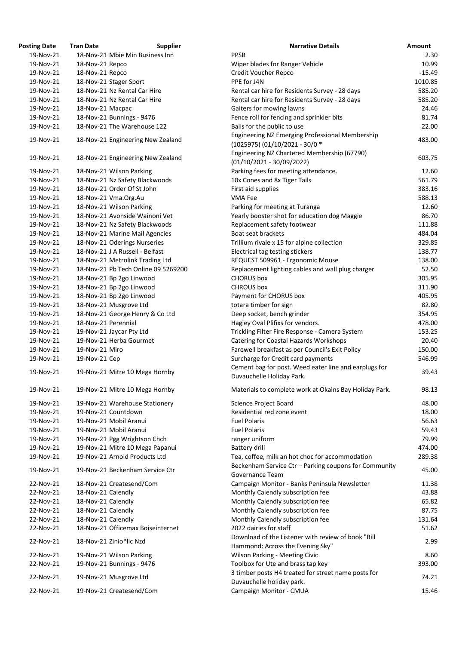| osting Date | <b>Tran Date</b>    | <b>Supplier</b>                     | <b>Narrative Details</b>                                              |
|-------------|---------------------|-------------------------------------|-----------------------------------------------------------------------|
| 19-Nov-21   |                     | 18-Nov-21 Mbie Min Business Inn     | <b>PPSR</b>                                                           |
| 19-Nov-21   | 18-Nov-21 Repco     |                                     | Wiper blades for Ranger Vehicle                                       |
| 19-Nov-21   | 18-Nov-21 Repco     |                                     | Credit Voucher Repco                                                  |
| 19-Nov-21   |                     | 18-Nov-21 Stager Sport              | PPE for J4N                                                           |
| 19-Nov-21   |                     | 18-Nov-21 Nz Rental Car Hire        | Rental car hire for Residents Survey - 28 days                        |
| 19-Nov-21   |                     | 18-Nov-21 Nz Rental Car Hire        | Rental car hire for Residents Survey - 28 days                        |
| 19-Nov-21   | 18-Nov-21 Macpac    |                                     | Gaiters for mowing lawns                                              |
| 19-Nov-21   |                     | 18-Nov-21 Bunnings - 9476           | Fence roll for fencing and sprinkler bits                             |
| 19-Nov-21   |                     | 18-Nov-21 The Warehouse 122         | Balls for the public to use                                           |
| 19-Nov-21   |                     | 18-Nov-21 Engineering New Zealand   | Engineering NZ Emerging Professional Membership                       |
|             |                     |                                     | (1025975) (01/10/2021 - 30/0 *                                        |
| 19-Nov-21   |                     | 18-Nov-21 Engineering New Zealand   | Engineering NZ Chartered Membership (67790)                           |
|             |                     |                                     | $(01/10/2021 - 30/09/2022)$                                           |
| 19-Nov-21   |                     | 18-Nov-21 Wilson Parking            | Parking fees for meeting attendance.                                  |
| 19-Nov-21   |                     | 18-Nov-21 Nz Safety Blackwoods      | 10x Cones and 8x Tiger Tails                                          |
| 19-Nov-21   |                     | 18-Nov-21 Order Of St John          | First aid supplies                                                    |
| 19-Nov-21   |                     | 18-Nov-21 Vma.Org.Au                | VMA Fee                                                               |
| 19-Nov-21   |                     | 18-Nov-21 Wilson Parking            | Parking for meeting at Turanga                                        |
| 19-Nov-21   |                     | 18-Nov-21 Avonside Wainoni Vet      | Yearly booster shot for education dog Maggie                          |
| 19-Nov-21   |                     | 18-Nov-21 Nz Safety Blackwoods      | Replacement safety footwear                                           |
| 19-Nov-21   |                     | 18-Nov-21 Marine Mail Agencies      | Boat seat brackets                                                    |
| 19-Nov-21   |                     | 18-Nov-21 Oderings Nurseries        | Trillium rivale x 15 for alpine collection                            |
| 19-Nov-21   |                     | 18-Nov-21 J A Russell - Belfast     | Electrical tag testing stickers                                       |
| 19-Nov-21   |                     | 18-Nov-21 Metrolink Trading Ltd     | REQUEST 509961 - Ergonomic Mouse                                      |
| 19-Nov-21   |                     | 18-Nov-21 Pb Tech Online 09 5269200 | Replacement lighting cables and wall plug charger                     |
| 19-Nov-21   |                     | 18-Nov-21 Bp 2go Linwood            | <b>CHORUS</b> box                                                     |
| 19-Nov-21   |                     | 18-Nov-21 Bp 2go Linwood            | <b>CHROUS box</b>                                                     |
| 19-Nov-21   |                     | 18-Nov-21 Bp 2go Linwood            | Payment for CHORUS box                                                |
| 19-Nov-21   |                     | 18-Nov-21 Musgrove Ltd              | totara timber for sign                                                |
| 19-Nov-21   |                     | 18-Nov-21 George Henry & Co Ltd     | Deep socket, bench grinder                                            |
| 19-Nov-21   | 18-Nov-21 Perennial |                                     | Hagley Oval Plifixs for vendors.                                      |
| 19-Nov-21   |                     | 19-Nov-21 Jaycar Pty Ltd            | Trickling Filter Fire Response - Camera System                        |
| 19-Nov-21   |                     | 19-Nov-21 Herba Gourmet             | <b>Catering for Coastal Hazards Workshops</b>                         |
| 19-Nov-21   | 19-Nov-21 Miro      |                                     | Farewell breakfast as per Council's Exit Policy                       |
| 19-Nov-21   | 19-Nov-21 Cep       |                                     | Surcharge for Credit card payments                                    |
| 19-Nov-21   |                     | 19-Nov-21 Mitre 10 Mega Hornby      | Cement bag for post. Weed eater line and earplugs for                 |
|             |                     |                                     | Duvauchelle Holiday Park.                                             |
| 19-Nov-21   |                     | 19-Nov-21 Mitre 10 Mega Hornby      | Materials to complete work at Okains Bay Holiday Park                 |
| 19-Nov-21   |                     | 19-Nov-21 Warehouse Stationery      | Science Project Board                                                 |
| 19-Nov-21   |                     | 19-Nov-21 Countdown                 | Residential red zone event                                            |
| 19-Nov-21   |                     | 19-Nov-21 Mobil Aranui              | <b>Fuel Polaris</b>                                                   |
| 19-Nov-21   |                     | 19-Nov-21 Mobil Aranui              | <b>Fuel Polaris</b>                                                   |
| 19-Nov-21   |                     | 19-Nov-21 Pgg Wrightson Chch        | ranger uniform                                                        |
| 19-Nov-21   |                     | 19-Nov-21 Mitre 10 Mega Papanui     | Battery drill                                                         |
| 19-Nov-21   |                     | 19-Nov-21 Arnold Products Ltd       | Tea, coffee, milk an hot choc for accommodation                       |
| 19-Nov-21   |                     | 19-Nov-21 Beckenham Service Ctr     | Beckenham Service Ctr - Parking coupons for Commun<br>Governance Team |
| 22-Nov-21   |                     | 18-Nov-21 Createsend/Com            | Campaign Monitor - Banks Peninsula Newsletter                         |
| 22-Nov-21   | 18-Nov-21 Calendly  |                                     | Monthly Calendly subscription fee                                     |
| 22-Nov-21   | 18-Nov-21 Calendly  |                                     | Monthly Calendly subscription fee                                     |
| 22-Nov-21   | 18-Nov-21 Calendly  |                                     | Monthly Calendly subscription fee                                     |
| 22-Nov-21   | 18-Nov-21 Calendly  |                                     | Monthly Calendly subscription fee                                     |
| 22-Nov-21   |                     | 18-Nov-21 Officemax Boiseinternet   | 2022 dairies for staff                                                |
|             |                     |                                     | Download of the Listener with review of book "Bill                    |
| 22-Nov-21   |                     | 18-Nov-21 Zinio*llc Nzd             | Hammond: Across the Evening Sky"                                      |
| 22-Nov-21   |                     | 19-Nov-21 Wilson Parking            | <b>Wilson Parking - Meeting Civic</b>                                 |
| 22-Nov-21   |                     | 19-Nov-21 Bunnings - 9476           | Toolbox for Ute and brass tap key                                     |
|             |                     |                                     | 3 timber posts H4 treated for street name posts for                   |
| 22-Nov-21   |                     | 19-Nov-21 Musgrove Ltd              | Duvauchelle holiday park.                                             |
| 22-Nov-21   |                     | 19-Nov-21 Createsend/Com            | Campaign Monitor - CMUA                                               |
|             |                     |                                     |                                                                       |

| <b>Posting Date</b> | <b>Tran Date</b>    | <b>Supplier</b>                     | <b>Narrative Details</b>                               | <b>Amount</b> |
|---------------------|---------------------|-------------------------------------|--------------------------------------------------------|---------------|
| 19-Nov-21           |                     | 18-Nov-21 Mbie Min Business Inn     | <b>PPSR</b>                                            | 2.30          |
| 19-Nov-21           | 18-Nov-21 Repco     |                                     | Wiper blades for Ranger Vehicle                        | 10.99         |
| 19-Nov-21           | 18-Nov-21 Repco     |                                     | Credit Voucher Repco                                   | $-15.49$      |
| 19-Nov-21           |                     | 18-Nov-21 Stager Sport              | PPE for J4N                                            | 1010.85       |
| 19-Nov-21           |                     | 18-Nov-21 Nz Rental Car Hire        | Rental car hire for Residents Survey - 28 days         | 585.20        |
| 19-Nov-21           |                     | 18-Nov-21 Nz Rental Car Hire        | Rental car hire for Residents Survey - 28 days         | 585.20        |
| 19-Nov-21           | 18-Nov-21 Macpac    |                                     | Gaiters for mowing lawns                               | 24.46         |
| 19-Nov-21           |                     | 18-Nov-21 Bunnings - 9476           | Fence roll for fencing and sprinkler bits              | 81.74         |
| 19-Nov-21           |                     | 18-Nov-21 The Warehouse 122         | Balls for the public to use                            | 22.00         |
|                     |                     |                                     | Engineering NZ Emerging Professional Membership        |               |
| 19-Nov-21           |                     | 18-Nov-21 Engineering New Zealand   | (1025975) (01/10/2021 - 30/0 *                         | 483.00        |
|                     |                     |                                     | Engineering NZ Chartered Membership (67790)            |               |
| 19-Nov-21           |                     | 18-Nov-21 Engineering New Zealand   | $(01/10/2021 - 30/09/2022)$                            | 603.75        |
|                     |                     |                                     |                                                        |               |
| 19-Nov-21           |                     | 18-Nov-21 Wilson Parking            | Parking fees for meeting attendance.                   | 12.60         |
| 19-Nov-21           |                     | 18-Nov-21 Nz Safety Blackwoods      | 10x Cones and 8x Tiger Tails                           | 561.79        |
| 19-Nov-21           |                     | 18-Nov-21 Order Of St John          | First aid supplies                                     | 383.16        |
| 19-Nov-21           |                     | 18-Nov-21 Vma.Org.Au                | VMA Fee                                                | 588.13        |
| 19-Nov-21           |                     | 18-Nov-21 Wilson Parking            | Parking for meeting at Turanga                         | 12.60         |
| 19-Nov-21           |                     | 18-Nov-21 Avonside Wainoni Vet      | Yearly booster shot for education dog Maggie           | 86.70         |
| 19-Nov-21           |                     | 18-Nov-21 Nz Safety Blackwoods      | Replacement safety footwear                            | 111.88        |
| 19-Nov-21           |                     | 18-Nov-21 Marine Mail Agencies      | Boat seat brackets                                     | 484.04        |
| 19-Nov-21           |                     | 18-Nov-21 Oderings Nurseries        | Trillium rivale x 15 for alpine collection             | 329.85        |
| 19-Nov-21           |                     | 18-Nov-21 J A Russell - Belfast     | Electrical tag testing stickers                        | 138.77        |
| 19-Nov-21           |                     | 18-Nov-21 Metrolink Trading Ltd     | REQUEST 509961 - Ergonomic Mouse                       | 138.00        |
| 19-Nov-21           |                     | 18-Nov-21 Pb Tech Online 09 5269200 | Replacement lighting cables and wall plug charger      | 52.50         |
| 19-Nov-21           |                     | 18-Nov-21 Bp 2go Linwood            | <b>CHORUS</b> box                                      | 305.95        |
| 19-Nov-21           |                     | 18-Nov-21 Bp 2go Linwood            | <b>CHROUS</b> box                                      | 311.90        |
| 19-Nov-21           |                     | 18-Nov-21 Bp 2go Linwood            | Payment for CHORUS box                                 | 405.95        |
| 19-Nov-21           |                     | 18-Nov-21 Musgrove Ltd              | totara timber for sign                                 | 82.80         |
| 19-Nov-21           |                     | 18-Nov-21 George Henry & Co Ltd     | Deep socket, bench grinder                             | 354.95        |
| 19-Nov-21           | 18-Nov-21 Perennial |                                     | Hagley Oval Plifixs for vendors.                       | 478.00        |
| 19-Nov-21           |                     | 19-Nov-21 Jaycar Pty Ltd            | Trickling Filter Fire Response - Camera System         | 153.25        |
| 19-Nov-21           |                     | 19-Nov-21 Herba Gourmet             | <b>Catering for Coastal Hazards Workshops</b>          | 20.40         |
| 19-Nov-21           | 19-Nov-21 Miro      |                                     | Farewell breakfast as per Council's Exit Policy        | 150.00        |
| 19-Nov-21           |                     |                                     | Surcharge for Credit card payments                     | 546.99        |
|                     | 19-Nov-21 Cep       |                                     |                                                        |               |
| 19-Nov-21           |                     | 19-Nov-21 Mitre 10 Mega Hornby      | Cement bag for post. Weed eater line and earplugs for  | 39.43         |
|                     |                     |                                     | Duvauchelle Holiday Park.                              |               |
| 19-Nov-21           |                     | 19-Nov-21 Mitre 10 Mega Hornby      | Materials to complete work at Okains Bay Holiday Park. | 98.13         |
| 19-Nov-21           |                     | 19-Nov-21 Warehouse Stationery      | <b>Science Project Board</b>                           | 48.00         |
| 19-Nov-21           |                     | 19-Nov-21 Countdown                 | Residential red zone event                             | 18.00         |
| 19-Nov-21           |                     | 19-Nov-21 Mobil Aranui              | <b>Fuel Polaris</b>                                    | 56.63         |
| 19-Nov-21           |                     | 19-Nov-21 Mobil Aranui              | <b>Fuel Polaris</b>                                    | 59.43         |
| 19-Nov-21           |                     | 19-Nov-21 Pgg Wrightson Chch        | ranger uniform                                         | 79.99         |
| 19-Nov-21           |                     | 19-Nov-21 Mitre 10 Mega Papanui     | Battery drill                                          | 474.00        |
| 19-Nov-21           |                     | 19-Nov-21 Arnold Products Ltd       | Tea, coffee, milk an hot choc for accommodation        | 289.38        |
|                     |                     |                                     | Beckenham Service Ctr - Parking coupons for Community  |               |
| 19-Nov-21           |                     | 19-Nov-21 Beckenham Service Ctr     | Governance Team                                        | 45.00         |
| 22-Nov-21           |                     | 18-Nov-21 Createsend/Com            | Campaign Monitor - Banks Peninsula Newsletter          | 11.38         |
| 22-Nov-21           | 18-Nov-21 Calendly  |                                     | Monthly Calendly subscription fee                      | 43.88         |
| 22-Nov-21           | 18-Nov-21 Calendly  |                                     | Monthly Calendly subscription fee                      | 65.82         |
| 22-Nov-21           | 18-Nov-21 Calendly  |                                     | Monthly Calendly subscription fee                      | 87.75         |
| 22-Nov-21           | 18-Nov-21 Calendly  |                                     | Monthly Calendly subscription fee                      | 131.64        |
| 22-Nov-21           |                     | 18-Nov-21 Officemax Boiseinternet   | 2022 dairies for staff                                 | 51.62         |
|                     |                     |                                     | Download of the Listener with review of book "Bill     |               |
| 22-Nov-21           |                     | 18-Nov-21 Zinio*llc Nzd             | Hammond: Across the Evening Sky"                       | 2.99          |
| 22-Nov-21           |                     | 19-Nov-21 Wilson Parking            | <b>Wilson Parking - Meeting Civic</b>                  | 8.60          |
| 22-Nov-21           |                     | 19-Nov-21 Bunnings - 9476           | Toolbox for Ute and brass tap key                      | 393.00        |
|                     |                     |                                     | 3 timber posts H4 treated for street name posts for    |               |
| 22-Nov-21           |                     | 19-Nov-21 Musgrove Ltd              | Duvauchelle holiday park.                              | 74.21         |
| 22-Nov-21           |                     | 19-Nov-21 Createsend/Com            | Campaign Monitor - CMUA                                | 15.46         |
|                     |                     |                                     |                                                        |               |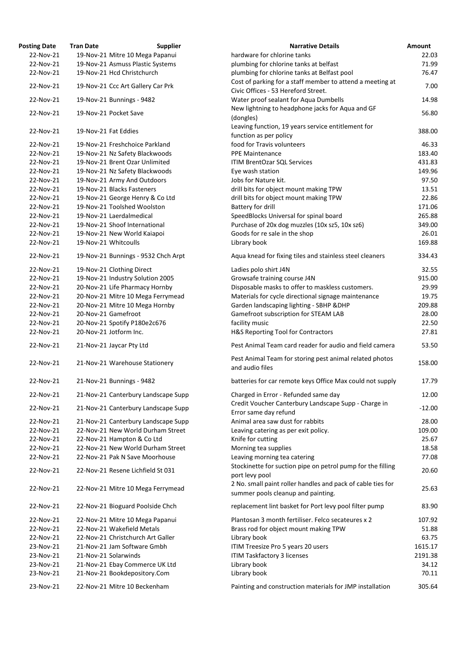| <b>osting Date</b> | <b>Tran Date</b>           | <b>Supplier</b>                     | <b>Narrative Details</b>                                                                         |
|--------------------|----------------------------|-------------------------------------|--------------------------------------------------------------------------------------------------|
| 22-Nov-21          |                            | 19-Nov-21 Mitre 10 Mega Papanui     | hardware for chlorine tanks                                                                      |
| 22-Nov-21          |                            | 19-Nov-21 Asmuss Plastic Systems    | plumbing for chlorine tanks at belfast                                                           |
| 22-Nov-21          | 19-Nov-21 Hcd Christchurch |                                     | plumbing for chlorine tanks at Belfast pool                                                      |
| 22-Nov-21          |                            | 19-Nov-21 Ccc Art Gallery Car Prk   | Cost of parking for a staff member to attend a meeting at<br>Civic Offices - 53 Hereford Street. |
| 22-Nov-21          | 19-Nov-21 Bunnings - 9482  |                                     | Water proof sealant for Aqua Dumbells                                                            |
| 22-Nov-21          | 19-Nov-21 Pocket Save      |                                     | New lightning to headphone jacks for Aqua and GF<br>(dongles)                                    |
| 22-Nov-21          | 19-Nov-21 Fat Eddies       |                                     | Leaving function, 19 years service entitlement for<br>function as per policy                     |
| 22-Nov-21          |                            | 19-Nov-21 Freshchoice Parkland      | food for Travis volunteers                                                                       |
| 22-Nov-21          |                            | 19-Nov-21 Nz Safety Blackwoods      | <b>PPE Maintenance</b>                                                                           |
| 22-Nov-21          |                            | 19-Nov-21 Brent Ozar Unlimited      | <b>ITIM BrentOzar SQL Services</b>                                                               |
| 22-Nov-21          |                            | 19-Nov-21 Nz Safety Blackwoods      | Eye wash station                                                                                 |
| 22-Nov-21          |                            | 19-Nov-21 Army And Outdoors         | Jobs for Nature kit.                                                                             |
| 22-Nov-21          | 19-Nov-21 Blacks Fasteners |                                     | drill bits for object mount making TPW                                                           |
| 22-Nov-21          |                            | 19-Nov-21 George Henry & Co Ltd     | drill bits for object mount making TPW                                                           |
| 22-Nov-21          |                            | 19-Nov-21 Toolshed Woolston         | Battery for drill                                                                                |
| 22-Nov-21          | 19-Nov-21 Laerdalmedical   |                                     | SpeedBlocks Universal for spinal board                                                           |
| 22-Nov-21          |                            | 19-Nov-21 Shoof International       | Purchase of 20x dog muzzles (10x sz5, 10x sz6)                                                   |
| 22-Nov-21          |                            | 19-Nov-21 New World Kaiapoi         | Goods for re sale in the shop                                                                    |
| 22-Nov-21          | 19-Nov-21 Whitcoulls       |                                     | Library book                                                                                     |
| 22-Nov-21          |                            | 19-Nov-21 Bunnings - 9532 Chch Arpt | Aqua knead for fixing tiles and stainless steel cleaners                                         |
| 22-Nov-21          | 19-Nov-21 Clothing Direct  |                                     | Ladies polo shirt J4N                                                                            |
| 22-Nov-21          |                            | 19-Nov-21 Industry Solution 2005    | Growsafe training course J4N                                                                     |
| 22-Nov-21          |                            | 20-Nov-21 Life Pharmacy Hornby      | Disposable masks to offer to maskless customers.                                                 |
| 22-Nov-21          |                            | 20-Nov-21 Mitre 10 Mega Ferrymead   | Materials for cycle directional signage maintenance                                              |
| 22-Nov-21          |                            | 20-Nov-21 Mitre 10 Mega Hornby      | Garden landscaping lighting - SBHP & DHP                                                         |
| 22-Nov-21          | 20-Nov-21 Gamefroot        |                                     | Gamefroot subscription for STEAM LAB                                                             |
| 22-Nov-21          |                            | 20-Nov-21 Spotify P180e2c676        | facility music                                                                                   |
| 22-Nov-21          | 20-Nov-21 Jotform Inc.     |                                     | H&S Reporting Tool for Contractors                                                               |
| 22-Nov-21          | 21-Nov-21 Jaycar Pty Ltd   |                                     | Pest Animal Team card reader for audio and field camera                                          |
| 22-Nov-21          |                            | 21-Nov-21 Warehouse Stationery      | Pest Animal Team for storing pest animal related photos<br>and audio files                       |
| 22-Nov-21          | 21-Nov-21 Bunnings - 9482  |                                     | batteries for car remote keys Office Max could not supply                                        |
| 22-Nov-21          |                            | 21-Nov-21 Canterbury Landscape Supp | Charged in Error - Refunded same day<br>Credit Voucher Canterbury Landscape Supp - Charge in     |
| 22-Nov-21          |                            | 21-Nov-21 Canterbury Landscape Supp | Error same day refund                                                                            |
| 22-Nov-21          |                            | 21-Nov-21 Canterbury Landscape Supp | Animal area saw dust for rabbits                                                                 |
| 22-Nov-21          |                            | 22-Nov-21 New World Durham Street   | Leaving catering as per exit policy.                                                             |
| 22-Nov-21          | 22-Nov-21 Hampton & Co Ltd |                                     | Knife for cutting                                                                                |
| 22-Nov-21          |                            | 22-Nov-21 New World Durham Street   | Morning tea supplies                                                                             |
| 22-Nov-21          |                            | 22-Nov-21 Pak N Save Moorhouse      | Leaving morning tea catering<br>Stockinette for suction pipe on petrol pump for the filling      |
| 22-Nov-21          |                            | 22-Nov-21 Resene Lichfield St 031   | port levy pool<br>2 No. small paint roller handles and pack of cable ties for                    |
| 22-Nov-21          |                            | 22-Nov-21 Mitre 10 Mega Ferrymead   | summer pools cleanup and painting.                                                               |
| 22-Nov-21          |                            | 22-Nov-21 Bioguard Poolside Chch    | replacement lint basket for Port levy pool filter pump                                           |
| 22-Nov-21          |                            | 22-Nov-21 Mitre 10 Mega Papanui     | Plantosan 3 month fertiliser. Felco secateures x 2                                               |
| 22-Nov-21          | 22-Nov-21 Wakefield Metals |                                     | Brass rod for object mount making TPW                                                            |
| 22-Nov-21          |                            | 22-Nov-21 Christchurch Art Galler   | Library book                                                                                     |
| 23-Nov-21          |                            | 21-Nov-21 Jam Software Gmbh         | ITIM Treesize Pro 5 years 20 users                                                               |
| 23-Nov-21          | 21-Nov-21 Solarwinds       |                                     | <b>ITIM Taskfactory 3 licenses</b>                                                               |
| 23-Nov-21          |                            | 21-Nov-21 Ebay Commerce UK Ltd      | Library book                                                                                     |
| 23-Nov-21          |                            | 21-Nov-21 Bookdepository.Com        | Library book                                                                                     |
| 23-Nov-21          |                            | 22-Nov-21 Mitre 10 Beckenham        | Painting and construction materials for JMP installation                                         |

| <b>Posting Date</b> | <b>Tran Date</b> | <b>Supplier</b>                     | <b>Narrative Details</b>                                                                          | <b>Amount</b> |
|---------------------|------------------|-------------------------------------|---------------------------------------------------------------------------------------------------|---------------|
| 22-Nov-21           |                  | 19-Nov-21 Mitre 10 Mega Papanui     | hardware for chlorine tanks                                                                       | 22.03         |
| 22-Nov-21           |                  | 19-Nov-21 Asmuss Plastic Systems    | plumbing for chlorine tanks at belfast                                                            | 71.99         |
| 22-Nov-21           |                  | 19-Nov-21 Hcd Christchurch          | plumbing for chlorine tanks at Belfast pool                                                       | 76.47         |
| 22-Nov-21           |                  | 19-Nov-21 Ccc Art Gallery Car Prk   | Cost of parking for a staff member to attend a meeting at<br>Civic Offices - 53 Hereford Street.  | 7.00          |
| 22-Nov-21           |                  | 19-Nov-21 Bunnings - 9482           | Water proof sealant for Aqua Dumbells                                                             | 14.98         |
| 22-Nov-21           |                  | 19-Nov-21 Pocket Save               | New lightning to headphone jacks for Aqua and GF<br>(dongles)                                     | 56.80         |
| 22-Nov-21           |                  | 19-Nov-21 Fat Eddies                | Leaving function, 19 years service entitlement for<br>function as per policy                      | 388.00        |
| 22-Nov-21           |                  | 19-Nov-21 Freshchoice Parkland      | food for Travis volunteers                                                                        | 46.33         |
| 22-Nov-21           |                  | 19-Nov-21 Nz Safety Blackwoods      | <b>PPE Maintenance</b>                                                                            | 183.40        |
| 22-Nov-21           |                  | 19-Nov-21 Brent Ozar Unlimited      | <b>ITIM BrentOzar SQL Services</b>                                                                | 431.83        |
| 22-Nov-21           |                  | 19-Nov-21 Nz Safety Blackwoods      | Eye wash station                                                                                  | 149.96        |
| 22-Nov-21           |                  | 19-Nov-21 Army And Outdoors         | Jobs for Nature kit.                                                                              | 97.50         |
| 22-Nov-21           |                  | 19-Nov-21 Blacks Fasteners          | drill bits for object mount making TPW                                                            | 13.51         |
| 22-Nov-21           |                  | 19-Nov-21 George Henry & Co Ltd     | drill bits for object mount making TPW                                                            | 22.86         |
| 22-Nov-21           |                  | 19-Nov-21 Toolshed Woolston         |                                                                                                   | 171.06        |
|                     |                  |                                     | Battery for drill                                                                                 |               |
| 22-Nov-21           |                  | 19-Nov-21 Laerdalmedical            | SpeedBlocks Universal for spinal board                                                            | 265.88        |
| 22-Nov-21           |                  | 19-Nov-21 Shoof International       | Purchase of 20x dog muzzles (10x sz5, 10x sz6)                                                    | 349.00        |
| 22-Nov-21           |                  | 19-Nov-21 New World Kaiapoi         | Goods for re sale in the shop                                                                     | 26.01         |
| 22-Nov-21           |                  | 19-Nov-21 Whitcoulls                | Library book                                                                                      | 169.88        |
| 22-Nov-21           |                  | 19-Nov-21 Bunnings - 9532 Chch Arpt | Aqua knead for fixing tiles and stainless steel cleaners                                          | 334.43        |
| 22-Nov-21           |                  | 19-Nov-21 Clothing Direct           | Ladies polo shirt J4N                                                                             | 32.55         |
| 22-Nov-21           |                  | 19-Nov-21 Industry Solution 2005    | Growsafe training course J4N                                                                      | 915.00        |
| 22-Nov-21           |                  | 20-Nov-21 Life Pharmacy Hornby      | Disposable masks to offer to maskless customers.                                                  | 29.99         |
| 22-Nov-21           |                  | 20-Nov-21 Mitre 10 Mega Ferrymead   | Materials for cycle directional signage maintenance                                               | 19.75         |
| 22-Nov-21           |                  | 20-Nov-21 Mitre 10 Mega Hornby      | Garden landscaping lighting - SBHP & DHP                                                          | 209.88        |
| 22-Nov-21           |                  | 20-Nov-21 Gamefroot                 | Gamefroot subscription for STEAM LAB                                                              | 28.00         |
| 22-Nov-21           |                  | 20-Nov-21 Spotify P180e2c676        | facility music                                                                                    | 22.50         |
| 22-Nov-21           |                  | 20-Nov-21 Jotform Inc.              | H&S Reporting Tool for Contractors                                                                | 27.81         |
| 22-Nov-21           |                  | 21-Nov-21 Jaycar Pty Ltd            | Pest Animal Team card reader for audio and field camera                                           | 53.50         |
| 22-Nov-21           |                  | 21-Nov-21 Warehouse Stationery      | Pest Animal Team for storing pest animal related photos<br>and audio files                        | 158.00        |
| 22-Nov-21           |                  | 21-Nov-21 Bunnings - 9482           | batteries for car remote keys Office Max could not supply                                         | 17.79         |
| 22-Nov-21           |                  | 21-Nov-21 Canterbury Landscape Supp | Charged in Error - Refunded same day<br>Credit Voucher Canterbury Landscape Supp - Charge in      | 12.00         |
| 22-Nov-21           |                  | 21-Nov-21 Canterbury Landscape Supp | Error same day refund                                                                             | $-12.00$      |
| 22-Nov-21           |                  | 21-Nov-21 Canterbury Landscape Supp | Animal area saw dust for rabbits                                                                  | 28.00         |
| 22-Nov-21           |                  | 22-Nov-21 New World Durham Street   | Leaving catering as per exit policy.                                                              | 109.00        |
| 22-Nov-21           |                  | 22-Nov-21 Hampton & Co Ltd          | Knife for cutting                                                                                 | 25.67         |
| 22-Nov-21           |                  | 22-Nov-21 New World Durham Street   | Morning tea supplies                                                                              | 18.58         |
| 22-Nov-21           |                  | 22-Nov-21 Pak N Save Moorhouse      | Leaving morning tea catering<br>Stockinette for suction pipe on petrol pump for the filling       | 77.08         |
| 22-Nov-21           |                  | 22-Nov-21 Resene Lichfield St 031   | port levy pool                                                                                    | 20.60         |
| 22-Nov-21           |                  | 22-Nov-21 Mitre 10 Mega Ferrymead   | 2 No. small paint roller handles and pack of cable ties for<br>summer pools cleanup and painting. | 25.63         |
| 22-Nov-21           |                  | 22-Nov-21 Bioguard Poolside Chch    | replacement lint basket for Port levy pool filter pump                                            | 83.90         |
| 22-Nov-21           |                  | 22-Nov-21 Mitre 10 Mega Papanui     | Plantosan 3 month fertiliser. Felco secateures x 2                                                | 107.92        |
| 22-Nov-21           |                  | 22-Nov-21 Wakefield Metals          | Brass rod for object mount making TPW                                                             | 51.88         |
| 22-Nov-21           |                  | 22-Nov-21 Christchurch Art Galler   | Library book                                                                                      | 63.75         |
| 23-Nov-21           |                  | 21-Nov-21 Jam Software Gmbh         | ITIM Treesize Pro 5 years 20 users                                                                | 1615.17       |
| 23-Nov-21           |                  | 21-Nov-21 Solarwinds                | <b>ITIM Taskfactory 3 licenses</b>                                                                | 2191.38       |
| 23-Nov-21           |                  | 21-Nov-21 Ebay Commerce UK Ltd      | Library book                                                                                      | 34.12         |
| 23-Nov-21           |                  | 21-Nov-21 Bookdepository.Com        | Library book                                                                                      | 70.11         |
| 23-Nov-21           |                  | 22-Nov-21 Mitre 10 Beckenham        | Painting and construction materials for JMP installation                                          | 305.64        |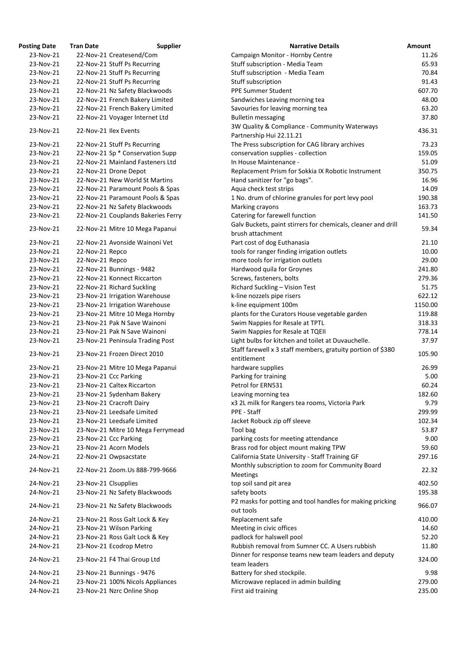| <b>osting Date</b> | <b>Tran Date</b>     | <b>Supplier</b>                    | <b>Narrative Details</b>                                            |
|--------------------|----------------------|------------------------------------|---------------------------------------------------------------------|
| 23-Nov-21          |                      | 22-Nov-21 Createsend/Com           | Campaign Monitor - Hornby Centre                                    |
| 23-Nov-21          |                      | 22-Nov-21 Stuff Ps Recurring       | Stuff subscription - Media Team                                     |
| 23-Nov-21          |                      | 22-Nov-21 Stuff Ps Recurring       | Stuff subscription - Media Team                                     |
| 23-Nov-21          |                      | 22-Nov-21 Stuff Ps Recurring       | Stuff subscription                                                  |
| 23-Nov-21          |                      | 22-Nov-21 Nz Safety Blackwoods     | <b>PPE Summer Student</b>                                           |
| 23-Nov-21          |                      | 22-Nov-21 French Bakery Limited    | Sandwiches Leaving morning tea                                      |
| 23-Nov-21          |                      | 22-Nov-21 French Bakery Limited    | Savouries for leaving morning tea                                   |
| 23-Nov-21          |                      | 22-Nov-21 Voyager Internet Ltd     | <b>Bulletin messaging</b>                                           |
|                    |                      |                                    | 3W Quality & Compliance - Community Waterways                       |
| 23-Nov-21          |                      | 22-Nov-21 Ilex Events              | Partnership Hui 22.11.21                                            |
| 23-Nov-21          |                      | 22-Nov-21 Stuff Ps Recurring       | The Press subscription for CAG library archives                     |
| 23-Nov-21          |                      | 22-Nov-21 Sp * Conservation Supp   | conservation supplies - collection                                  |
| 23-Nov-21          |                      | 22-Nov-21 Mainland Fasteners Ltd   | In House Maintenance -                                              |
| 23-Nov-21          |                      | 22-Nov-21 Drone Depot              | Replacement Prism for Sokkia IX Robotic Instrument                  |
| 23-Nov-21          |                      | 22-Nov-21 New World St Martins     | Hand sanitizer for "go bags".                                       |
| 23-Nov-21          |                      | 22-Nov-21 Paramount Pools & Spas   | Aqua check test strips                                              |
| 23-Nov-21          |                      | 22-Nov-21 Paramount Pools & Spas   | 1 No. drum of chlorine granules for port levy pool                  |
| 23-Nov-21          |                      | 22-Nov-21 Nz Safety Blackwoods     | Marking crayons                                                     |
| 23-Nov-21          |                      | 22-Nov-21 Couplands Bakeries Ferry | Catering for farewell function                                      |
|                    |                      |                                    | Galv Buckets, paint stirrers for chemicals, cleaner and             |
| 23-Nov-21          |                      | 22-Nov-21 Mitre 10 Mega Papanui    | brush attachment                                                    |
|                    |                      |                                    |                                                                     |
| 23-Nov-21          |                      | 22-Nov-21 Avonside Wainoni Vet     | Part cost of dog Euthanasia                                         |
| 23-Nov-21          | 22-Nov-21 Repco      |                                    | tools for ranger finding irrigation outlets                         |
| 23-Nov-21          | 22-Nov-21 Repco      |                                    | more tools for irrigation outlets                                   |
| 23-Nov-21          |                      | 22-Nov-21 Bunnings - 9482          | Hardwood quila for Groynes                                          |
| 23-Nov-21          |                      | 22-Nov-21 Konnect Riccarton        | Screws, fasteners, bolts                                            |
| 23-Nov-21          |                      | 22-Nov-21 Richard Suckling         | Richard Suckling - Vision Test                                      |
| 23-Nov-21          |                      | 23-Nov-21 Irrigation Warehouse     | k-line nozzels pipe risers                                          |
| 23-Nov-21          |                      | 23-Nov-21 Irrigation Warehouse     | k-line equipment 100m                                               |
| 23-Nov-21          |                      | 23-Nov-21 Mitre 10 Mega Hornby     | plants for the Curators House vegetable garden                      |
| 23-Nov-21          |                      | 23-Nov-21 Pak N Save Wainoni       | Swim Nappies for Resale at TPTL                                     |
| 23-Nov-21          |                      | 23-Nov-21 Pak N Save Wainoni       | Swim Nappies for Resale at TQEII                                    |
| 23-Nov-21          |                      | 23-Nov-21 Peninsula Trading Post   | Light bulbs for kitchen and toilet at Duvauchelle.                  |
| 23-Nov-21          |                      | 23-Nov-21 Frozen Direct 2010       | Staff farewell x 3 staff members, gratuity portion of ?             |
|                    |                      |                                    | entitlement                                                         |
| 23-Nov-21          |                      | 23-Nov-21 Mitre 10 Mega Papanui    | hardware supplies                                                   |
| 23-Nov-21          |                      | 23-Nov-21 Ccc Parking              | Parking for training                                                |
| 23-Nov-21          |                      | 23-Nov-21 Caltex Riccarton         | Petrol for ERN531                                                   |
| 23-Nov-21          |                      | 23-Nov-21 Sydenham Bakery          | Leaving morning tea                                                 |
| 23-Nov-21          |                      | 23-Nov-21 Cracroft Dairy           | x3 2L milk for Rangers tea rooms, Victoria Park                     |
| 23-Nov-21          |                      | 23-Nov-21 Leedsafe Limited         | PPE - Staff                                                         |
| 23-Nov-21          |                      | 23-Nov-21 Leedsafe Limited         | Jacket Robuck zip off sleeve                                        |
| 23-Nov-21          |                      | 23-Nov-21 Mitre 10 Mega Ferrymead  | Tool bag                                                            |
| 23-Nov-21          |                      | 23-Nov-21 Ccc Parking              | parking costs for meeting attendance                                |
| 23-Nov-21          |                      | 23-Nov-21 Acorn Models             | Brass rod for object mount making TPW                               |
| 24-Nov-21          |                      | 22-Nov-21 Owpsacstate              | California State University - Staff Training GF                     |
| 24-Nov-21          |                      | 22-Nov-21 Zoom.Us 888-799-9666     | Monthly subscription to zoom for Community Board<br><b>Meetings</b> |
| 24-Nov-21          | 23-Nov-21 Clsupplies |                                    | top soil sand pit area                                              |
| 24-Nov-21          |                      | 23-Nov-21 Nz Safety Blackwoods     | safety boots                                                        |
| 24-Nov-21          |                      | 23-Nov-21 Nz Safety Blackwoods     | P2 masks for potting and tool handles for making prior<br>out tools |
|                    |                      |                                    |                                                                     |
| 24-Nov-21          |                      | 23-Nov-21 Ross Galt Lock & Key     | Replacement safe                                                    |
| 24-Nov-21          |                      | 23-Nov-21 Wilson Parking           | Meeting in civic offices                                            |
| 24-Nov-21          |                      | 23-Nov-21 Ross Galt Lock & Key     | padlock for halswell pool                                           |
| 24-Nov-21          |                      | 23-Nov-21 Ecodrop Metro            | Rubbish removal from Sumner CC. A Users rubbish                     |
| 24-Nov-21          |                      | 23-Nov-21 F4 Thai Group Ltd        | Dinner for response teams new team leaders and de                   |
|                    |                      |                                    | team leaders                                                        |
| 24-Nov-21          |                      | 23-Nov-21 Bunnings - 9476          | Battery for shed stockpile.                                         |
| 24-Nov-21          |                      | 23-Nov-21 100% Nicols Appliances   | Microwave replaced in admin building                                |
| 24-Nov-21          |                      | 23-Nov-21 Nzrc Online Shop         | First aid training                                                  |
|                    |                      |                                    |                                                                     |

| <b>Posting Date</b> | <b>Tran Date</b>     | <b>Supplier</b>                    | <b>Narrative Details</b>                                                   | Amount  |
|---------------------|----------------------|------------------------------------|----------------------------------------------------------------------------|---------|
| 23-Nov-21           |                      | 22-Nov-21 Createsend/Com           | Campaign Monitor - Hornby Centre                                           | 11.26   |
| 23-Nov-21           |                      | 22-Nov-21 Stuff Ps Recurring       | Stuff subscription - Media Team                                            | 65.93   |
| 23-Nov-21           |                      | 22-Nov-21 Stuff Ps Recurring       | Stuff subscription - Media Team                                            | 70.84   |
| 23-Nov-21           |                      | 22-Nov-21 Stuff Ps Recurring       | Stuff subscription                                                         | 91.43   |
| 23-Nov-21           |                      | 22-Nov-21 Nz Safety Blackwoods     | <b>PPE Summer Student</b>                                                  | 607.70  |
| 23-Nov-21           |                      | 22-Nov-21 French Bakery Limited    | Sandwiches Leaving morning tea                                             | 48.00   |
| 23-Nov-21           |                      | 22-Nov-21 French Bakery Limited    | Savouries for leaving morning tea                                          | 63.20   |
| 23-Nov-21           |                      | 22-Nov-21 Voyager Internet Ltd     | <b>Bulletin messaging</b>                                                  | 37.80   |
|                     |                      |                                    | 3W Quality & Compliance - Community Waterways                              |         |
| 23-Nov-21           |                      | 22-Nov-21 Ilex Events              | Partnership Hui 22.11.21                                                   | 436.31  |
| 23-Nov-21           |                      | 22-Nov-21 Stuff Ps Recurring       | The Press subscription for CAG library archives                            | 73.23   |
| 23-Nov-21           |                      | 22-Nov-21 Sp * Conservation Supp   | conservation supplies - collection                                         | 159.05  |
| 23-Nov-21           |                      | 22-Nov-21 Mainland Fasteners Ltd   | In House Maintenance -                                                     | 51.09   |
| 23-Nov-21           |                      | 22-Nov-21 Drone Depot              | Replacement Prism for Sokkia IX Robotic Instrument                         | 350.75  |
| 23-Nov-21           |                      | 22-Nov-21 New World St Martins     | Hand sanitizer for "go bags".                                              | 16.96   |
| 23-Nov-21           |                      | 22-Nov-21 Paramount Pools & Spas   | Aqua check test strips                                                     | 14.09   |
| 23-Nov-21           |                      | 22-Nov-21 Paramount Pools & Spas   | 1 No. drum of chlorine granules for port levy pool                         | 190.38  |
| 23-Nov-21           |                      | 22-Nov-21 Nz Safety Blackwoods     | Marking crayons                                                            | 163.73  |
| 23-Nov-21           |                      | 22-Nov-21 Couplands Bakeries Ferry | Catering for farewell function                                             | 141.50  |
|                     |                      |                                    | Galv Buckets, paint stirrers for chemicals, cleaner and drill              |         |
| 23-Nov-21           |                      | 22-Nov-21 Mitre 10 Mega Papanui    | brush attachment                                                           | 59.34   |
| 23-Nov-21           |                      | 22-Nov-21 Avonside Wainoni Vet     | Part cost of dog Euthanasia                                                | 21.10   |
| 23-Nov-21           | 22-Nov-21 Repco      |                                    | tools for ranger finding irrigation outlets                                | 10.00   |
| 23-Nov-21           | 22-Nov-21 Repco      |                                    | more tools for irrigation outlets                                          | 29.00   |
| 23-Nov-21           |                      | 22-Nov-21 Bunnings - 9482          | Hardwood quila for Groynes                                                 | 241.80  |
| 23-Nov-21           |                      | 22-Nov-21 Konnect Riccarton        | Screws, fasteners, bolts                                                   | 279.36  |
|                     |                      |                                    |                                                                            |         |
| 23-Nov-21           |                      | 22-Nov-21 Richard Suckling         | Richard Suckling - Vision Test                                             | 51.75   |
| 23-Nov-21           |                      | 23-Nov-21 Irrigation Warehouse     | k-line nozzels pipe risers                                                 | 622.12  |
| 23-Nov-21           |                      | 23-Nov-21 Irrigation Warehouse     | k-line equipment 100m                                                      | 1150.00 |
| 23-Nov-21           |                      | 23-Nov-21 Mitre 10 Mega Hornby     | plants for the Curators House vegetable garden                             | 119.88  |
| 23-Nov-21           |                      | 23-Nov-21 Pak N Save Wainoni       | Swim Nappies for Resale at TPTL                                            | 318.33  |
| 23-Nov-21           |                      | 23-Nov-21 Pak N Save Wainoni       | Swim Nappies for Resale at TQEII                                           | 778.14  |
| 23-Nov-21           |                      | 23-Nov-21 Peninsula Trading Post   | Light bulbs for kitchen and toilet at Duvauchelle.                         | 37.97   |
| 23-Nov-21           |                      | 23-Nov-21 Frozen Direct 2010       | Staff farewell x 3 staff members, gratuity portion of \$380<br>entitlement | 105.90  |
| 23-Nov-21           |                      | 23-Nov-21 Mitre 10 Mega Papanui    | hardware supplies                                                          | 26.99   |
| 23-Nov-21           |                      | 23-Nov-21 Ccc Parking              | Parking for training                                                       | 5.00    |
| 23-Nov-21           |                      | 23-Nov-21 Caltex Riccarton         | Petrol for ERN531                                                          | 60.24   |
| 23-Nov-21           |                      | 23-Nov-21 Sydenham Bakery          | Leaving morning tea                                                        | 182.60  |
| 23-Nov-21           |                      | 23-Nov-21 Cracroft Dairy           | x3 2L milk for Rangers tea rooms, Victoria Park                            | 9.79    |
| 23-Nov-21           |                      | 23-Nov-21 Leedsafe Limited         | PPE - Staff                                                                | 299.99  |
| 23-Nov-21           |                      | 23-Nov-21 Leedsafe Limited         | Jacket Robuck zip off sleeve                                               | 102.34  |
| 23-Nov-21           |                      | 23-Nov-21 Mitre 10 Mega Ferrymead  | Tool bag                                                                   | 53.87   |
| 23-Nov-21           |                      | 23-Nov-21 Ccc Parking              | parking costs for meeting attendance                                       | 9.00    |
| 23-Nov-21           |                      | 23-Nov-21 Acorn Models             | Brass rod for object mount making TPW                                      | 59.60   |
| 24-Nov-21           |                      | 22-Nov-21 Owpsacstate              | California State University - Staff Training GF                            | 297.16  |
| 24-Nov-21           |                      | 22-Nov-21 Zoom.Us 888-799-9666     | Monthly subscription to zoom for Community Board                           | 22.32   |
|                     |                      |                                    | Meetings                                                                   |         |
| 24-Nov-21           | 23-Nov-21 Clsupplies |                                    | top soil sand pit area                                                     | 402.50  |
| 24-Nov-21           |                      | 23-Nov-21 Nz Safety Blackwoods     | safety boots                                                               | 195.38  |
| 24-Nov-21           |                      | 23-Nov-21 Nz Safety Blackwoods     | P2 masks for potting and tool handles for making pricking<br>out tools     | 966.07  |
| 24-Nov-21           |                      | 23-Nov-21 Ross Galt Lock & Key     | Replacement safe                                                           | 410.00  |
| 24-Nov-21           |                      | 23-Nov-21 Wilson Parking           | Meeting in civic offices                                                   | 14.60   |
| 24-Nov-21           |                      | 23-Nov-21 Ross Galt Lock & Key     | padlock for halswell pool                                                  | 52.20   |
| 24-Nov-21           |                      | 23-Nov-21 Ecodrop Metro            | Rubbish removal from Sumner CC. A Users rubbish                            | 11.80   |
|                     |                      |                                    |                                                                            |         |
| 24-Nov-21           |                      | 23-Nov-21 F4 Thai Group Ltd        | Dinner for response teams new team leaders and deputy<br>team leaders      | 324.00  |
| 24-Nov-21           |                      | 23-Nov-21 Bunnings - 9476          | Battery for shed stockpile.                                                | 9.98    |
| 24-Nov-21           |                      | 23-Nov-21 100% Nicols Appliances   | Microwave replaced in admin building                                       | 279.00  |
| 24-Nov-21           |                      | 23-Nov-21 Nzrc Online Shop         | First aid training                                                         | 235.00  |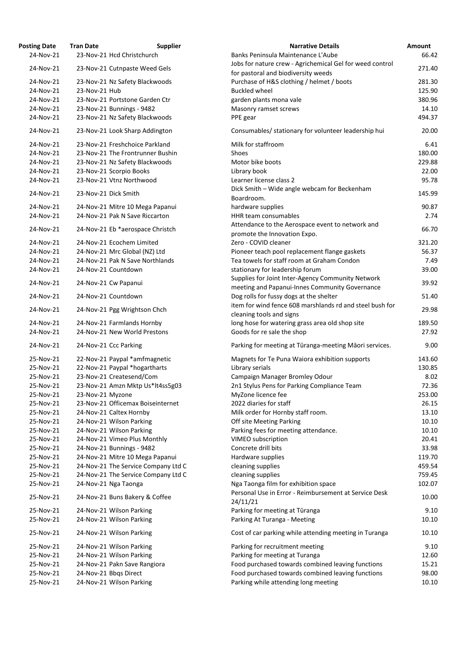| <b>Osting Date</b> | <b>Tran Date</b> | <b>Supplier</b>                     | <b>Narrative Details</b>                                        |
|--------------------|------------------|-------------------------------------|-----------------------------------------------------------------|
| 24-Nov-21          |                  | 23-Nov-21 Hcd Christchurch          | Banks Peninsula Maintenance L'Aube                              |
| 24-Nov-21          |                  | 23-Nov-21 Cutnpaste Weed Gels       | Jobs for nature crew - Agrichemical Gel for weed cor            |
|                    |                  |                                     | for pastoral and biodiversity weeds                             |
| 24-Nov-21          |                  | 23-Nov-21 Nz Safety Blackwoods      | Purchase of H&S clothing / helmet / boots                       |
| 24-Nov-21          | 23-Nov-21 Hub    |                                     | <b>Buckled wheel</b>                                            |
| 24-Nov-21          |                  | 23-Nov-21 Portstone Garden Ctr      | garden plants mona vale                                         |
| 24-Nov-21          |                  | 23-Nov-21 Bunnings - 9482           | Masonry ramset screws                                           |
| 24-Nov-21          |                  | 23-Nov-21 Nz Safety Blackwoods      | PPE gear                                                        |
| 24-Nov-21          |                  | 23-Nov-21 Look Sharp Addington      | Consumables/ stationary for volunteer leadership hu             |
| 24-Nov-21          |                  | 23-Nov-21 Freshchoice Parkland      | Milk for staffroom                                              |
| 24-Nov-21          |                  | 23-Nov-21 The Frontrunner Bushin    | Shoes                                                           |
| 24-Nov-21          |                  | 23-Nov-21 Nz Safety Blackwoods      | Motor bike boots                                                |
| 24-Nov-21          |                  | 23-Nov-21 Scorpio Books             | Library book                                                    |
| 24-Nov-21          |                  | 23-Nov-21 Vtnz Northwood            | Learner license class 2                                         |
|                    |                  |                                     | Dick Smith - Wide angle webcam for Beckenham                    |
| 24-Nov-21          |                  | 23-Nov-21 Dick Smith                | Boardroom.                                                      |
| 24-Nov-21          |                  | 24-Nov-21 Mitre 10 Mega Papanui     | hardware supplies                                               |
| 24-Nov-21          |                  | 24-Nov-21 Pak N Save Riccarton      | <b>HHR team consumables</b>                                     |
|                    |                  |                                     |                                                                 |
| 24-Nov-21          |                  | 24-Nov-21 Eb *aerospace Christch    | Attendance to the Aerospace event to network and                |
|                    |                  |                                     | promote the Innovation Expo.                                    |
| 24-Nov-21          |                  | 24-Nov-21 Ecochem Limited           | Zero - COVID cleaner                                            |
| 24-Nov-21          |                  | 24-Nov-21 Mrc Global (NZ) Ltd       | Pioneer teach pool replacement flange gaskets                   |
| 24-Nov-21          |                  | 24-Nov-21 Pak N Save Northlands     | Tea towels for staff room at Graham Condon                      |
| 24-Nov-21          |                  | 24-Nov-21 Countdown                 | stationary for leadership forum                                 |
| 24-Nov-21          |                  | 24-Nov-21 Cw Papanui                | Supplies for Joint Inter-Agency Community Network               |
|                    |                  |                                     | meeting and Papanui-Innes Community Governance                  |
| 24-Nov-21          |                  | 24-Nov-21 Countdown                 | Dog rolls for fussy dogs at the shelter                         |
| 24-Nov-21          |                  | 24-Nov-21 Pgg Wrightson Chch        | item for wind fence 608 marshlands rd and steel bus             |
|                    |                  |                                     | cleaning tools and signs                                        |
| 24-Nov-21          |                  | 24-Nov-21 Farmlands Hornby          | long hose for watering grass area old shop site                 |
| 24-Nov-21          |                  | 24-Nov-21 New World Prestons        | Goods for re sale the shop                                      |
| 24-Nov-21          |                  | 24-Nov-21 Ccc Parking               | Parking for meeting at Tūranga-meeting Māori servi              |
| 25-Nov-21          |                  | 22-Nov-21 Paypal *amfmagnetic       | Magnets for Te Puna Waiora exhibition supports                  |
| 25-Nov-21          |                  | 22-Nov-21 Paypal *hogartharts       | Library serials                                                 |
| 25-Nov-21          |                  | 23-Nov-21 Createsend/Com            | Campaign Manager Bromley Odour                                  |
| 25-Nov-21          |                  | 23-Nov-21 Amzn Mktp Us*lt4ss5g03    | 2n1 Stylus Pens for Parking Compliance Team                     |
| 25-Nov-21          | 23-Nov-21 Myzone |                                     | MyZone licence fee                                              |
| 25-Nov-21          |                  | 23-Nov-21 Officemax Boiseinternet   | 2022 diaries for staff                                          |
| 25-Nov-21          |                  | 24-Nov-21 Caltex Hornby             | Milk order for Hornby staff room.                               |
| 25-Nov-21          |                  | 24-Nov-21 Wilson Parking            | Off site Meeting Parking                                        |
| 25-Nov-21          |                  | 24-Nov-21 Wilson Parking            | Parking fees for meeting attendance.                            |
| 25-Nov-21          |                  | 24-Nov-21 Vimeo Plus Monthly        | VIMEO subscription                                              |
| 25-Nov-21          |                  | 24-Nov-21 Bunnings - 9482           | Concrete drill bits                                             |
| 25-Nov-21          |                  | 24-Nov-21 Mitre 10 Mega Papanui     | Hardware supplies                                               |
| 25-Nov-21          |                  | 24-Nov-21 The Service Company Ltd C | cleaning supplies                                               |
|                    |                  |                                     |                                                                 |
| 25-Nov-21          |                  | 24-Nov-21 The Service Company Ltd C | cleaning supplies                                               |
| 25-Nov-21          |                  | 24-Nov-21 Nga Taonga                | Nga Taonga film for exhibition space                            |
| 25-Nov-21          |                  | 24-Nov-21 Buns Bakery & Coffee      | Personal Use in Error - Reimbursement at Service De<br>24/11/21 |
| 25-Nov-21          |                  | 24-Nov-21 Wilson Parking            | Parking for meeting at Tūranga                                  |
| 25-Nov-21          |                  | 24-Nov-21 Wilson Parking            | Parking At Turanga - Meeting                                    |
| 25-Nov-21          |                  | 24-Nov-21 Wilson Parking            | Cost of car parking while attending meeting in Turan            |
| 25-Nov-21          |                  | 24-Nov-21 Wilson Parking            | Parking for recruitment meeting                                 |
| 25-Nov-21          |                  | 24-Nov-21 Wilson Parking            | Parking for meeting at Turanga                                  |
| 25-Nov-21          |                  | 24-Nov-21 Pakn Save Rangiora        | Food purchased towards combined leaving functions               |
| 25-Nov-21          |                  | 24-Nov-21 Bbqs Direct               | Food purchased towards combined leaving functions               |
| 25-Nov-21          |                  | 24-Nov-21 Wilson Parking            | Parking while attending long meeting                            |
|                    |                  |                                     |                                                                 |

| <b>Posting Date</b> | <b>Tran Date</b> | <b>Supplier</b>                     | <b>Narrative Details</b>                                                                            | Amount |
|---------------------|------------------|-------------------------------------|-----------------------------------------------------------------------------------------------------|--------|
| 24-Nov-21           |                  | 23-Nov-21 Hcd Christchurch          | Banks Peninsula Maintenance L'Aube                                                                  | 66.42  |
|                     |                  |                                     | Jobs for nature crew - Agrichemical Gel for weed control                                            |        |
| 24-Nov-21           |                  | 23-Nov-21 Cutnpaste Weed Gels       | for pastoral and biodiversity weeds                                                                 | 271.40 |
| 24-Nov-21           |                  | 23-Nov-21 Nz Safety Blackwoods      | Purchase of H&S clothing / helmet / boots                                                           | 281.30 |
| 24-Nov-21           | 23-Nov-21 Hub    |                                     | <b>Buckled wheel</b>                                                                                | 125.90 |
| 24-Nov-21           |                  | 23-Nov-21 Portstone Garden Ctr      | garden plants mona vale                                                                             | 380.96 |
| 24-Nov-21           |                  | 23-Nov-21 Bunnings - 9482           | Masonry ramset screws                                                                               | 14.10  |
| 24-Nov-21           |                  | 23-Nov-21 Nz Safety Blackwoods      | PPE gear                                                                                            | 494.37 |
|                     |                  |                                     |                                                                                                     |        |
| 24-Nov-21           |                  | 23-Nov-21 Look Sharp Addington      | Consumables/ stationary for volunteer leadership hui                                                | 20.00  |
| 24-Nov-21           |                  | 23-Nov-21 Freshchoice Parkland      | Milk for staffroom                                                                                  | 6.41   |
| 24-Nov-21           |                  | 23-Nov-21 The Frontrunner Bushin    | Shoes                                                                                               | 180.00 |
| 24-Nov-21           |                  | 23-Nov-21 Nz Safety Blackwoods      | Motor bike boots                                                                                    | 229.88 |
| 24-Nov-21           |                  | 23-Nov-21 Scorpio Books             | Library book                                                                                        | 22.00  |
| 24-Nov-21           |                  | 23-Nov-21 Vtnz Northwood            | Learner license class 2                                                                             | 95.78  |
|                     |                  |                                     | Dick Smith - Wide angle webcam for Beckenham                                                        |        |
| 24-Nov-21           |                  | 23-Nov-21 Dick Smith                | Boardroom.                                                                                          | 145.99 |
| 24-Nov-21           |                  | 24-Nov-21 Mitre 10 Mega Papanui     | hardware supplies                                                                                   | 90.87  |
| 24-Nov-21           |                  | 24-Nov-21 Pak N Save Riccarton      | HHR team consumables                                                                                | 2.74   |
|                     |                  |                                     | Attendance to the Aerospace event to network and                                                    |        |
| 24-Nov-21           |                  | 24-Nov-21 Eb *aerospace Christch    | promote the Innovation Expo.                                                                        | 66.70  |
| 24-Nov-21           |                  | 24-Nov-21 Ecochem Limited           | Zero - COVID cleaner                                                                                | 321.20 |
| 24-Nov-21           |                  | 24-Nov-21 Mrc Global (NZ) Ltd       | Pioneer teach pool replacement flange gaskets                                                       | 56.37  |
|                     |                  | 24-Nov-21 Pak N Save Northlands     | Tea towels for staff room at Graham Condon                                                          |        |
| 24-Nov-21           |                  |                                     |                                                                                                     | 7.49   |
| 24-Nov-21           |                  | 24-Nov-21 Countdown                 | stationary for leadership forum                                                                     | 39.00  |
| 24-Nov-21           |                  | 24-Nov-21 Cw Papanui                | Supplies for Joint Inter-Agency Community Network<br>meeting and Papanui-Innes Community Governance | 39.92  |
| 24-Nov-21           |                  | 24-Nov-21 Countdown                 | Dog rolls for fussy dogs at the shelter                                                             | 51.40  |
| 24-Nov-21           |                  | 24-Nov-21 Pgg Wrightson Chch        | item for wind fence 608 marshlands rd and steel bush for                                            | 29.98  |
|                     |                  |                                     | cleaning tools and signs                                                                            |        |
| 24-Nov-21           |                  | 24-Nov-21 Farmlands Hornby          | long hose for watering grass area old shop site                                                     | 189.50 |
| 24-Nov-21           |                  | 24-Nov-21 New World Prestons        | Goods for re sale the shop                                                                          | 27.92  |
| 24-Nov-21           |                  | 24-Nov-21 Ccc Parking               | Parking for meeting at Tūranga-meeting Māori services.                                              | 9.00   |
| 25-Nov-21           |                  | 22-Nov-21 Paypal *amfmagnetic       | Magnets for Te Puna Waiora exhibition supports                                                      | 143.60 |
| 25-Nov-21           |                  | 22-Nov-21 Paypal *hogartharts       | Library serials                                                                                     | 130.85 |
| 25-Nov-21           |                  | 23-Nov-21 Createsend/Com            | Campaign Manager Bromley Odour                                                                      | 8.02   |
| 25-Nov-21           |                  | 23-Nov-21 Amzn Mktp Us*lt4ss5g03    | 2n1 Stylus Pens for Parking Compliance Team                                                         | 72.36  |
| 25-Nov-21           | 23-Nov-21 Myzone |                                     | MyZone licence fee                                                                                  | 253.00 |
| 25-Nov-21           |                  | 23-Nov-21 Officemax Boiseinternet   | 2022 diaries for staff                                                                              | 26.15  |
|                     |                  |                                     |                                                                                                     |        |
| 25-Nov-21           |                  | 24-Nov-21 Caltex Hornby             | Milk order for Hornby staff room.                                                                   | 13.10  |
| 25-Nov-21           |                  | 24-Nov-21 Wilson Parking            | Off site Meeting Parking                                                                            | 10.10  |
| 25-Nov-21           |                  | 24-Nov-21 Wilson Parking            | Parking fees for meeting attendance.                                                                | 10.10  |
| 25-Nov-21           |                  | 24-Nov-21 Vimeo Plus Monthly        | VIMEO subscription                                                                                  | 20.41  |
| 25-Nov-21           |                  | 24-Nov-21 Bunnings - 9482           | Concrete drill bits                                                                                 | 33.98  |
| 25-Nov-21           |                  | 24-Nov-21 Mitre 10 Mega Papanui     | Hardware supplies                                                                                   | 119.70 |
| 25-Nov-21           |                  | 24-Nov-21 The Service Company Ltd C | cleaning supplies                                                                                   | 459.54 |
| 25-Nov-21           |                  | 24-Nov-21 The Service Company Ltd C | cleaning supplies                                                                                   | 759.45 |
| 25-Nov-21           |                  | 24-Nov-21 Nga Taonga                | Nga Taonga film for exhibition space                                                                | 102.07 |
| 25-Nov-21           |                  | 24-Nov-21 Buns Bakery & Coffee      | Personal Use in Error - Reimbursement at Service Desk<br>24/11/21                                   | 10.00  |
| 25-Nov-21           |                  | 24-Nov-21 Wilson Parking            | Parking for meeting at Tūranga                                                                      | 9.10   |
| 25-Nov-21           |                  | 24-Nov-21 Wilson Parking            | Parking At Turanga - Meeting                                                                        | 10.10  |
| 25-Nov-21           |                  | 24-Nov-21 Wilson Parking            | Cost of car parking while attending meeting in Turanga                                              | 10.10  |
|                     |                  |                                     |                                                                                                     |        |
| 25-Nov-21           |                  | 24-Nov-21 Wilson Parking            | Parking for recruitment meeting                                                                     | 9.10   |
| 25-Nov-21           |                  | 24-Nov-21 Wilson Parking            | Parking for meeting at Turanga                                                                      | 12.60  |
| 25-Nov-21           |                  | 24-Nov-21 Pakn Save Rangiora        | Food purchased towards combined leaving functions                                                   | 15.21  |
| 25-Nov-21           |                  | 24-Nov-21 Bbqs Direct               | Food purchased towards combined leaving functions                                                   | 98.00  |
| 25-Nov-21           |                  | 24-Nov-21 Wilson Parking            | Parking while attending long meeting                                                                | 10.10  |